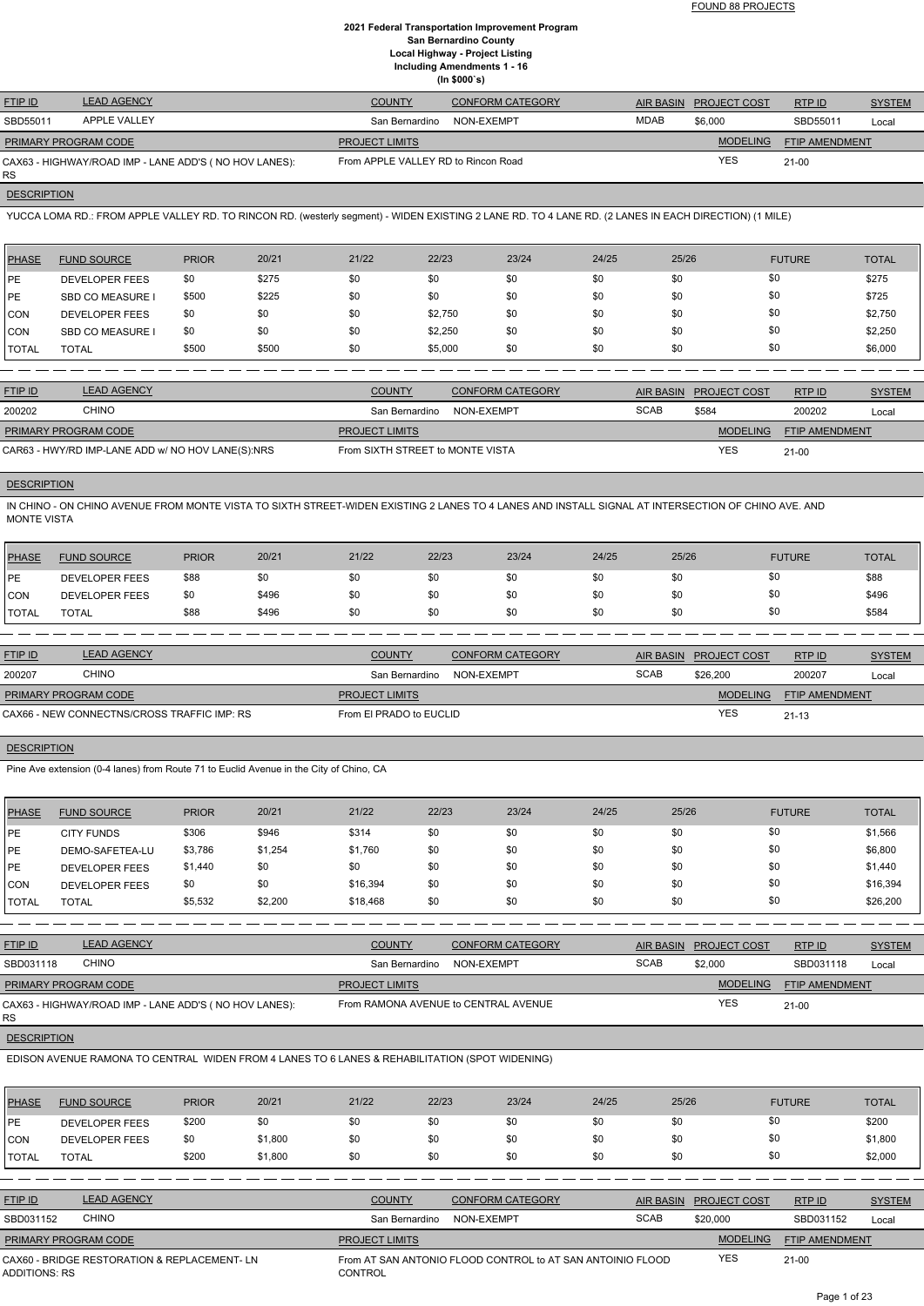FOUND 88 PROJECTS

## **2021 Federal Transportation Improvement Program San Bernardino County Local Highway - Project Listing Including Amendments 1 - 16 (In \$000`s)**

| <b>FTIP ID</b>              | <b>LEAD AGENCY</b>                                    | <b>COUNTY</b>                       | <b>CONFORM CATEGORY</b> |             | AIR BASIN PROJECT COST | RTP ID         | <b>SYSTEM</b> |
|-----------------------------|-------------------------------------------------------|-------------------------------------|-------------------------|-------------|------------------------|----------------|---------------|
| SBD55011                    | <b>APPLE VALLEY</b>                                   | San Bernardino                      | NON-EXEMPT              | <b>MDAB</b> | \$6,000                | SBD55011       | Local         |
| <b>PRIMARY PROGRAM CODE</b> |                                                       | <b>PROJECT LIMITS</b>               |                         |             | <b>MODELING</b>        | FTIP AMENDMENT |               |
| RS                          | CAX63 - HIGHWAY/ROAD IMP - LANE ADD'S (NO HOV LANES): | From APPLE VALLEY RD to Rincon Road |                         |             | <b>YES</b>             | $21 - 00$      |               |

**DESCRIPTION** 

YUCCA LOMA RD.: FROM APPLE VALLEY RD. TO RINCON RD. (westerly segment) - WIDEN EXISTING 2 LANE RD. TO 4 LANE RD. (2 LANES IN EACH DIRECTION) (1 MILE)

| <b>PHASE</b> | <b>FUND SOURCE</b>      | <b>PRIOR</b> | 20/21 | 21/22 | 22/23   | 23/24 | 24/25 | 25/26 | <b>FUTURE</b> | <b>TOTAL</b> |
|--------------|-------------------------|--------------|-------|-------|---------|-------|-------|-------|---------------|--------------|
| <b>IPE</b>   | <b>DEVELOPER FEES</b>   | \$0          | \$275 | \$0   | \$0     | \$0   | \$0   | \$0   | \$0           | \$275        |
| <b>IPE</b>   | <b>SBD CO MEASURE I</b> | \$500        | \$225 | \$0   | \$0     | \$0   | \$0   | \$0   | \$0           | \$725        |
| CON          | <b>DEVELOPER FEES</b>   | \$0          | \$0   | \$0   | \$2,750 | \$0   | \$0   | \$0   | \$0           | \$2,750      |
| CON          | <b>SBD CO MEASURE I</b> | \$0          | \$0   | \$0   | \$2,250 | \$0   | \$0   | \$0   | \$0           | \$2,250      |
| <b>TOTAL</b> | <b>TOTAL</b>            | \$500        | \$500 | \$0   | \$5,000 | \$0   | \$0   | \$0   | \$0           | \$6,000      |

| <b>FTIP ID</b>              | <b>LEAD AGENCY</b>                                | <b>COUNTY</b>                    | <b>CONFORM CATEGORY</b> |             | AIR BASIN PROJECT COST | RTPID                 | <b>SYSTEM</b> |
|-----------------------------|---------------------------------------------------|----------------------------------|-------------------------|-------------|------------------------|-----------------------|---------------|
| 200202                      | <b>CHINO</b>                                      | San Bernardino                   | NON-EXEMPT              | <b>SCAB</b> | \$584                  | 200202                | Local         |
| <b>PRIMARY PROGRAM CODE</b> |                                                   | <b>PROJECT LIMITS</b>            |                         |             | <b>MODELING</b>        | <b>FTIP AMENDMENT</b> |               |
|                             | CAR63 - HWY/RD IMP-LANE ADD w/ NO HOV LANE(S):NRS | From SIXTH STREET to MONTE VISTA |                         |             | <b>YES</b>             | $21 - 00$             |               |

## **DESCRIPTION**

IN CHINO - ON CHINO AVENUE FROM MONTE VISTA TO SIXTH STREET-WIDEN EXISTING 2 LANES TO 4 LANES AND INSTALL SIGNAL AT INTERSECTION OF CHINO AVE. AND MONTE VISTA

| PHASE         | <b>FUND SOURCE</b>    | <b>PRIOR</b> | 20/21 | 21/22 | 22/23 | 23/24 | 24/25 | 25/26 | <b>FUTURE</b> | <b>TOTAL</b> |
|---------------|-----------------------|--------------|-------|-------|-------|-------|-------|-------|---------------|--------------|
| <b>IPE</b>    | <b>DEVELOPER FEES</b> | \$88         | \$0   | \$0   | \$0   | \$0   | \$0   |       |               | \$88         |
| CON           | DEVELOPER FEES        | \$0          | \$496 | \$0   | \$0   | \$0   | \$0   |       | \$0           | \$496        |
| <b>ITOTAL</b> | <b>TOTAL</b>          | \$88         | \$496 | \$0   | \$0   | \$0   | \$0   |       | \$0           | \$584        |

| <b>FTIP ID</b>              | <b>LEAD AGENCY</b>                          | <b>COUNTY</b>           | <b>CONFORM CATEGORY</b> |             | AIR BASIN PROJECT COST | RTPID                 | <b>SYSTEM</b> |
|-----------------------------|---------------------------------------------|-------------------------|-------------------------|-------------|------------------------|-----------------------|---------------|
| 200207                      | CHINO                                       | San Bernardino          | NON-EXEMPT              | <b>SCAB</b> | \$26.200               | 200207                | Local         |
| <b>PRIMARY PROGRAM CODE</b> |                                             | <b>PROJECT LIMITS</b>   |                         |             | <b>MODELING</b>        | <b>FTIP AMENDMENT</b> |               |
|                             | CAX66 - NEW CONNECTNS/CROSS TRAFFIC IMP: RS | From El PRADO to EUCLID |                         |             | YES                    | $21 - 13$             |               |

## **DESCRIPTION**

Pine Ave extension (0-4 lanes) from Route 71 to Euclid Avenue in the City of Chino, CA

| <b>PHASE</b>  | <b>FUND SOURCE</b>    | <b>PRIOR</b> | 20/21   | 21/22    | 22/23 | 23/24 | 24/25 | 25/26 | <b>FUTURE</b> | <b>TOTAL</b> |
|---------------|-----------------------|--------------|---------|----------|-------|-------|-------|-------|---------------|--------------|
| <b>IPE</b>    | <b>CITY FUNDS</b>     | \$306        | \$946   | \$314    | \$0   | \$0   | \$0   | \$0   | \$0           | \$1,566      |
| <b>IPE</b>    | DEMO-SAFETEA-LU       | \$3,786      | \$1,254 | \$1,760  | \$0   | \$0   | \$0   | \$0   | \$0           | \$6,800      |
| <b>IPE</b>    | <b>DEVELOPER FEES</b> | \$1,440      | \$0     | \$0      | \$0   | \$0   | \$0   | \$0   | \$0           | \$1,440      |
| ICON          | <b>DEVELOPER FEES</b> | \$0          | \$0     | \$16,394 | \$0   | \$0   | \$0   | \$0   | \$0           | \$16,394     |
| <b>ITOTAL</b> | <b>TOTAL</b>          | \$5,532      | \$2,200 | \$18,468 | \$0   | \$0   | \$0   | \$0   | \$0           | \$26,200     |

| <b>FTIP ID</b>              | <b>LEAD AGENCY</b>                                    | <b>COUNTY</b>         | <b>CONFORM CATEGORY</b>              | <b>AIR BASIN</b> | <b>PROJECT COST</b> | RTP ID                | <b>SYSTEM</b> |
|-----------------------------|-------------------------------------------------------|-----------------------|--------------------------------------|------------------|---------------------|-----------------------|---------------|
| SBD031118                   | <b>CHINO</b>                                          | San Bernardino        | NON-EXEMPT                           | <b>SCAB</b>      | \$2,000             | SBD031118             | Local         |
| <b>PRIMARY PROGRAM CODE</b> |                                                       | <b>PROJECT LIMITS</b> |                                      |                  | <b>MODELING</b>     | <b>FTIP AMENDMENT</b> |               |
| RS                          | CAX63 - HIGHWAY/ROAD IMP - LANE ADD'S (NO HOV LANES): |                       | From RAMONA AVENUE to CENTRAL AVENUE |                  | <b>YES</b>          | $21 - 00$             |               |

## **DESCRIPTION**

EDISON AVENUE RAMONA TO CENTRAL WIDEN FROM 4 LANES TO 6 LANES & REHABILITATION (SPOT WIDENING)

| <b>PHASE</b>                                                        | <b>FUND SOURCE</b>    | <b>PRIOR</b> | 20/21   | 21/22                 | 22/23      | 23/24                                                      | 24/25            | 25/26               | <b>FUTURE</b>  | <b>TOTAL</b>  |
|---------------------------------------------------------------------|-----------------------|--------------|---------|-----------------------|------------|------------------------------------------------------------|------------------|---------------------|----------------|---------------|
| PE                                                                  | <b>DEVELOPER FEES</b> | \$200        | \$0     | \$0                   | \$0        | \$0                                                        | \$0              | \$0                 | \$0            | \$200         |
| ICON                                                                | <b>DEVELOPER FEES</b> | \$0          | \$1,800 | \$0                   | \$0        | \$0                                                        | \$0              | \$0                 | \$0            | \$1,800       |
| TOTAL                                                               | <b>TOTAL</b>          | \$200        | \$1,800 | \$0                   | \$0        | \$0                                                        | \$0              | \$0                 | \$0            | \$2,000       |
|                                                                     |                       |              |         |                       |            |                                                            |                  |                     |                |               |
| <b>FTIP ID</b>                                                      | <b>LEAD AGENCY</b>    |              |         | <b>COUNTY</b>         |            | <b>CONFORM CATEGORY</b>                                    | <b>AIR BASIN</b> | <b>PROJECT COST</b> | RTP ID         | <b>SYSTEM</b> |
| SBD031152                                                           | <b>CHINO</b>          |              |         | San Bernardino        | NON-EXEMPT |                                                            | <b>SCAB</b>      | \$20,000            | SBD031152      | Local         |
|                                                                     | PRIMARY PROGRAM CODE  |              |         | <b>PROJECT LIMITS</b> |            |                                                            |                  | <b>MODELING</b>     | FTIP AMENDMENT |               |
| CAX60 - BRIDGE RESTORATION & REPLACEMENT-LN<br><b>ADDITIONS: RS</b> |                       |              |         | <b>CONTROL</b>        |            | From AT SAN ANTONIO FLOOD CONTROL to AT SAN ANTOINIO FLOOD |                  | <b>YES</b>          | $21-00$        |               |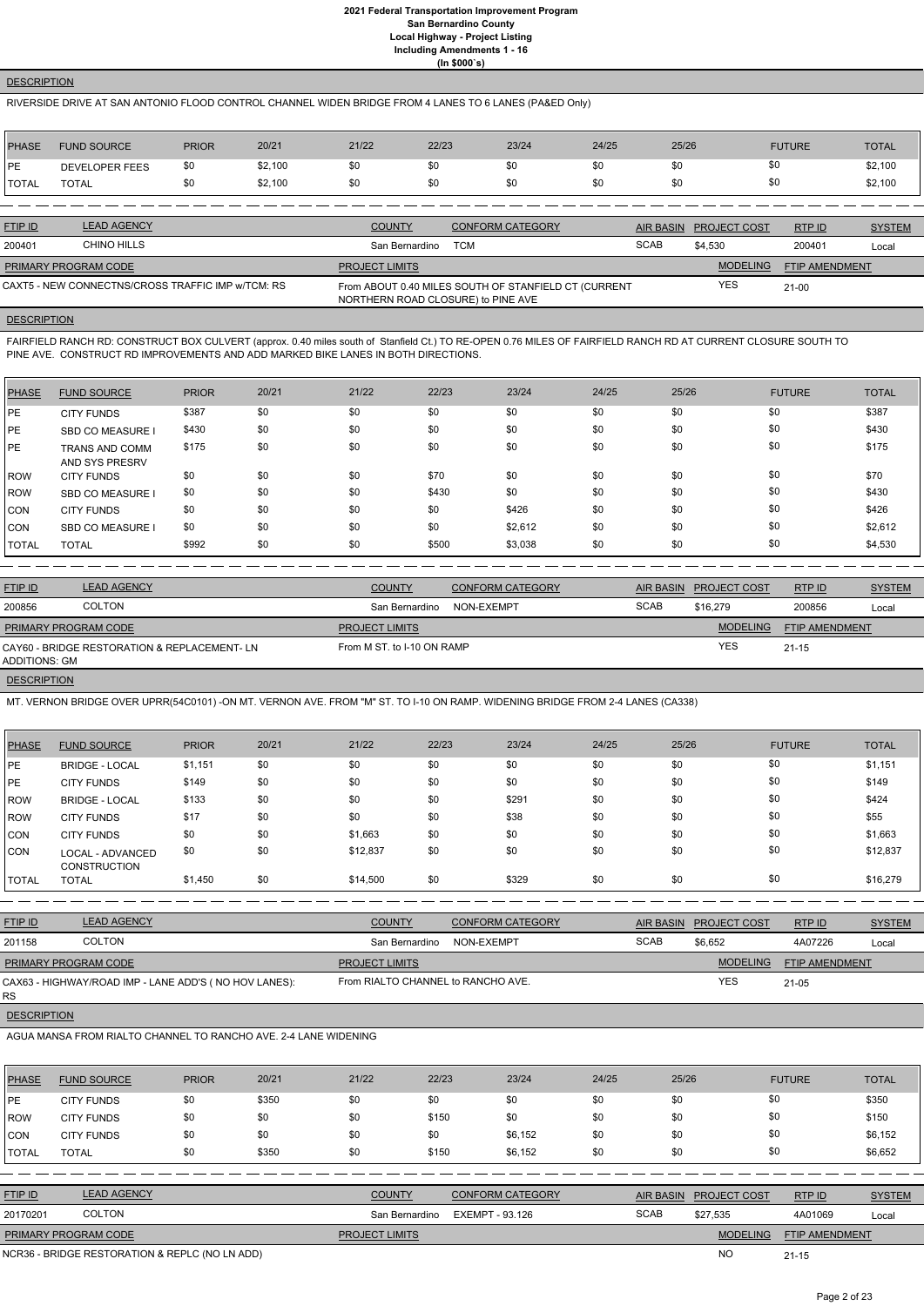## **DESCRIPTION**

## RIVERSIDE DRIVE AT SAN ANTONIO FLOOD CONTROL CHANNEL WIDEN BRIDGE FROM 4 LANES TO 6 LANES (PA&ED Only)

| PHASE        | <b>FUND SOURCE</b> | <b>PRIOR</b> | 20/21   | 21/22 | 22/23 | 23/24 | 24/25 | 25/26 | <b>FUTURE</b> | <b>TOTAL</b> |
|--------------|--------------------|--------------|---------|-------|-------|-------|-------|-------|---------------|--------------|
| PE           | DEVELOPER FEES     | \$0          | \$2,100 | \$0   | \$0   | \$0   |       | \$0   | \$0           | \$2,100      |
| <b>TOTAL</b> | <b>TOTAL</b>       | \$0          | \$2,100 | \$0   | \$0   | \$0   | \$0   | \$0   | \$0           | \$2,100      |

| <b>FTIP ID</b>              | <b>LEAD AGENCY</b>                                | <b>COUNTY</b>                      | <b>CONFORM CATEGORY</b>                              |             | AIR BASIN PROJECT COST | RTPID          | <b>SYSTEM</b> |
|-----------------------------|---------------------------------------------------|------------------------------------|------------------------------------------------------|-------------|------------------------|----------------|---------------|
| 200401                      | CHINO HILLS                                       | San Bernardino                     | TCM                                                  | <b>SCAB</b> | \$4.530                | 200401         | Local         |
| <b>PRIMARY PROGRAM CODE</b> |                                                   | <b>PROJECT LIMITS</b>              |                                                      |             | <b>MODELING</b>        | FTIP AMENDMENT |               |
|                             | CAXT5 - NEW CONNECTNS/CROSS TRAFFIC IMP w/TCM: RS | NORTHERN ROAD CLOSURE) to PINE AVE | From ABOUT 0.40 MILES SOUTH OF STANFIELD CT (CURRENT |             | <b>YES</b>             | $21 - 00$      |               |

## **DESCRIPTION**

FAIRFIELD RANCH RD: CONSTRUCT BOX CULVERT (approx. 0.40 miles south of Stanfield Ct.) TO RE-OPEN 0.76 MILES OF FAIRFIELD RANCH RD AT CURRENT CLOSURE SOUTH TO PINE AVE. CONSTRUCT RD IMPROVEMENTS AND ADD MARKED BIKE LANES IN BOTH DIRECTIONS.

| PHASE      | <b>FUND SOURCE</b>                      | <b>PRIOR</b> | 20/21 | 21/22 | 22/23 | 23/24   | 24/25 | 25/26 | <b>FUTURE</b> | <b>TOTAL</b> |
|------------|-----------------------------------------|--------------|-------|-------|-------|---------|-------|-------|---------------|--------------|
| PE         | <b>CITY FUNDS</b>                       | \$387        | \$0   | \$0   | \$0   | \$0     | \$0   | \$0   | \$0           | \$387        |
| <b>IPE</b> | <b>SBD CO MEASURE I</b>                 | \$430        | \$0   | \$0   | \$0   | \$0     | \$0   | \$0   | \$0           | \$430        |
| <b>IPE</b> | <b>TRANS AND COMM</b><br>AND SYS PRESRV | \$175        | \$0   | \$0   | \$0   | \$0     | \$0   | \$0   | \$0           | \$175        |
| ROW        | <b>CITY FUNDS</b>                       | \$0          | \$0   | \$0   | \$70  | \$0     | \$0   | \$0   | \$0           | \$70         |
| ROW        | <b>SBD CO MEASURE</b>                   | \$0          | \$0   | \$0   | \$430 | \$0     | \$0   | \$0   | \$0           | \$430        |
| CON        | <b>CITY FUNDS</b>                       | \$0          | \$0   | \$0   | \$0   | \$426   | \$0   | \$0   | \$0           | \$426        |
| CON        | SBD CO MEASURE                          | \$0          | \$0   | \$0   | \$0   | \$2,612 | \$0   | \$0   | \$0           | \$2,612      |
| TOTAL      | <b>TOTAL</b>                            | \$992        | \$0   | \$0   | \$500 | \$3,038 | \$0   | \$0   | \$0           | \$4,530      |

| <b>FTIP ID</b>              | <b>LEAD AGENCY</b>                          | <b>COUNTY</b>              | <b>CONFORM CATEGORY</b> | AIR BASIN   | <b>PROJECT COST</b> | RTPID                 | <b>SYSTEM</b> |
|-----------------------------|---------------------------------------------|----------------------------|-------------------------|-------------|---------------------|-----------------------|---------------|
| 200856                      | <b>COLTON</b>                               | San Bernardino             | NON-EXEMPT              | <b>SCAB</b> | \$16,279            | 200856                | Local         |
| <b>PRIMARY PROGRAM CODE</b> |                                             | <b>PROJECT LIMITS</b>      |                         |             | <b>MODELING</b>     | <b>FTIP AMENDMENT</b> |               |
| ADDITIONS: GM               | CAY60 - BRIDGE RESTORATION & REPLACEMENT-LN | From M ST, to I-10 ON RAMP |                         |             | <b>YES</b>          | $21 - 15$             |               |
| <b>DESCRIPTION</b>          |                                             |                            |                         |             |                     |                       |               |

MT. VERNON BRIDGE OVER UPRR(54C0101) -ON MT. VERNON AVE. FROM "M" ST. TO I-10 ON RAMP. WIDENING BRIDGE FROM 2-4 LANES (CA338)

| <b>PHASE</b> | <b>FUND SOURCE</b>                             | <b>PRIOR</b> | 20/21 | 21/22    | 22/23 | 23/24 | 24/25 | 25/26 | <b>FUTURE</b> | <b>TOTAL</b> |
|--------------|------------------------------------------------|--------------|-------|----------|-------|-------|-------|-------|---------------|--------------|
| <b>PE</b>    | <b>BRIDGE - LOCAL</b>                          | \$1,151      | \$0   | \$0      | \$0   | \$0   | \$0   | \$0   | \$0           | \$1,151      |
| PE           | <b>CITY FUNDS</b>                              | \$149        | \$0   | \$0      | \$0   | \$0   | \$0   | \$0   | \$0           | \$149        |
| <b>ROW</b>   | <b>BRIDGE - LOCAL</b>                          | \$133        | \$0   | \$0      | \$0   | \$291 | \$0   | \$0   | \$0           | \$424        |
| <b>ROW</b>   | <b>CITY FUNDS</b>                              | \$17         | \$0   | \$0      | \$0   | \$38  | \$0   | \$0   | \$0           | \$55         |
| <b>CON</b>   | <b>CITY FUNDS</b>                              | \$0          | \$0   | \$1,663  | \$0   | \$0   | \$0   | \$0   | \$0           | \$1,663      |
| <b>CON</b>   | <b>LOCAL - ADVANCED</b><br><b>CONSTRUCTION</b> | \$0          | \$0   | \$12,837 | \$0   | \$0   | \$0   | \$0   | \$0           | \$12,837     |
| <b>TOTAL</b> | <b>TOTAL</b>                                   | \$1,450      | \$0   | \$14,500 | \$0   | \$329 | \$0   | \$0   | \$0           | \$16,279     |

| <b>FTIP ID</b>              | <b>LEAD AGENCY</b>                                     | <b>COUNTY</b>                      | <b>CONFORM CATEGORY</b> |             | AIR BASIN PROJECT COST | RTPID                 | <b>SYSTEM</b> |
|-----------------------------|--------------------------------------------------------|------------------------------------|-------------------------|-------------|------------------------|-----------------------|---------------|
| 201158                      | <b>COLTON</b>                                          | San Bernardino                     | NON-EXEMPT              | <b>SCAB</b> | \$6.652                | 4A07226               | Local         |
| <b>PRIMARY PROGRAM CODE</b> |                                                        | <b>PROJECT LIMITS</b>              |                         |             | <b>MODELING</b>        | <b>FTIP AMENDMENT</b> |               |
|                             | CAX63 - HIGHWAY/ROAD IMP - LANE ADD'S ( NO HOV LANES): | From RIALTO CHANNEL to RANCHO AVE. |                         |             | YES                    | $21 - 05$             |               |

## RS

#### **DESCRIPTION**

#### AGUA MANSA FROM RIALTO CHANNEL TO RANCHO AVE. 2-4 LANE WIDENING

| <b>PHASE</b>   | <b>FUND SOURCE</b>                             | <b>PRIOR</b> | 20/21 | 21/22                 | 22/23           | 23/24                   | 24/25 | 25/26            |                     | <b>FUTURE</b>         | <b>TOTAL</b>  |
|----------------|------------------------------------------------|--------------|-------|-----------------------|-----------------|-------------------------|-------|------------------|---------------------|-----------------------|---------------|
| IPE.           | <b>CITY FUNDS</b>                              | \$0          | \$350 | \$0                   | \$0             | \$0                     | \$0   | \$0              |                     | \$0                   | \$350         |
| ROW            | <b>CITY FUNDS</b>                              | \$0          | \$0   | \$0                   | \$150           | \$0                     | \$0   | \$0              |                     | \$0                   | \$150         |
| <b>CON</b>     | <b>CITY FUNDS</b>                              | \$0          | \$0   | \$0                   | \$0             | \$6,152                 | \$0   | \$0              |                     | \$0                   | \$6,152       |
| <b>TOTAL</b>   | <b>TOTAL</b>                                   | \$0          | \$350 | \$0                   | \$150           | \$6,152                 | \$0   | \$0              |                     | \$0                   | \$6,652       |
|                |                                                |              |       |                       |                 |                         |       |                  |                     |                       |               |
| <b>FTIP ID</b> | <b>LEAD AGENCY</b>                             |              |       | <b>COUNTY</b>         |                 | <b>CONFORM CATEGORY</b> |       | <b>AIR BASIN</b> | <b>PROJECT COST</b> | RTP ID                | <b>SYSTEM</b> |
| 20170201       | <b>COLTON</b>                                  |              |       | San Bernardino        | EXEMPT - 93.126 |                         |       | <b>SCAB</b>      | \$27,535            | 4A01069               | Local         |
|                | PRIMARY PROGRAM CODE                           |              |       | <b>PROJECT LIMITS</b> |                 |                         |       |                  | <b>MODELING</b>     | <b>FTIP AMENDMENT</b> |               |
|                | NCR36 - BRIDGE RESTORATION & REPLC (NO LN ADD) |              |       |                       |                 |                         |       |                  | <b>NO</b>           | $21 - 15$             |               |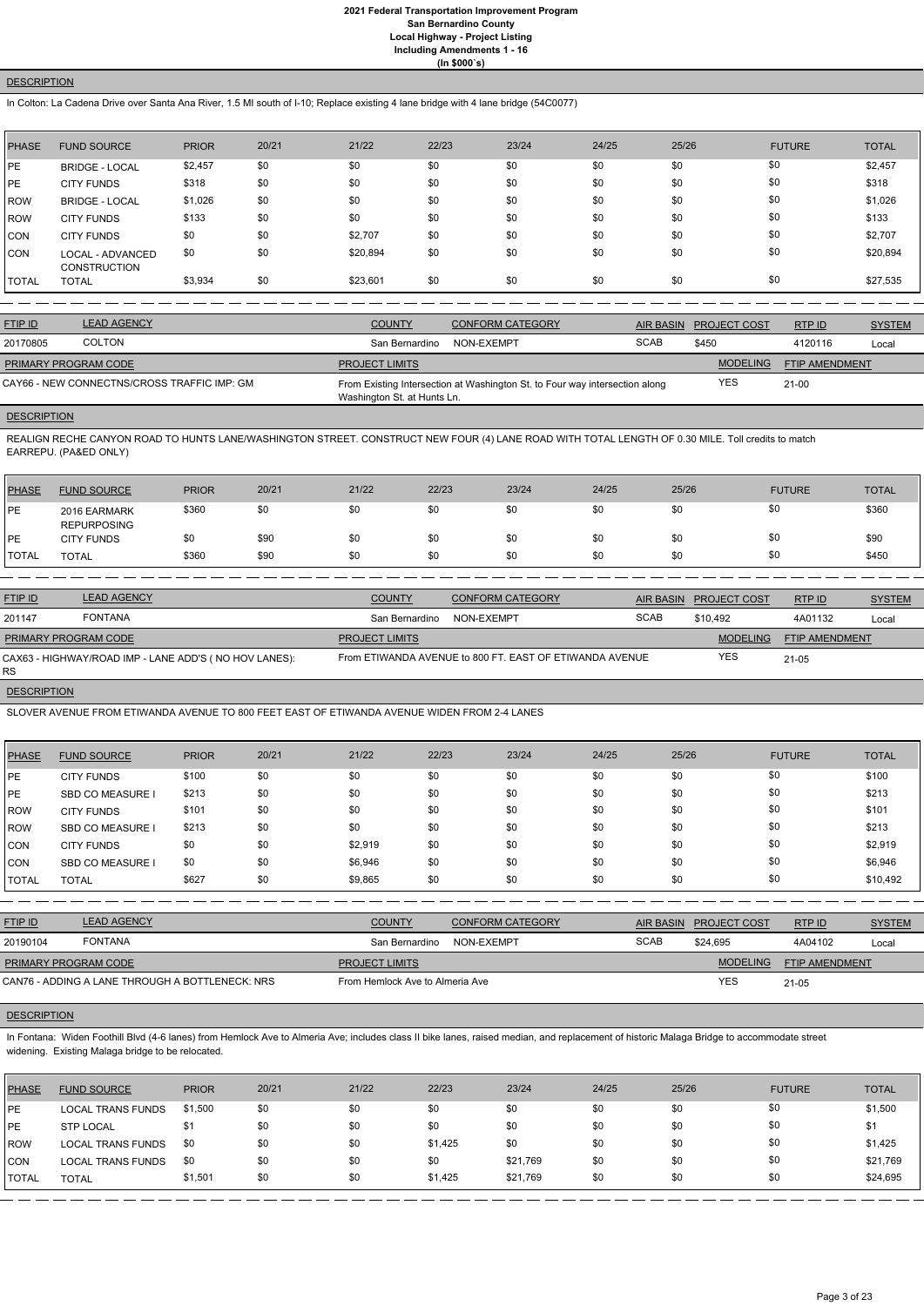## **DESCRIPTION**

In Colton: La Cadena Drive over Santa Ana River, 1.5 MI south of I-10; Replace existing 4 lane bridge with 4 lane bridge (54C0077)

| <b>PHASE</b> | <b>FUND SOURCE</b>                      | <b>PRIOR</b> | 20/21 | 21/22    | 22/23 | 23/24 | 24/25 | 25/26 | <b>FUTURE</b> | <b>TOTAL</b> |
|--------------|-----------------------------------------|--------------|-------|----------|-------|-------|-------|-------|---------------|--------------|
| <b>PE</b>    | <b>BRIDGE - LOCAL</b>                   | \$2,457      | \$0   | \$0      | \$0   | \$0   | \$0   | \$0   | \$0           | \$2,457      |
| <b>IPE</b>   | <b>CITY FUNDS</b>                       | \$318        | \$0   | \$0      | \$0   | \$0   | \$0   | \$0   | \$0           | \$318        |
| ROW          | <b>BRIDGE - LOCAL</b>                   | \$1,026      | \$0   | \$0      | \$0   | \$0   | \$0   | \$0   | \$0           | \$1,026      |
| <b>IROW</b>  | <b>CITY FUNDS</b>                       | \$133        | \$0   | \$0      | \$0   | \$0   | \$0   | \$0   | \$0           | \$133        |
| <b>ICON</b>  | <b>CITY FUNDS</b>                       | \$0          | \$0   | \$2,707  | \$0   | \$0   | \$0   | \$0   | \$0           | \$2,707      |
| CON          | LOCAL - ADVANCED<br><b>CONSTRUCTION</b> | \$0          | \$0   | \$20,894 | \$0   | \$0   | \$0   | \$0   | \$0           | \$20,894     |
| <b>TOTAL</b> | <b>TOTAL</b>                            | \$3,934      | \$0   | \$23,601 | \$0   | \$0   | \$0   | \$0   | \$0           | \$27,535     |

| <b>FTIP ID</b>              | <b>LEAD AGENCY</b>                          | <b>COUNTY</b>               | <b>CONFORM CATEGORY</b>                                                     |             | <b>AIR BASIN PROJECT COST</b> | RTP ID         | <b>SYSTEM</b> |
|-----------------------------|---------------------------------------------|-----------------------------|-----------------------------------------------------------------------------|-------------|-------------------------------|----------------|---------------|
| 20170805                    | <b>COLTON</b>                               | San Bernardino              | NON-EXEMPT                                                                  | <b>SCAB</b> | \$450                         | 4120116        | Local         |
| <b>PRIMARY PROGRAM CODE</b> |                                             | <b>PROJECT LIMITS</b>       |                                                                             |             | <b>MODELING</b>               | FTIP AMENDMENT |               |
|                             | CAY66 - NEW CONNECTNS/CROSS TRAFFIC IMP: GM | Washington St. at Hunts Ln. | From Existing Intersection at Washington St. to Four way intersection along |             | <b>YES</b>                    | $21 - 00$      |               |

## **DESCRIPTION**

REALIGN RECHE CANYON ROAD TO HUNTS LANE/WASHINGTON STREET. CONSTRUCT NEW FOUR (4) LANE ROAD WITH TOTAL LENGTH OF 0.30 MILE. Toll credits to match EARREPU. (PA&ED ONLY)

| PHASE   | <b>FUND SOURCE</b>                 | <b>PRIOR</b> | 20/21 | 21/22 | 22/23 | 23/24 | 24/25 | 25/26 | <b>FUTURE</b> | <b>TOTAL</b> |
|---------|------------------------------------|--------------|-------|-------|-------|-------|-------|-------|---------------|--------------|
| l PE    | 2016 EARMARK<br><b>REPURPOSING</b> | \$360        | \$0   | \$0   | \$0   | \$0   | \$0   | \$0   | \$0           | \$360        |
| l PE    | <b>CITY FUNDS</b>                  | \$0          | \$90  | \$0   | \$0   | \$0   | \$0   | \$0   | \$0           | \$90         |
| I TOTAL | <b>TOTAL</b>                       | \$360        | \$90  | \$0   | \$0   | \$0   | \$0   | \$0   | \$0           | \$450        |

In Fontana: Widen Foothill Blvd (4-6 lanes) from Hemlock Ave to Almeria Ave; includes class II bike lanes, raised median, and replacement of historic Malaga Bridge to accommodate street widening. Existing Malaga bridge to be relocated.

| <b>FTIP ID</b>       | <b>LEAD AGENCY</b>                                    | <b>COUNTY</b>         | <b>CONFORM CATEGORY</b>                                 | AIR BASIN   | <b>PROJECT COST</b> | RTPID                 | <b>SYSTEM</b> |
|----------------------|-------------------------------------------------------|-----------------------|---------------------------------------------------------|-------------|---------------------|-----------------------|---------------|
| 201147               | <b>FONTANA</b>                                        | San Bernardino        | NON-EXEMPT                                              | <b>SCAB</b> | \$10.492            | 4A01132               | Local         |
| PRIMARY PROGRAM CODE |                                                       | <b>PROJECT LIMITS</b> |                                                         |             | <b>MODELING</b>     | <b>FTIP AMENDMENT</b> |               |
| RS.                  | CAX63 - HIGHWAY/ROAD IMP - LANE ADD'S (NO HOV LANES): |                       | From ETIWANDA AVENUE to 800 FT. EAST OF ETIWANDA AVENUE |             | <b>YES</b>          | $21 - 05$             |               |

# **DESCRIPTION**

SLOVER AVENUE FROM ETIWANDA AVENUE TO 800 FEET EAST OF ETIWANDA AVENUE WIDEN FROM 2-4 LANES

| <b>PHASE</b> | <b>FUND SOURCE</b>      | <b>PRIOR</b> | 20/21 | 21/22   | 22/23 | 23/24 | 24/25 | 25/26 | <b>FUTURE</b> | <b>TOTAL</b> |
|--------------|-------------------------|--------------|-------|---------|-------|-------|-------|-------|---------------|--------------|
| <b>PE</b>    | <b>CITY FUNDS</b>       | \$100        | \$0   | \$0     | \$0   | \$0   | \$0   | \$0   | \$0           | \$100        |
| <b>PE</b>    | <b>SBD CO MEASURE I</b> | \$213        | \$0   | \$0     | \$0   | \$0   | \$0   | \$0   | \$0           | \$213        |
| <b>ROW</b>   | <b>CITY FUNDS</b>       | \$101        | \$0   | \$0     | \$0   | \$0   | \$0   | \$0   | \$0           | \$101        |
| <b>ROW</b>   | <b>SBD CO MEASURE I</b> | \$213        | \$0   | \$0     | \$0   | \$0   | \$0   | \$0   | \$0           | \$213        |
| CON          | <b>CITY FUNDS</b>       | \$0          | \$0   | \$2,919 | \$0   | \$0   | \$0   | \$0   | \$0           | \$2,919      |
| <b>CON</b>   | <b>SBD CO MEASURE</b>   | \$0          | \$0   | \$6,946 | \$0   | \$0   | \$0   | \$0   | \$0           | \$6,946      |
| <b>TOTAL</b> | <b>TOTAL</b>            | \$627        | \$0   | \$9,865 | \$0   | \$0   | \$0   | \$0   | \$0           | \$10,492     |
|              |                         |              |       |         |       |       |       |       |               |              |

| <b>FTIP ID</b>              | <b>LEAD AGENCY</b>                              | <b>COUNTY</b>                   | CONFORM CATEGORY |             | AIR BASIN PROJECT COST | RTPID                 | <b>SYSTEM</b> |
|-----------------------------|-------------------------------------------------|---------------------------------|------------------|-------------|------------------------|-----------------------|---------------|
| 20190104                    | <b>FONTANA</b>                                  | San Bernardino                  | NON-EXEMPT       | <b>SCAB</b> | \$24.695               | 4A04102               | Local         |
| <b>PRIMARY PROGRAM CODE</b> |                                                 | <b>PROJECT LIMITS</b>           |                  |             | <b>MODELING</b>        | <b>FTIP AMENDMENT</b> |               |
|                             | CAN76 - ADDING A LANE THROUGH A BOTTLENECK: NRS | From Hemlock Ave to Almeria Ave |                  |             | YES                    | $21 - 05$             |               |

#### **DESCRIPTION**

| PHASE      | <b>FUND SOURCE</b>       | <b>PRIOR</b> | 20/21 | 21/22 | 22/23   | 23/24    | 24/25 | 25/26 | <b>FUTURE</b> | <b>TOTAL</b> |
|------------|--------------------------|--------------|-------|-------|---------|----------|-------|-------|---------------|--------------|
| <b>IPE</b> | <b>LOCAL TRANS FUNDS</b> | \$1,500      | \$0   | \$0   | \$0     | \$0      | \$0   | \$0   | \$0           | \$1,500      |
| <b>IPE</b> | <b>STP LOCAL</b>         | \$1          | \$0   | \$0   | \$0     | \$0      | \$0   | \$0   | \$0           | \$1          |
| ROW        | <b>LOCAL TRANS FUNDS</b> | - \$0        | \$0   | \$0   | \$1,425 | \$0      | \$0   | \$0   | \$0           | \$1,425      |
| CON        | <b>LOCAL TRANS FUNDS</b> | - \$0        | \$0   | \$0   | \$0     | \$21,769 | \$0   | \$0   | \$0           | \$21,769     |
| I TOTAL    | <b>TOTAL</b>             | \$1,501      | \$0   | \$0   | \$1,425 | \$21,769 | \$0   | \$0   | \$0           | \$24,695     |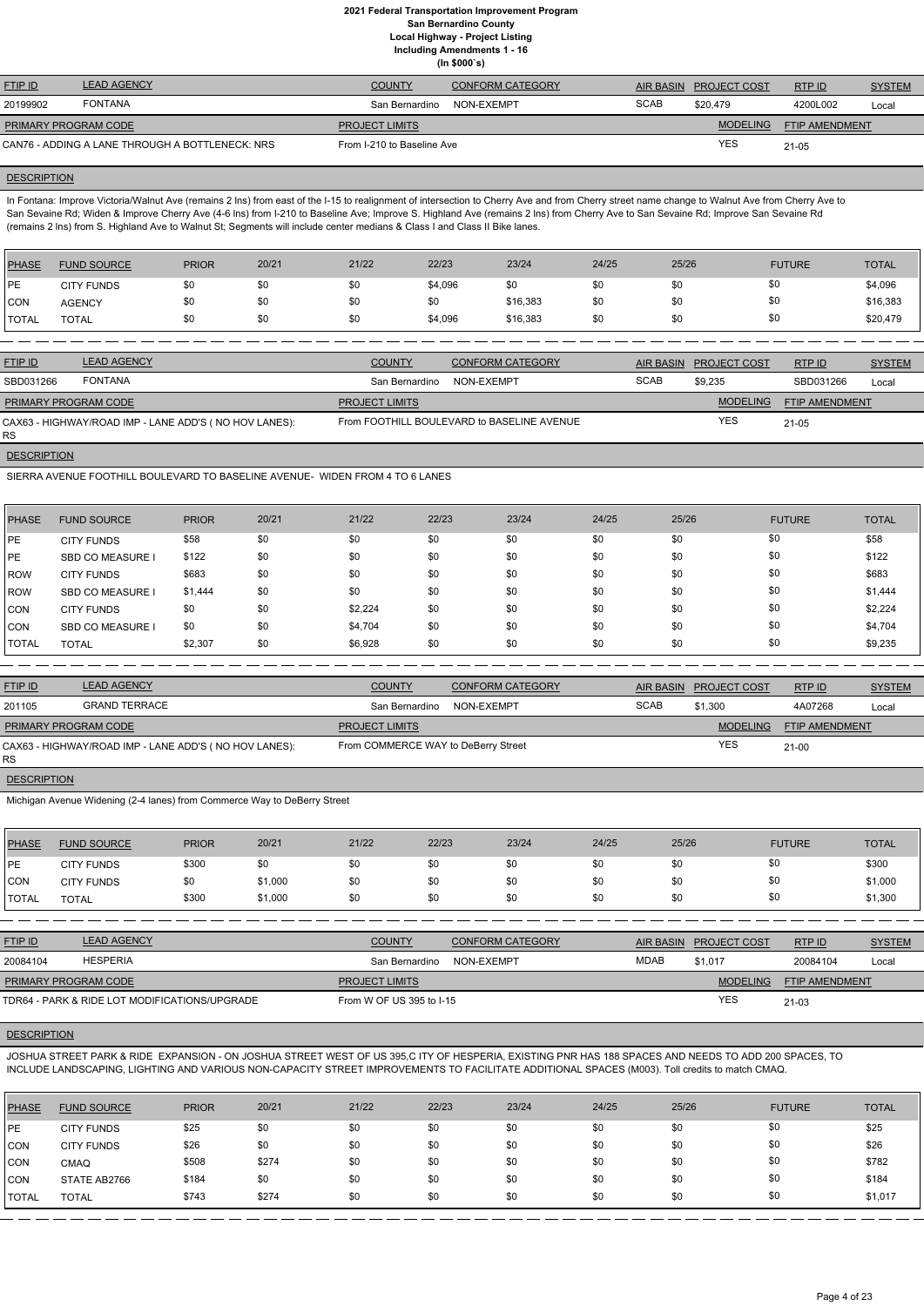**(In \$000`s)**

| <b>FTIP ID</b>              | <b>LEAD AGENCY</b>                              | <b>COUNTY</b>              | CONFORM CATEGORY | <b>AIR BASIN</b> | <b>PROJECT COST</b> | RTPID                 | <b>SYSTEM</b> |
|-----------------------------|-------------------------------------------------|----------------------------|------------------|------------------|---------------------|-----------------------|---------------|
| 20199902                    | <b>FONTANA</b>                                  | San Bernardino             | NON-EXEMPT       | <b>SCAB</b>      | \$20.479            | 4200L002              | Local         |
| <b>PRIMARY PROGRAM CODE</b> |                                                 | <b>PROJECT LIMITS</b>      |                  |                  | <b>MODELING</b>     | <b>FTIP AMENDMENT</b> |               |
|                             | CAN76 - ADDING A LANE THROUGH A BOTTLENECK: NRS | From I-210 to Baseline Ave |                  |                  | YES                 | 21-05                 |               |

#### **DESCRIPTION**

In Fontana: Improve Victoria/Walnut Ave (remains 2 lns) from east of the I-15 to realignment of intersection to Cherry Ave and from Cherry street name change to Walnut Ave from Cherry Ave to San Sevaine Rd; Widen & Improve Cherry Ave (4-6 lns) from I-210 to Baseline Ave; Improve S. Highland Ave (remains 2 lns) from Cherry Ave to San Sevaine Rd; Improve San Sevaine Rd (remains 2 lns) from S. Highland Ave to Walnut St; Segments will include center medians & Class I and Class II Bike lanes.

| <b>PHASE</b> | <b>FUND SOURCE</b> | <b>PRIOR</b> | 20/21 | 21/22 | 22/23   | 23/24    | 24/25 | 25/26 | <b>FUTURE</b> | <b>TOTAL</b> |
|--------------|--------------------|--------------|-------|-------|---------|----------|-------|-------|---------------|--------------|
| <b>IPE</b>   | <b>CITY FUNDS</b>  | \$0          | \$0   | \$0   | \$4,096 | \$0      | \$0   | \$0   | \$0           | \$4,096      |
| <b>CON</b>   | <b>AGENCY</b>      | \$0          | \$0   | \$0   | \$0     | \$16,383 | \$0   | \$0   | \$Ο           | \$16,383     |
| <b>TOTAL</b> | <b>TOTAL</b>       | \$0          | \$0   | \$0   | \$4,096 | \$16,383 | \$0   | \$0   | \$0           | \$20,479     |

| <b>FTIP ID</b>              | <b>LEAD AGENCY</b>                                     | <b>COUNTY</b>         | <b>CONFORM CATEGORY</b>                    |             | AIR BASIN PROJECT COST | RTP ID         | <b>SYSTEM</b> |
|-----------------------------|--------------------------------------------------------|-----------------------|--------------------------------------------|-------------|------------------------|----------------|---------------|
| SBD031266                   | <b>FONTANA</b>                                         | San Bernardino        | NON-EXEMPT                                 | <b>SCAB</b> | \$9,235                | SBD031266      | Local         |
| <b>PRIMARY PROGRAM CODE</b> |                                                        | <b>PROJECT LIMITS</b> |                                            |             | <b>MODELING</b>        | FTIP AMENDMENT |               |
| RS.                         | CAX63 - HIGHWAY/ROAD IMP - LANE ADD'S ( NO HOV LANES): |                       | From FOOTHILL BOULEVARD to BASELINE AVENUE |             | <b>YES</b>             | $21 - 05$      |               |

**DESCRIPTION** 

SIERRA AVENUE FOOTHILL BOULEVARD TO BASELINE AVENUE- WIDEN FROM 4 TO 6 LANES

| PHASE        | <b>FUND SOURCE</b>      | <b>PRIOR</b> | 20/21 | 21/22   | 22/23 | 23/24 | 24/25 | 25/26 | <b>FUTURE</b> | <b>TOTAL</b> |
|--------------|-------------------------|--------------|-------|---------|-------|-------|-------|-------|---------------|--------------|
| <b>IPE</b>   | <b>CITY FUNDS</b>       | \$58         | \$0   | \$0     | \$0   | \$0   | \$0   | \$0   | \$0           | \$58         |
| <b>PE</b>    | <b>SBD CO MEASURE I</b> | \$122        | \$0   | \$0     | \$0   | \$0   | \$0   | \$0   | \$0           | \$122        |
| <b>IROW</b>  | <b>CITY FUNDS</b>       | \$683        | \$0   | \$0     | \$0   | \$0   | \$0   | \$0   | \$0           | \$683        |
| ROW          | <b>SBD CO MEASURE I</b> | \$1,444      | \$0   | \$0     | \$0   | \$0   | \$0   | \$0   | \$0           | \$1,444      |
| CON          | <b>CITY FUNDS</b>       | \$0          | \$0   | \$2,224 | \$0   | \$0   | \$0   | \$0   | \$0           | \$2,224      |
| <b>CON</b>   | <b>SBD CO MEASURE</b>   | \$0          | \$0   | \$4,704 | \$0   | \$0   | \$0   | \$0   | \$0           | \$4,704      |
| <b>TOTAL</b> | <b>TOTAL</b>            | \$2,307      | \$0   | \$6,928 | \$0   | \$0   | \$0   | \$0   | \$0           | \$9,235      |

| <b>FTIP ID</b>       | <b>LEAD AGENCY</b>                                    | <b>COUNTY</b>                       | <b>CONFORM CATEGORY</b> |             | AIR BASIN PROJECT COST | RTP ID         | <b>SYSTEM</b> |
|----------------------|-------------------------------------------------------|-------------------------------------|-------------------------|-------------|------------------------|----------------|---------------|
| 201105               | <b>GRAND TERRACE</b>                                  | San Bernardino                      | NON-EXEMPT              | <b>SCAB</b> | \$1,300                | 4A07268        | Local         |
| PRIMARY PROGRAM CODE |                                                       | <b>PROJECT LIMITS</b>               |                         |             | <b>MODELING</b>        | FTIP AMENDMENT |               |
| RS.                  | CAX63 - HIGHWAY/ROAD IMP - LANE ADD'S (NO HOV LANES): | From COMMERCE WAY to DeBerry Street |                         |             | <b>YES</b>             | $21 - 00$      |               |

## **DESCRIPTION**

Michigan Avenue Widening (2-4 lanes) from Commerce Way to DeBerry Street

| <b>PHASE</b>  | <b>FUND SOURCE</b> | <b>PRIOR</b> | 20/21   | 21/22 | 22/23 | 23/24 | 24/25 | 25/26 | <b>FUTURE</b> | <b>TOTAL</b> |
|---------------|--------------------|--------------|---------|-------|-------|-------|-------|-------|---------------|--------------|
| <b>IPE</b>    | <b>CITY FUNDS</b>  | \$300        |         | \$0   | \$0   | \$0   | \$0   |       | \$0           | \$300        |
| <b>CON</b>    | <b>CITY FUNDS</b>  |              | \$1,000 | \$0   | \$0   | \$0   | \$0   | \$0   | \$0           | \$1,000      |
| <b>ITOTAL</b> | TOTAL              | \$300        | \$1,000 | \$0   | \$0   | \$0   | \$0   | \$0   | \$0           | \$1,300      |

| <b>FTIP ID</b>       | <b>LEAD AGENCY</b> | <b>COUNTY</b>         | <b>CONFORM CATEGORY</b> |      | AIR BASIN PROJECT COST | RTPID                 | <b>SYSTEM</b> |
|----------------------|--------------------|-----------------------|-------------------------|------|------------------------|-----------------------|---------------|
| 20084104             | HESPERIA           | San Bernardino        | NON-EXEMPT              | MDAB | \$1.017                | 20084104              | Local         |
| PRIMARY PROGRAM CODE |                    | <b>PROJECT LIMITS</b> |                         |      | <b>MODELING</b>        | <b>FTIP AMENDMENT</b> |               |

## **DESCRIPTION**

JOSHUA STREET PARK & RIDE EXPANSION - ON JOSHUA STREET WEST OF US 395,C ITY OF HESPERIA, EXISTING PNR HAS 188 SPACES AND NEEDS TO ADD 200 SPACES, TO INCLUDE LANDSCAPING, LIGHTING AND VARIOUS NON-CAPACITY STREET IMPROVEMENTS TO FACILITATE ADDITIONAL SPACES (M003). Toll credits to match CMAQ.

| <b>PHASE</b> | <b>FUND SOURCE</b> | <b>PRIOR</b> | 20/21 | 21/22 | 22/23 | 23/24 | 24/25 | 25/26 | <b>FUTURE</b> | <b>TOTAL</b> |
|--------------|--------------------|--------------|-------|-------|-------|-------|-------|-------|---------------|--------------|
| <b>IPE</b>   | <b>CITY FUNDS</b>  | \$25         | \$0   | \$0   | \$0   | \$0   | \$0   | \$0   | \$0           | \$25         |
| <b>CON</b>   | <b>CITY FUNDS</b>  | \$26         | \$0   | \$0   | \$0   | \$0   | \$0   | \$0   | \$0           | \$26         |
| <b>CON</b>   | <b>CMAQ</b>        | \$508        | \$274 | \$0   | \$0   | \$0   | \$0   | \$0   | \$0           | \$782        |
| <b>CON</b>   | STATE AB2766       | \$184        | \$0   | \$0   | \$0   | \$0   | \$0   | \$0   | \$0           | \$184        |
| <b>TOTAL</b> | <b>TOTAL</b>       | \$743        | \$274 | \$0   | \$0   | \$0   | \$0   | \$0   | \$0           | \$1,017      |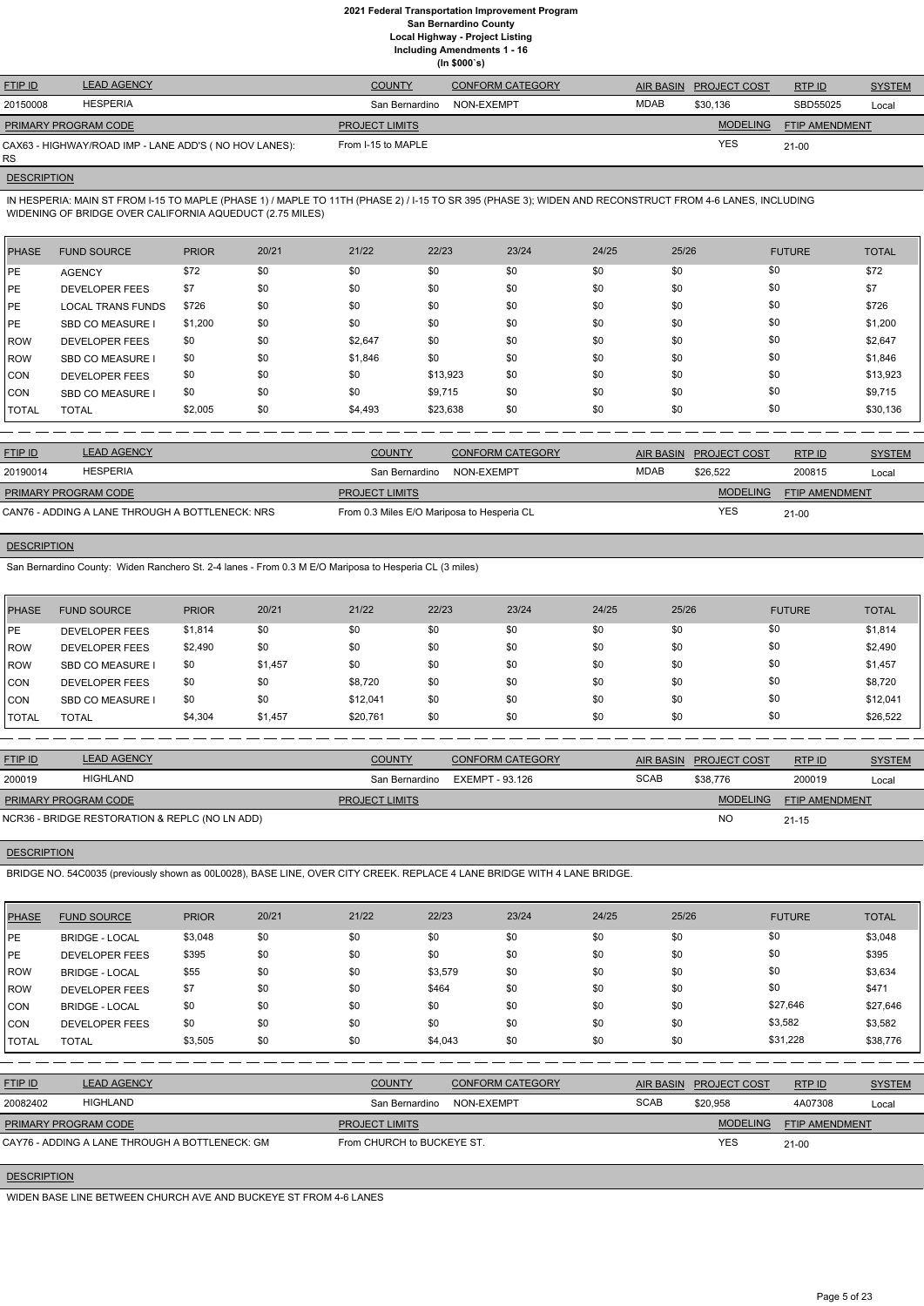**(In \$000`s)**

| <b>FTIP ID</b>              | <b>LEAD AGENCY</b>                                    | <b>COUNTY</b>         | <b>CONFORM CATEGORY</b> | AIR BASIN | <b>PROJECT COST</b> | RTPID          | <b>SYSTEM</b> |
|-----------------------------|-------------------------------------------------------|-----------------------|-------------------------|-----------|---------------------|----------------|---------------|
| 20150008                    | <b>HESPERIA</b>                                       | San Bernardino        | NON-EXEMPT              | MDAB      | \$30.136            | SBD55025       | Local         |
| <b>PRIMARY PROGRAM CODE</b> |                                                       | <b>PROJECT LIMITS</b> |                         |           | <b>MODELING</b>     | FTIP AMENDMENT |               |
| <b>RS</b>                   | CAX63 - HIGHWAY/ROAD IMP - LANE ADD'S (NO HOV LANES): | From I-15 to MAPLE    |                         |           | <b>YES</b>          | 21-00          |               |

## **DESCRIPTION**

IN HESPERIA: MAIN ST FROM I-15 TO MAPLE (PHASE 1) / MAPLE TO 11TH (PHASE 2) / I-15 TO SR 395 (PHASE 3); WIDEN AND RECONSTRUCT FROM 4-6 LANES, INCLUDING WIDENING OF BRIDGE OVER CALIFORNIA AQUEDUCT (2.75 MILES)

| <b>PHASE</b> | <b>FUND SOURCE</b>       | <b>PRIOR</b> | 20/21 | 21/22   | 22/23    | 23/24 | 24/25 | 25/26 | <b>FUTURE</b> | <b>TOTAL</b> |
|--------------|--------------------------|--------------|-------|---------|----------|-------|-------|-------|---------------|--------------|
| PE           | <b>AGENCY</b>            | \$72         | \$0   | \$0     | \$0      | \$0   | \$0   | \$0   | \$0           | \$72         |
| PE           | <b>DEVELOPER FEES</b>    | \$7          | \$0   | \$0     | \$0      | \$0   | \$0   | \$0   | \$0           | \$7          |
| PE           | <b>LOCAL TRANS FUNDS</b> | \$726        | \$0   | \$0     | \$0      | \$0   | \$0   | \$0   | \$0           | \$726        |
| PE           | <b>SBD CO MEASURE</b>    | \$1,200      | \$0   | \$0     | \$0      | \$0   | \$0   | \$0   | \$0           | \$1,200      |
| <b>IROW</b>  | <b>DEVELOPER FEES</b>    | \$0          | \$0   | \$2,647 | \$0      | \$0   | \$0   | \$0   | \$0           | \$2,647      |
| <b>IROW</b>  | SBD CO MEASURE           | \$0          | \$0   | \$1,846 | \$0      | \$0   | \$0   | \$0   | \$0           | \$1,846      |
| <b>CON</b>   | <b>DEVELOPER FEES</b>    | \$0          | \$0   | \$0     | \$13,923 | \$0   | \$0   | \$0   | \$0           | \$13,923     |
| <b>CON</b>   | <b>SBD CO MEASURE I</b>  | \$0          | \$0   | \$0     | \$9,715  | \$0   | \$0   | \$0   | \$0           | \$9,715      |
| <b>TOTAL</b> | <b>TOTAL</b>             | \$2,005      | \$0   | \$4,493 | \$23,638 | \$0   | \$0   | \$0   | \$0           | \$30,136     |

| <b>FTIP ID</b>              | <b>LEAD AGENCY</b>                              | <b>COUNTY</b>                              | CONFORM CATEGORY |             | AIR BASIN PROJECT COST | RTPID                 | <b>SYSTEM</b> |
|-----------------------------|-------------------------------------------------|--------------------------------------------|------------------|-------------|------------------------|-----------------------|---------------|
| 20190014                    | <b>HESPERIA</b>                                 | San Bernardino                             | NON-EXEMPT       | <b>MDAB</b> | \$26.522               | 200815                | Local         |
| <b>PRIMARY PROGRAM CODE</b> |                                                 | <b>PROJECT LIMITS</b>                      |                  |             | <b>MODELING</b>        | <b>FTIP AMENDMENT</b> |               |
|                             | CAN76 - ADDING A LANE THROUGH A BOTTLENECK: NRS | From 0.3 Miles E/O Mariposa to Hesperia CL |                  |             | YES                    | $21 - 00$             |               |

## **DESCRIPTION**

San Bernardino County: Widen Ranchero St. 2-4 lanes - From 0.3 M E/O Mariposa to Hesperia CL (3 miles)

| <b>PHASE</b> | <b>FUND SOURCE</b>    | <b>PRIOR</b> | 20/21   | 21/22    | 22/23 | 23/24 | 24/25 | 25/26 | <b>FUTURE</b> | <b>TOTAL</b> |
|--------------|-----------------------|--------------|---------|----------|-------|-------|-------|-------|---------------|--------------|
| PE           | DEVELOPER FEES        | \$1,814      | \$0     | \$0      | \$0   | \$0   | \$0   | \$0   | \$0           | \$1,814      |
| ROW          | <b>DEVELOPER FEES</b> | \$2,490      | \$0     | \$0      | \$0   | \$0   | \$0   | \$0   | \$0           | \$2,490      |
| l ROW        | SBD CO MEASURE I      | \$0          | \$1,457 | \$0      | \$0   | \$0   | \$0   | \$0   | \$0           | \$1,457      |
| ICON.        | <b>DEVELOPER FEES</b> | \$0          | \$0     | \$8,720  | \$0   | \$0   | \$0   | \$0   | \$0           | \$8,720      |
| ICON.        | SBD CO MEASURE I      | \$0          | \$0     | \$12,041 | \$0   | \$0   | \$0   | \$0   | \$0           | \$12,041     |
| TOTAL        | <b>TOTAL</b>          | \$4,304      | \$1,457 | \$20,761 | \$0   | \$0   | \$0   | \$0   | \$0           | \$26,522     |

| <b>FTIP ID</b>       | <b>LEAD AGENCY</b>                             | <b>COUNTY</b>         | <b>CONFORM CATEGORY</b> |             | AIR BASIN PROJECT COST | RTP ID                | <b>SYSTEM</b> |
|----------------------|------------------------------------------------|-----------------------|-------------------------|-------------|------------------------|-----------------------|---------------|
| 200019               | HIGHLAND                                       | San Bernardino        | EXEMPT - 93.126         | <b>SCAB</b> | \$38,776               | 200019                | Local         |
| PRIMARY PROGRAM CODE |                                                | <b>PROJECT LIMITS</b> |                         |             | MODELING               | <b>FTIP AMENDMENT</b> |               |
|                      | NCR36 - BRIDGE RESTORATION & REPLC (NO LN ADD) |                       |                         |             | <b>NC</b>              | $21 - 15$             |               |

## **DESCRIPTION**

BRIDGE NO. 54C0035 (previously shown as 00L0028), BASE LINE, OVER CITY CREEK. REPLACE 4 LANE BRIDGE WITH 4 LANE BRIDGE.

| <b>PHASE</b> | <b>FUND SOURCE</b>                             | <b>PRIOR</b> | 20/21 | 21/22                      | 22/23      | 23/24                   | 24/25 | 25/26            |                     | <b>FUTURE</b>         | <b>TOTAL</b>  |
|--------------|------------------------------------------------|--------------|-------|----------------------------|------------|-------------------------|-------|------------------|---------------------|-----------------------|---------------|
| PE           | <b>BRIDGE - LOCAL</b>                          | \$3,048      | \$0   | \$0                        | \$0        | \$0                     | \$0   | \$0              |                     | \$0                   | \$3,048       |
| PE           | <b>DEVELOPER FEES</b>                          | \$395        | \$0   | \$0                        | \$0        | \$0                     | \$0   | \$0              |                     | \$0                   | \$395         |
| <b>ROW</b>   | <b>BRIDGE - LOCAL</b>                          | \$55         | \$0   | \$0                        | \$3,579    | \$0                     | \$0   | \$0              |                     | \$0                   | \$3,634       |
| <b>ROW</b>   | <b>DEVELOPER FEES</b>                          | \$7          | \$0   | \$0                        | \$464      | \$0                     | \$0   | \$0              |                     | \$0                   | \$471         |
| <b>CON</b>   | <b>BRIDGE - LOCAL</b>                          | \$0          | \$0   | \$0                        | \$0        | \$0                     | \$0   | \$0              |                     | \$27,646              | \$27,646      |
| <b>CON</b>   | <b>DEVELOPER FEES</b>                          | \$0          | \$0   | \$0                        | \$0        | \$0                     | \$0   | \$0              |                     | \$3,582               | \$3,582       |
| <b>TOTAL</b> | <b>TOTAL</b>                                   | \$3,505      | \$0   | \$0                        | \$4,043    | \$0                     | \$0   | \$0              |                     | \$31,228              | \$38,776      |
|              |                                                |              |       |                            |            |                         |       |                  |                     |                       |               |
| FTIP ID      | <b>LEAD AGENCY</b>                             |              |       | <b>COUNTY</b>              |            | <b>CONFORM CATEGORY</b> |       | <b>AIR BASIN</b> | <b>PROJECT COST</b> | RTPID                 | <b>SYSTEM</b> |
| 20082402     | <b>HIGHLAND</b>                                |              |       | San Bernardino             | NON-EXEMPT |                         |       | <b>SCAB</b>      | \$20,958            | 4A07308               | Local         |
|              | PRIMARY PROGRAM CODE                           |              |       | <b>PROJECT LIMITS</b>      |            |                         |       |                  | <b>MODELING</b>     | <b>FTIP AMENDMENT</b> |               |
|              | CAY76 - ADDING A LANE THROUGH A BOTTLENECK: GM |              |       | From CHURCH to BUCKEYE ST. |            |                         |       |                  | <b>YES</b>          | $21 - 00$             |               |
|              |                                                |              |       |                            |            |                         |       |                  |                     |                       |               |

**DESCRIPTION** 

WIDEN BASE LINE BETWEEN CHURCH AVE AND BUCKEYE ST FROM 4-6 LANES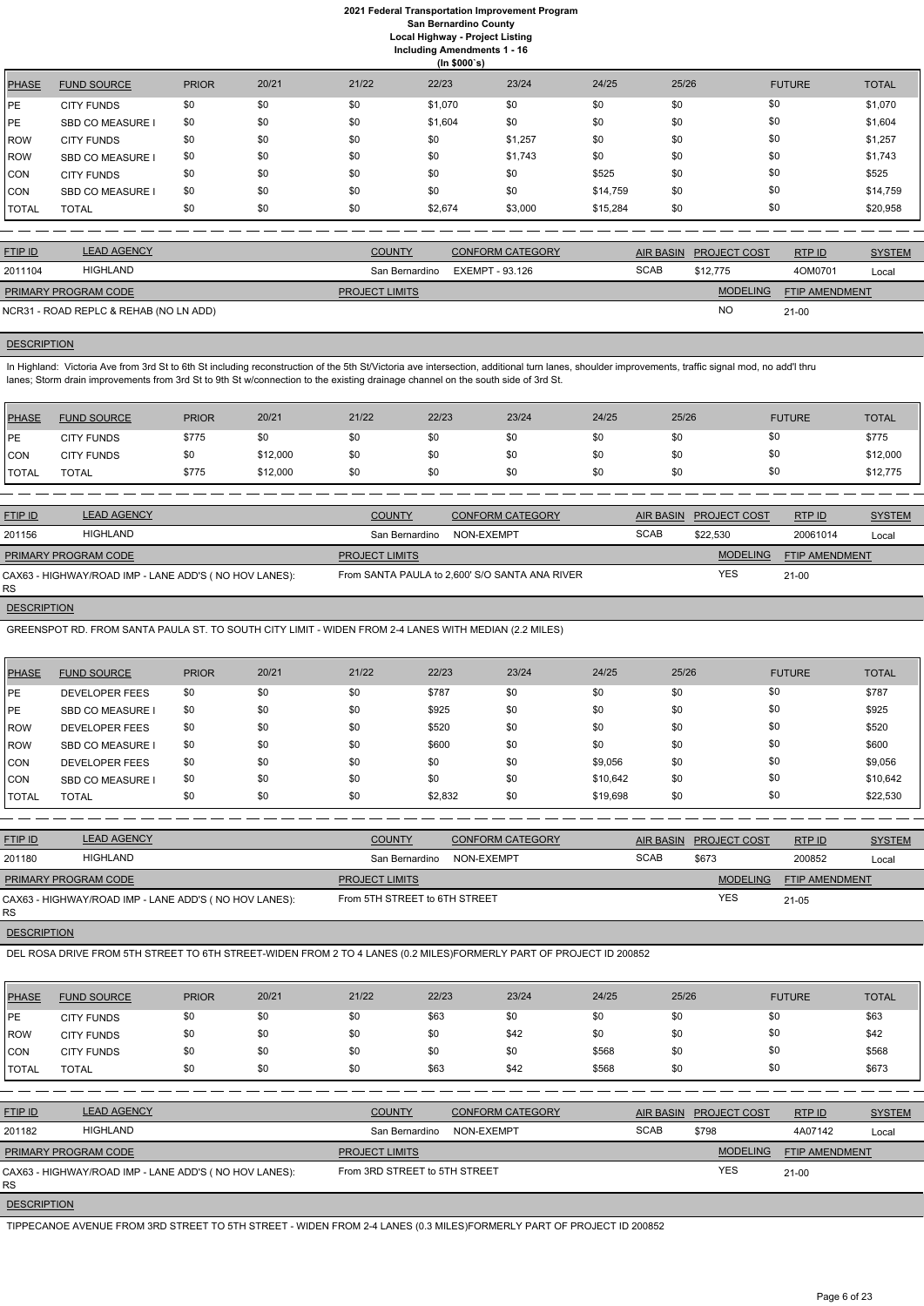**(In \$000`s)** PHASE FUND SOURCE PRIOR 20/21 21/22 22/23 23/24 24/25 25/26 FUTURE TOTAL PE CITY FUNDS \$0 \$0 \$0 \$0 \$1,070 \$0 \$0 \$0 \$0 \$0 \$0 \$1,070 PE SBD CO MEASURE I \$0 \$0 \$0 \$1,604 \$0 \$1,604 \$0 \$0 \$0 \$0 \$1,604 ROW CITY FUNDS \$0 \$0 \$0 \$0 \$0 \$1,257 \$0 \$0 \$1,257 \$0 \$0 \$1,257 ROW SBD CO MEASURE I \$0 \$0 \$0 \$0 \$0 \$1,743 \$0 \$0 \$0 \$1,743 CON CITY FUNDS \$0 \$0 \$0 \$0 \$0 \$0 \$0 \$525 \$0 \$0 \$525 \$0 \$0 \$525 CON SBD CO MEASURE I \$0 \$0 \$0 \$0 \$0 \$0 \$0 \$14,759 \$0 \$0 \$14,759 TOTAL TOTAL \$0 \$0 \$0 \$2,674 \$3,000 \$15,284 \$0 \$0 \$20,958

In Highland: Victoria Ave from 3rd St to 6th St including reconstruction of the 5th St/Victoria ave intersection, additional turn lanes, shoulder improvements, traffic signal mod, no add'l thru lanes; Storm drain improvements from 3rd St to 9th St w/connection to the existing drainage channel on the south side of 3rd St.

| <b>FTIP ID</b>              | <b>LEAD AGENCY</b>                     | <b>COUNTY</b>         | <b>CONFORM CATEGORY</b> |             | AIR BASIN PROJECT COST | RTP ID                | <b>SYSTEM</b> |
|-----------------------------|----------------------------------------|-----------------------|-------------------------|-------------|------------------------|-----------------------|---------------|
| 2011104                     | HIGHLAND                               | San Bernardino        | EXEMPT - 93.126         | <b>SCAB</b> | \$12,775               | 40M0701               | Local         |
| <b>PRIMARY PROGRAM CODE</b> |                                        | <b>PROJECT LIMITS</b> |                         |             | <b>MODELING</b>        | <b>FTIP AMENDMENT</b> |               |
|                             | NCR31 - ROAD REPLC & REHAB (NO LN ADD) |                       |                         |             | <b>NO</b>              | $21 - 00$             |               |

## **DESCRIPTION**

| <b>PHASE</b> | <b>FUND SOURCE</b> | <b>PRIOR</b> | 20/21    | 21/22 | 22/23 | 23/24 | 24/25 | 25/26 | <b>FUTURE</b> | <b>TOTAL</b> |
|--------------|--------------------|--------------|----------|-------|-------|-------|-------|-------|---------------|--------------|
| <b>IPE</b>   | <b>CITY FUNDS</b>  | \$775        | \$0      | \$0   | \$0   | \$0   | \$0   | \$0   | \$0           | \$775        |
| <b>CON</b>   | <b>CITY FUNDS</b>  | \$0          | \$12,000 | \$0   | \$0   | \$0   | \$0   | \$0   | \$0           | \$12,000     |
| <b>TOTAL</b> | <b>TOTAL</b>       | \$775        | \$12,000 | \$0   | \$0   | \$0   | \$0   | \$0   | \$0           | \$12,775     |

| <b>FTIP ID</b>              | <b>LEAD AGENCY</b>                                    | <b>COUNTY</b>         | <b>CONFORM CATEGORY</b>                        | <b>AIR BASIN</b> | <b>PROJECT COST</b> | RTPID                 | <b>SYSTEM</b> |
|-----------------------------|-------------------------------------------------------|-----------------------|------------------------------------------------|------------------|---------------------|-----------------------|---------------|
| 201156                      | <b>HIGHLAND</b>                                       | San Bernardino        | NON-EXEMPT                                     | <b>SCAB</b>      | \$22,530            | 20061014              | Local         |
| <b>PRIMARY PROGRAM CODE</b> |                                                       | <b>PROJECT LIMITS</b> |                                                |                  | <b>MODELING</b>     | <b>FTIP AMENDMENT</b> |               |
| <b>RS</b>                   | CAX63 - HIGHWAY/ROAD IMP - LANE ADD'S (NO HOV LANES): |                       | From SANTA PAULA to 2,600' S/O SANTA ANA RIVER |                  | <b>YES</b>          | $21 - 00$             |               |

#### **DESCRIPTION**

GREENSPOT RD. FROM SANTA PAULA ST. TO SOUTH CITY LIMIT - WIDEN FROM 2-4 LANES WITH MEDIAN (2.2 MILES)

| <b>PHASE</b> | <b>FUND SOURCE</b>      | <b>PRIOR</b> | 20/21 | 21/22 | 22/23   | 23/24 | 24/25    | 25/26 | <b>FUTURE</b> | <b>TOTAL</b> |
|--------------|-------------------------|--------------|-------|-------|---------|-------|----------|-------|---------------|--------------|
| <b>IPE</b>   | <b>DEVELOPER FEES</b>   | \$0          | \$0   | \$0   | \$787   | \$0   | \$0      | \$0   | \$0           | \$787        |
| <b>IPE</b>   | <b>SBD CO MEASURE I</b> | \$0          | \$0   | \$0   | \$925   | \$0   | \$0      | \$0   | \$0           | \$925        |
| <b>IROW</b>  | <b>DEVELOPER FEES</b>   | \$0          | \$0   | \$0   | \$520   | \$0   | \$0      | \$0   | \$0           | \$520        |
| ROW          | <b>SBD CO MEASURE I</b> | \$0          | \$0   | \$0   | \$600   | \$0   | \$0      | \$0   | \$0           | \$600        |
| CON          | <b>DEVELOPER FEES</b>   | \$0          | \$0   | \$0   | \$0     | \$0   | \$9,056  | \$0   | \$0           | \$9,056      |
| ICON         | <b>SBD CO MEASURE I</b> | \$0          | \$0   | \$0   | \$0     | \$0   | \$10,642 | \$0   | \$0           | \$10,642     |
| I TOTAL      | <b>TOTAL</b>            | \$0          | \$0   | \$0   | \$2,832 | \$0   | \$19,698 | \$0   | \$0           | \$22,530     |

| <b>FTIP ID</b>              | <b>LEAD AGENCY</b>                                    | <b>COUNTY</b>                 | <b>CONFORM CATEGORY</b> |             | AIR BASIN PROJECT COST | RTP ID                | <b>SYSTEM</b> |
|-----------------------------|-------------------------------------------------------|-------------------------------|-------------------------|-------------|------------------------|-----------------------|---------------|
| 201180                      | HIGHLAND                                              | San Bernardino                | NON-EXEMPT              | <b>SCAB</b> | \$673                  | 200852                | Local         |
| <b>PRIMARY PROGRAM CODE</b> |                                                       | <b>PROJECT LIMITS</b>         |                         |             | <b>MODELING</b>        | <b>FTIP AMENDMENT</b> |               |
| RS                          | CAX63 - HIGHWAY/ROAD IMP - LANE ADD'S (NO HOV LANES): | From 5TH STREET to 6TH STREET |                         |             | <b>YES</b>             | 21-05                 |               |

## **DESCRIPTION**

DEL ROSA DRIVE FROM 5TH STREET TO 6TH STREET-WIDEN FROM 2 TO 4 LANES (0.2 MILES)FORMERLY PART OF PROJECT ID 200852

| PHASE          | <b>FUND SOURCE</b>                                     | <b>PRIOR</b> | 20/21 | 21/22                 | 22/23                         | 23/24                   | 24/25 | 25/26       |                     | <b>FUTURE</b>  | <b>TOTAL</b>  |
|----------------|--------------------------------------------------------|--------------|-------|-----------------------|-------------------------------|-------------------------|-------|-------------|---------------------|----------------|---------------|
| <b>IPE</b>     | <b>CITY FUNDS</b>                                      | \$0          | \$0   | \$0                   | \$63                          | \$0                     | \$0   | \$0         | \$0                 |                | \$63          |
| ROW            | <b>CITY FUNDS</b>                                      | \$0          | \$0   | \$0                   | \$0                           | \$42                    | \$0   | \$0         | \$0                 |                | \$42          |
| <b>CON</b>     | <b>CITY FUNDS</b>                                      | \$0          | \$0   | \$0                   | \$0                           | \$0                     | \$568 | \$0         | \$0                 |                | \$568         |
| <b>TOTAL</b>   | <b>TOTAL</b>                                           | \$0          | \$0   | \$0                   | \$63                          | \$42                    | \$568 | \$0         | \$0                 |                | \$673         |
|                |                                                        |              |       |                       |                               |                         |       |             |                     |                |               |
| <b>FTIP ID</b> | <b>LEAD AGENCY</b>                                     |              |       | <b>COUNTY</b>         |                               | <b>CONFORM CATEGORY</b> |       | AIR BASIN   | <b>PROJECT COST</b> | RTPID          | <b>SYSTEM</b> |
| 201182         | <b>HIGHLAND</b>                                        |              |       |                       | San Bernardino                | NON-EXEMPT              |       | <b>SCAB</b> | \$798               | 4A07142        | Local         |
|                | PRIMARY PROGRAM CODE                                   |              |       | <b>PROJECT LIMITS</b> |                               |                         |       |             | <b>MODELING</b>     | FTIP AMENDMENT |               |
| RS             | CAX63 - HIGHWAY/ROAD IMP - LANE ADD'S ( NO HOV LANES): |              |       |                       | From 3RD STREET to 5TH STREET |                         |       |             | <b>YES</b>          | $21 - 00$      |               |
|                |                                                        |              |       |                       |                               |                         |       |             |                     |                |               |

**DESCRIPTION** 

TIPPECANOE AVENUE FROM 3RD STREET TO 5TH STREET - WIDEN FROM 2-4 LANES (0.3 MILES)FORMERLY PART OF PROJECT ID 200852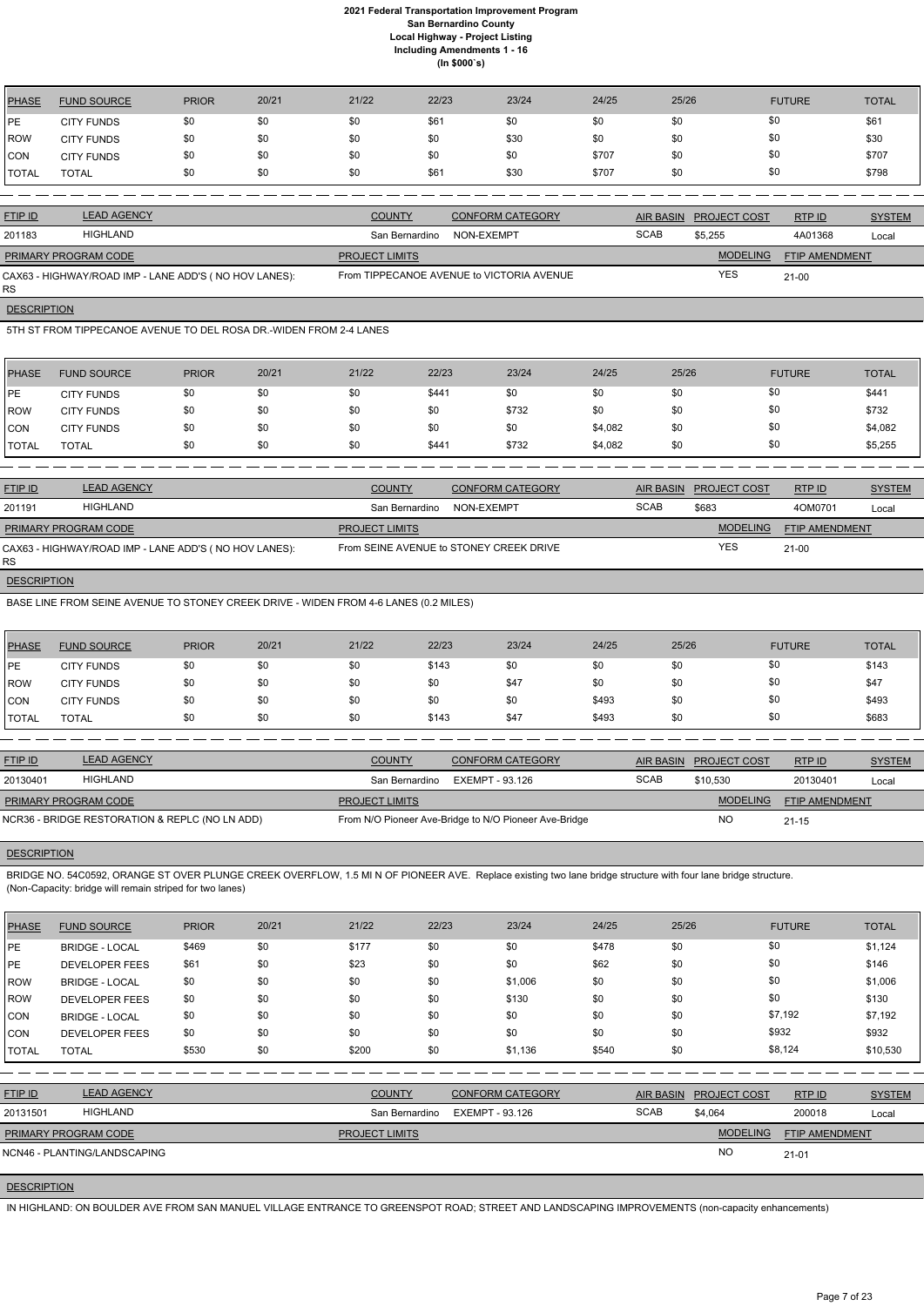| PHASE | <b>FUND SOURCE</b> | <b>PRIOR</b> | 20/21 | 21/22 | 22/23 | 23/24 | 24/25 | 25/26 | <b>FUTURE</b> | <b>TOTAL</b> |
|-------|--------------------|--------------|-------|-------|-------|-------|-------|-------|---------------|--------------|
| l PE  | <b>CITY FUNDS</b>  | \$0          | \$0   | \$0   | \$61  | \$0   | \$0   | \$0   | \$0           | \$61         |
| ROW   | <b>CITY FUNDS</b>  | \$0          | \$0   | \$0   | \$0   | \$30  | \$0   | \$0   | \$0           | \$30         |
| CON   | <b>CITY FUNDS</b>  | \$0          | \$0   | \$0   | \$0   | \$0   | \$707 | \$0   | \$0           | \$707        |
| TOTAL | <b>TOTAL</b>       | \$0          | \$0   | \$0   | \$61  | \$30  | \$707 | \$0   | \$0           | \$798        |

RS **DESCRIPTION** 

| <b>FTIP ID</b>              | <b>LEAD AGENCY</b>                                    | <b>COUNTY</b>         | <b>CONFORM CATEGORY</b>                   |             | AIR BASIN PROJECT COST | RTP ID                | <b>SYSTEM</b> |
|-----------------------------|-------------------------------------------------------|-----------------------|-------------------------------------------|-------------|------------------------|-----------------------|---------------|
| 201183                      | HIGHLAND                                              | San Bernardino        | NON-EXEMPT                                | <b>SCAB</b> | \$5.255                | 4A01368               | Local         |
| <b>PRIMARY PROGRAM CODE</b> |                                                       | <b>PROJECT LIMITS</b> |                                           |             | <b>MODELING</b>        | <b>FTIP AMENDMENT</b> |               |
|                             | CAX63 - HIGHWAY/ROAD IMP - LANE ADD'S (NO HOV LANES): |                       | From TIPPECANOE AVENUE to VICTORIA AVENUE |             | <b>YES</b>             | $21-00$               |               |

5TH ST FROM TIPPECANOE AVENUE TO DEL ROSA DR.-WIDEN FROM 2-4 LANES

| PHASE        | <b>FUND SOURCE</b> | <b>PRIOR</b> | 20/21 | 21/22 | 22/23 | 23/24 | 24/25   | 25/26 | <b>FUTURE</b> | <b>TOTAL</b> |
|--------------|--------------------|--------------|-------|-------|-------|-------|---------|-------|---------------|--------------|
| <b>IPE</b>   | <b>CITY FUNDS</b>  | \$0          | \$0   | \$0   | \$441 | \$0   | \$0     | \$0   | \$0           | \$441        |
| <b>IROW</b>  | <b>CITY FUNDS</b>  | \$0          | \$0   | \$0   | \$0   | \$732 | \$0     | \$0   | \$0           | \$732        |
| <b>CON</b>   | <b>CITY FUNDS</b>  | \$0          | \$0   | \$0   | \$0   | \$0   | \$4,082 | \$0   | \$0           | \$4,082      |
| <b>TOTAL</b> | TOTAL              | \$0          | \$0   | \$0   | \$441 | \$732 | \$4,082 | \$0   | \$0           | \$5,255      |

| <b>FTIP ID</b>              | <b>LEAD AGENCY</b>                                    | <b>COUNTY</b>         | <b>CONFORM CATEGORY</b>                 | AIR BASIN   | <b>PROJECT COST</b> | <b>RTPID</b>          | <b>SYSTEM</b> |
|-----------------------------|-------------------------------------------------------|-----------------------|-----------------------------------------|-------------|---------------------|-----------------------|---------------|
| 201191                      | HIGHLAND                                              | San Bernardino        | NON-EXEMPT                              | <b>SCAB</b> | \$683               | 4OM0701               | Local         |
| <b>PRIMARY PROGRAM CODE</b> |                                                       | <b>PROJECT LIMITS</b> |                                         |             | <b>MODELING</b>     | <b>FTIP AMENDMENT</b> |               |
| <b>RS</b>                   | CAX63 - HIGHWAY/ROAD IMP - LANE ADD'S (NO HOV LANES): |                       | From SEINE AVENUE to STONEY CREEK DRIVE |             | YES                 | $21-00$               |               |

**DESCRIPTION** 

BASE LINE FROM SEINE AVENUE TO STONEY CREEK DRIVE - WIDEN FROM 4-6 LANES (0.2 MILES)

| PHASE        | <b>FUND SOURCE</b> | <b>PRIOR</b> | 20/21 | 21/22 | 22/23 | 23/24 | 24/25 | 25/26 | <b>FUTURE</b> | <b>TOTAL</b> |
|--------------|--------------------|--------------|-------|-------|-------|-------|-------|-------|---------------|--------------|
| <b>IPE</b>   | <b>CITY FUNDS</b>  | \$0          | \$0   | \$0   | \$143 | \$0   | \$0   | \$0   | \$0           | \$143        |
| <b>ROW</b>   | <b>CITY FUNDS</b>  | \$0          | \$0   | \$0   | \$0   | \$47  | \$0   | \$0   | \$0           | \$47         |
| <b>CON</b>   | <b>CITY FUNDS</b>  | \$0          | \$0   | \$0   | \$0   | \$0   | \$493 | \$0   | \$0           | \$493        |
| <b>TOTAL</b> | TOTAL              | \$0          | \$0   | \$0   | \$143 | \$47  | \$493 | \$0   | \$0           | \$683        |

| <b>FTIP ID</b>       | <b>LEAD AGENCY</b>                             | <b>COUNTY</b>         | CONFORM CATEGORY                                      |             | AIR BASIN PROJECT COST | RTP ID                | <b>SYSTEM</b> |
|----------------------|------------------------------------------------|-----------------------|-------------------------------------------------------|-------------|------------------------|-----------------------|---------------|
| 20130401             | HIGHLAND                                       | San Bernardino        | EXEMPT - 93.126                                       | <b>SCAB</b> | \$10.530               | 20130401              | Local         |
| PRIMARY PROGRAM CODE |                                                | <b>PROJECT LIMITS</b> |                                                       |             | <b>MODELING</b>        | <b>FTIP AMENDMENT</b> |               |
|                      | NCR36 - BRIDGE RESTORATION & REPLC (NO LN ADD) |                       | From N/O Pioneer Ave-Bridge to N/O Pioneer Ave-Bridge |             | <b>NO</b>              | $21 - 15$             |               |

## **DESCRIPTION**

BRIDGE NO. 54C0592, ORANGE ST OVER PLUNGE CREEK OVERFLOW, 1.5 MI N OF PIONEER AVE. Replace existing two lane bridge structure with four lane bridge structure. (Non-Capacity: bridge will remain striped for two lanes)

| <b>PHASE</b> | <b>FUND SOURCE</b>           | <b>PRIOR</b> | 20/21 | 21/22                 | 22/23                  | 23/24                   | 24/25 | 25/26            |                     | <b>FUTURE</b>  | <b>TOTAL</b>  |
|--------------|------------------------------|--------------|-------|-----------------------|------------------------|-------------------------|-------|------------------|---------------------|----------------|---------------|
| <b>IPE</b>   | <b>BRIDGE - LOCAL</b>        | \$469        | \$0   | \$177                 | \$0                    | \$0                     | \$478 | \$0              |                     | \$0            | \$1,124       |
| <b>PE</b>    | <b>DEVELOPER FEES</b>        | \$61         | \$0   | \$23                  | \$0                    | \$0                     | \$62  | \$0              |                     | \$0            | \$146         |
| ROW          | <b>BRIDGE - LOCAL</b>        | \$0          | \$0   | \$0                   | \$0                    | \$1,006                 | \$0   | \$0              |                     | \$0            | \$1,006       |
| ROW          | <b>DEVELOPER FEES</b>        | \$0          | \$0   | \$0                   | \$0                    | \$130                   | \$0   | \$0              |                     | \$0            | \$130         |
| CON          | <b>BRIDGE - LOCAL</b>        | \$0          | \$0   | \$0                   | \$0                    | \$0                     | \$0   | \$0              |                     | \$7,192        | \$7,192       |
| CON          | <b>DEVELOPER FEES</b>        | \$0          | \$0   | \$0                   | \$0                    | \$0                     | \$0   | \$0              |                     | \$932          | \$932         |
| <b>TOTAL</b> | <b>TOTAL</b>                 | \$530        | \$0   | \$200                 | \$0                    | \$1,136                 | \$540 | \$0              |                     | \$8,124        | \$10,530      |
|              |                              |              |       |                       |                        |                         |       |                  |                     |                |               |
| FTIP ID      | <b>LEAD AGENCY</b>           |              |       | <b>COUNTY</b>         |                        | <b>CONFORM CATEGORY</b> |       | <b>AIR BASIN</b> | <b>PROJECT COST</b> | RTP ID         | <b>SYSTEM</b> |
| 20131501     | <b>HIGHLAND</b>              |              |       | San Bernardino        | <b>EXEMPT - 93.126</b> |                         |       | <b>SCAB</b>      | \$4,064             | 200018         | Local         |
|              | PRIMARY PROGRAM CODE         |              |       | <b>PROJECT LIMITS</b> |                        |                         |       |                  | <b>MODELING</b>     | FTIP AMENDMENT |               |
|              | NCN46 - PLANTING/LANDSCAPING |              |       |                       |                        |                         |       |                  | <b>NO</b>           | $21 - 01$      |               |
|              |                              |              |       |                       |                        |                         |       |                  |                     |                |               |

## **DESCRIPTION**

IN HIGHLAND: ON BOULDER AVE FROM SAN MANUEL VILLAGE ENTRANCE TO GREENSPOT ROAD; STREET AND LANDSCAPING IMPROVEMENTS (non-capacity enhancements)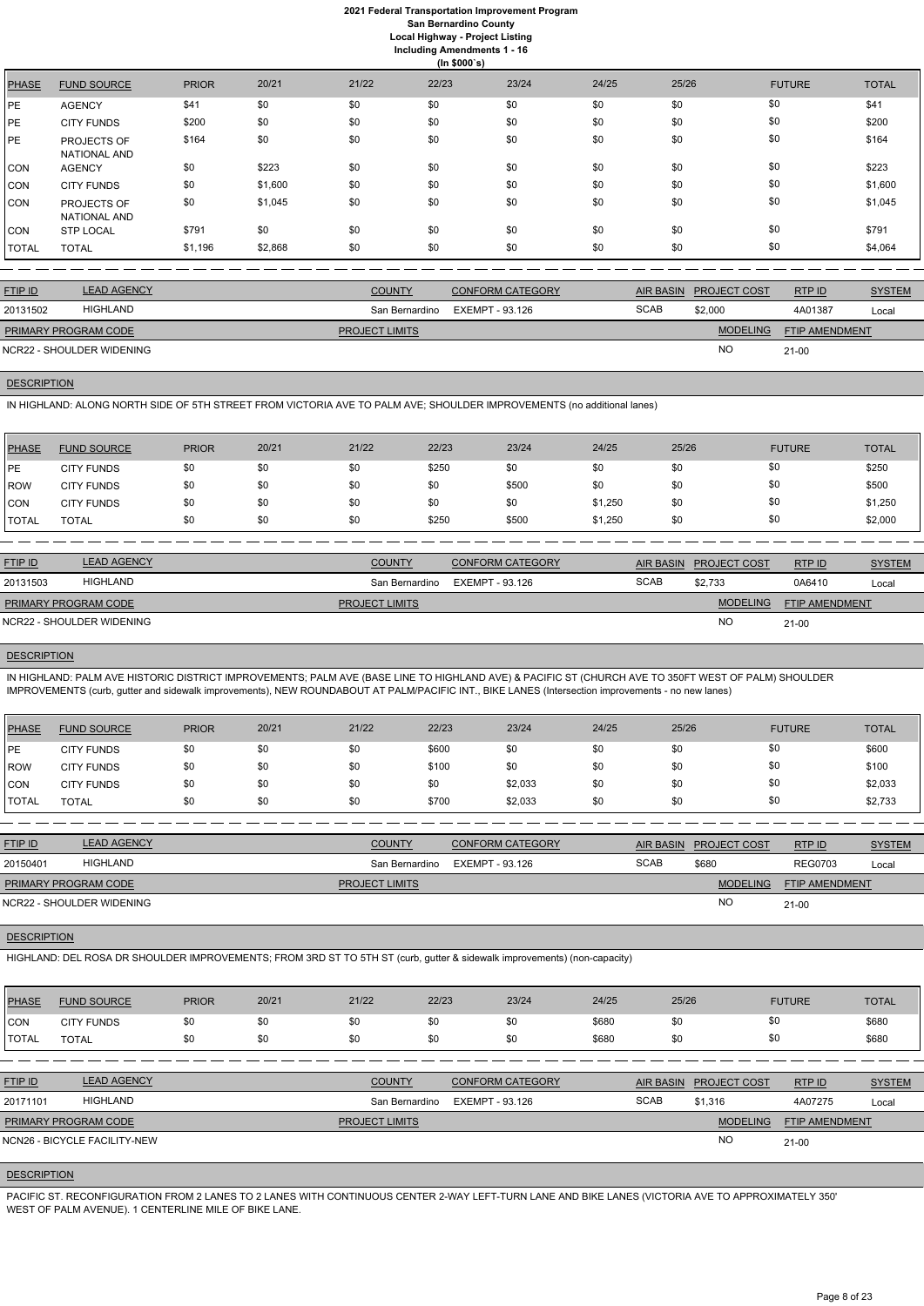|              | (ln \$000's)                |              |         |       |       |       |       |       |               |              |  |  |
|--------------|-----------------------------|--------------|---------|-------|-------|-------|-------|-------|---------------|--------------|--|--|
| <b>PHASE</b> | <b>FUND SOURCE</b>          | <b>PRIOR</b> | 20/21   | 21/22 | 22/23 | 23/24 | 24/25 | 25/26 | <b>FUTURE</b> | <b>TOTAL</b> |  |  |
| PE           | <b>AGENCY</b>               | \$41         | \$0     | \$0   | \$0   | \$0   | \$0   | \$0   | \$0           | \$41         |  |  |
| PE           | <b>CITY FUNDS</b>           | \$200        | \$0     | \$0   | \$0   | \$0   | \$0   | \$0   | \$0           | \$200        |  |  |
| PE           | PROJECTS OF<br>NATIONAL AND | \$164        | \$0     | \$0   | \$0   | \$0   | \$0   | \$0   | \$0           | \$164        |  |  |
| <b>CON</b>   | <b>AGENCY</b>               | \$0          | \$223   | \$0   | \$0   | \$0   | \$0   | \$0   | \$0           | \$223        |  |  |
| CON          | <b>CITY FUNDS</b>           | \$0          | \$1,600 | \$0   | \$0   | \$0   | \$0   | \$0   | \$0           | \$1,600      |  |  |
| CON          | PROJECTS OF<br>NATIONAL AND | \$0          | \$1,045 | \$0   | \$0   | \$0   | \$0   | \$0   | \$0           | \$1,045      |  |  |
| CON          | <b>STP LOCAL</b>            | \$791        | \$0     | \$0   | \$0   | \$0   | \$0   | \$0   | \$0           | \$791        |  |  |
| <b>TOTAL</b> | <b>TOTAL</b>                | \$1,196      | \$2,868 | \$0   | \$0   | \$0   | \$0   | \$0   | \$0           | \$4,064      |  |  |

| <b>FTIP ID</b>              | <b>LEAD AGENCY</b> | <b>COUNTY</b>         | <b>CONFORM CATEGORY</b> | <b>AIR BASIN</b> | <b>PROJECT COST</b> | RTP ID                | <b>SYSTEM</b> |
|-----------------------------|--------------------|-----------------------|-------------------------|------------------|---------------------|-----------------------|---------------|
| 20131502                    | <b>HIGHLAND</b>    | San Bernardino        | EXEMPT - 93.126         | <b>SCAB</b>      | \$2,000             | 4A01387               | Local         |
| <b>PRIMARY PROGRAM CODE</b> |                    | <b>PROJECT LIMITS</b> |                         |                  | <b>MODELING</b>     | <b>FTIP AMENDMENT</b> |               |
| NCR22 - SHOULDER WIDENING   |                    |                       |                         |                  | <b>NO</b>           | $21 - 00$             |               |

## **DESCRIPTION**

IN HIGHLAND: ALONG NORTH SIDE OF 5TH STREET FROM VICTORIA AVE TO PALM AVE; SHOULDER IMPROVEMENTS (no additional lanes)

| PHASE         | <b>FUND SOURCE</b> | <b>PRIOR</b> | 20/21 | 21/22 | 22/23 | 23/24 | 24/25   | 25/26 | <b>FUTURE</b> | <b>TOTAL</b> |
|---------------|--------------------|--------------|-------|-------|-------|-------|---------|-------|---------------|--------------|
| <b>IPE</b>    | <b>CITY FUNDS</b>  | \$0          | \$0   | \$0   | \$250 | \$0   | \$0     | \$0   | \$0           | \$250        |
| <b>ROW</b>    | <b>CITY FUNDS</b>  | \$0          | \$0   | \$0   | \$0   | \$500 | \$0     | \$0   | \$0           | \$500        |
| <b>CON</b>    | <b>CITY FUNDS</b>  | \$0          | \$0   | \$0   | \$0   | \$0   | \$1,250 | \$0   | \$0           | \$1,250      |
| <b>ITOTAL</b> | TOTAL              | \$0          | \$0   | \$0   | \$250 | \$500 | \$1,250 | \$0   | \$0           | \$2,000      |

| <b>FTIP ID</b>              | <b>LEAD AGENCY</b>        | <b>COUNTY</b>         | <b>CONFORM CATEGORY</b> |             | AIR BASIN PROJECT COST | RTP ID                | <b>SYSTEM</b> |
|-----------------------------|---------------------------|-----------------------|-------------------------|-------------|------------------------|-----------------------|---------------|
| 20131503                    | HIGHLAND                  | San Bernardino        | EXEMPT - 93.126         | <b>SCAB</b> | \$2,733                | 0A6410                | Local         |
| <b>PRIMARY PROGRAM CODE</b> |                           | <b>PROJECT LIMITS</b> |                         |             | <b>MODELING</b>        | <b>FTIP AMENDMENT</b> |               |
|                             | NCR22 - SHOULDER WIDENING |                       |                         |             | NC                     | $21 - 00$             |               |

## **DESCRIPTION**

IN HIGHLAND: PALM AVE HISTORIC DISTRICT IMPROVEMENTS; PALM AVE (BASE LINE TO HIGHLAND AVE) & PACIFIC ST (CHURCH AVE TO 350FT WEST OF PALM) SHOULDER IMPROVEMENTS (curb, gutter and sidewalk improvements), NEW ROUNDABOUT AT PALM/PACIFIC INT., BIKE LANES (Intersection improvements - no new lanes)

| <b>PHASE</b> | <b>FUND SOURCE</b> | <b>PRIOR</b> | 20/21 | 21/22 | 22/23 | 23/24   | 24/25 | 25/26 | <b>FUTURE</b> | <b>TOTAL</b> |
|--------------|--------------------|--------------|-------|-------|-------|---------|-------|-------|---------------|--------------|
| <b>IPE</b>   | <b>CITY FUNDS</b>  | \$0          | \$0   | \$0   | \$600 | \$0     | \$0   | \$0   | \$0           | \$600        |
| ROW          | <b>CITY FUNDS</b>  | \$0          | \$0   | \$0   | \$100 | \$0     | \$0   | \$0   | \$0           | \$100        |
| <b>CON</b>   | <b>CITY FUNDS</b>  | \$0          | \$0   | \$0   | \$0   | \$2,033 | \$0   | \$0   | \$0           | \$2,033      |
| <b>TOTAL</b> | <b>TOTAL</b>       | \$0          | \$0   | \$0   | \$700 | \$2,033 | \$0   | \$0   | \$0           | \$2,733      |

| <b>FTIP ID</b>              | <b>LEAD AGENCY</b>        | <b>COUNTY</b>         | <b>CONFORM CATEGORY</b> | <b>AIR BASIN</b> | <b>PROJECT COST</b> | RTPID                 | <b>SYSTEM</b> |
|-----------------------------|---------------------------|-----------------------|-------------------------|------------------|---------------------|-----------------------|---------------|
| 20150401                    | HIGHLAND                  | San Bernardino        | EXEMPT - 93.126         | <b>SCAB</b>      | \$680               | <b>REG0703</b>        | Local         |
| <b>PRIMARY PROGRAM CODE</b> |                           | <b>PROJECT LIMITS</b> |                         |                  | <b>MODELING</b>     | <b>FTIP AMENDMENT</b> |               |
|                             | NCR22 - SHOULDER WIDENING |                       |                         |                  | <b>NC</b>           | $21-00$               |               |

#### **DESCRIPTION**

| <b>PHASE</b>   | <b>FUND SOURCE</b>           | <b>PRIOR</b> | 20/21 | 21/22                 | 22/23           | 23/24                   | 24/25 | 25/26       |                               | <b>FUTURE</b>         | <b>TOTAL</b>  |
|----------------|------------------------------|--------------|-------|-----------------------|-----------------|-------------------------|-------|-------------|-------------------------------|-----------------------|---------------|
| <b>CON</b>     | <b>CITY FUNDS</b>            | \$0          | \$0   | \$0                   | \$0             | \$0                     | \$680 | \$0         |                               | \$0                   | \$680         |
| <b>I</b> TOTAL | <b>TOTAL</b>                 | \$0          | \$0   | \$0                   | \$0             | \$0                     | \$680 | \$0         |                               | \$0                   | \$680         |
|                |                              |              |       |                       |                 |                         |       |             |                               |                       |               |
| <b>FTIP ID</b> | <b>LEAD AGENCY</b>           |              |       | <b>COUNTY</b>         |                 | <b>CONFORM CATEGORY</b> |       |             | <b>AIR BASIN PROJECT COST</b> | RTPID                 | <b>SYSTEM</b> |
| 20171101       | <b>HIGHLAND</b>              |              |       | San Bernardino        | EXEMPT - 93.126 |                         |       | <b>SCAB</b> | \$1,316                       | 4A07275               | Local         |
|                | PRIMARY PROGRAM CODE         |              |       | <b>PROJECT LIMITS</b> |                 |                         |       |             | <b>MODELING</b>               | <b>FTIP AMENDMENT</b> |               |
|                | NCN26 - BICYCLE FACILITY-NEW |              |       |                       |                 |                         |       |             | <sub>NO</sub>                 | $21-00$               |               |
|                |                              |              |       |                       |                 |                         |       |             |                               |                       |               |

## **DESCRIPTION**

PACIFIC ST. RECONFIGURATION FROM 2 LANES TO 2 LANES WITH CONTINUOUS CENTER 2-WAY LEFT-TURN LANE AND BIKE LANES (VICTORIA AVE TO APPROXIMATELY 350' WEST OF PALM AVENUE). 1 CENTERLINE MILE OF BIKE LANE.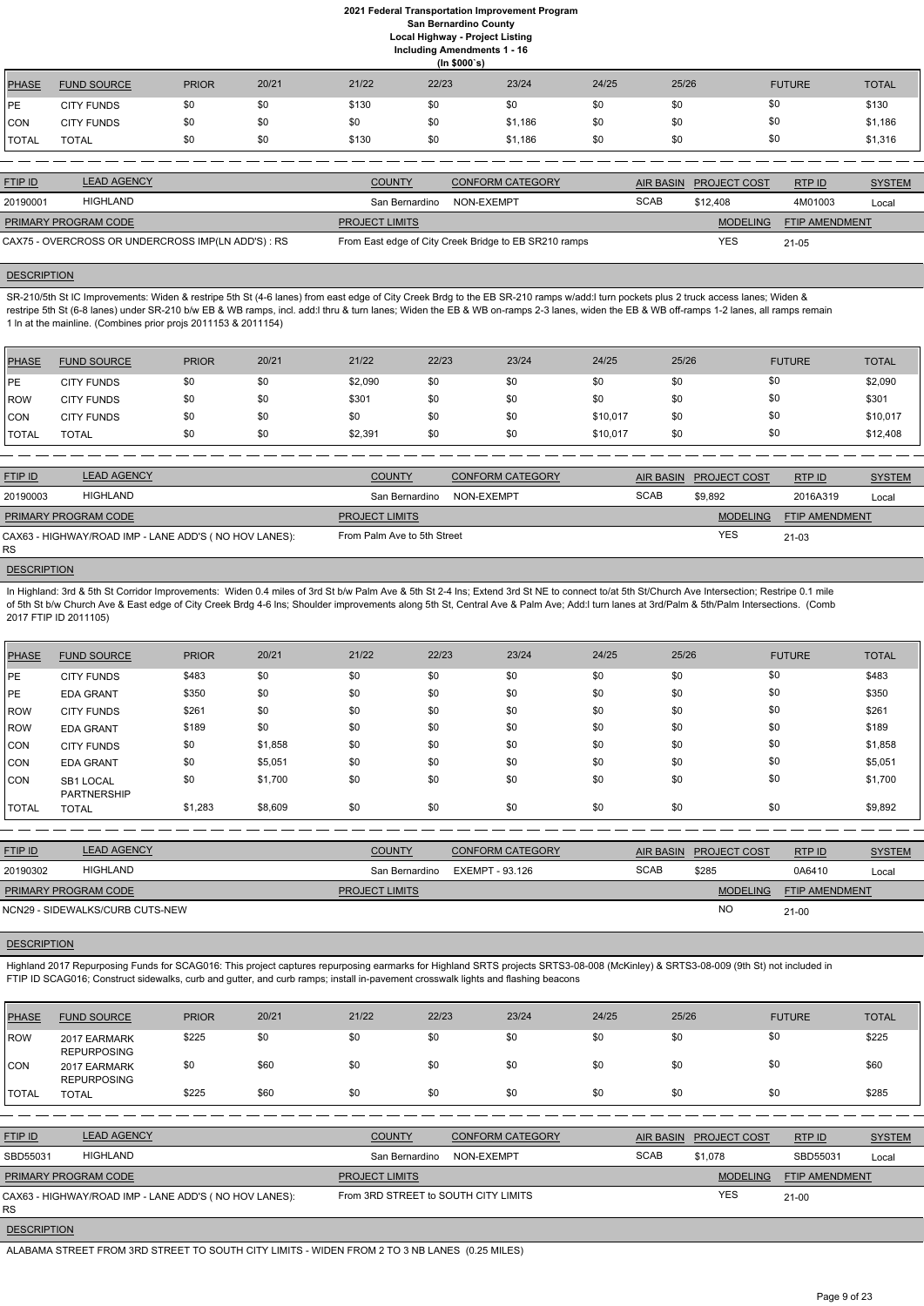|               | (ln \$000's)       |              |       |       |       |         |       |       |               |              |  |
|---------------|--------------------|--------------|-------|-------|-------|---------|-------|-------|---------------|--------------|--|
| <b>PHASE</b>  | <b>FUND SOURCE</b> | <b>PRIOR</b> | 20/21 | 21/22 | 22/23 | 23/24   | 24/25 | 25/26 | <b>FUTURE</b> | <b>TOTAL</b> |  |
| <b>IPE</b>    | <b>CITY FUNDS</b>  | \$0          | \$0   | \$130 | \$0   | \$0     | \$0   | \$0   | \$0           | \$130        |  |
| CON           | <b>CITY FUNDS</b>  | \$0          | \$0   | \$0   | \$0   | \$1,186 | \$0   | \$0   | \$0           | \$1,186      |  |
| <b>ITOTAL</b> | <b>TOTAL</b>       | \$0          | \$0   | \$130 | \$0   | \$1,186 | \$0   | \$0   | \$0           | \$1,316      |  |

| <b>FTIP ID</b>              | <b>LEAD AGENCY</b>                                 | <b>COUNTY</b>             | <b>CONFORM CATEGORY</b>                               |             | AIR BASIN PROJECT COST | RTP ID                | <b>SYSTEM</b> |
|-----------------------------|----------------------------------------------------|---------------------------|-------------------------------------------------------|-------------|------------------------|-----------------------|---------------|
| 20190001                    | HIGHLAND                                           | San Bernardino NON-EXEMPT |                                                       | <b>SCAB</b> | \$12.408               | 4M01003               | Local         |
| <b>PRIMARY PROGRAM CODE</b> |                                                    | <b>PROJECT LIMITS</b>     |                                                       |             | <b>MODELING</b>        | <b>FTIP AMENDMENT</b> |               |
|                             | CAX75 - OVERCROSS OR UNDERCROSS IMP(LN ADD'S) : RS |                           | From East edge of City Creek Bridge to EB SR210 ramps |             | YES                    | $21 - 05$             |               |

#### **DESCRIPTION**

SR-210/5th St IC Improvements: Widen & restripe 5th St (4-6 lanes) from east edge of City Creek Brdg to the EB SR-210 ramps w/add:l turn pockets plus 2 truck access lanes; Widen & restripe 5th St (6-8 lanes) under SR-210 b/w EB & WB ramps, incl. add:l thru & turn lanes; Widen the EB & WB on-ramps 2-3 lanes, widen the EB & WB off-ramps 1-2 lanes, all ramps remain 1 ln at the mainline. (Combines prior projs 2011153 & 2011154)

In Highland: 3rd & 5th St Corridor Improvements: Widen 0.4 miles of 3rd St b/w Palm Ave & 5th St 2-4 lns; Extend 3rd St NE to connect to/at 5th St/Church Ave Intersection; Restripe 0.1 mile of 5th St b/w Church Ave & East edge of City Creek Brdg 4-6 lns; Shoulder improvements along 5th St, Central Ave & Palm Ave; Add:l turn lanes at 3rd/Palm & 5th/Palm Intersections. (Comb 2017 FTIP ID 2011105)

| <b>PHASE</b> | <b>FUND SOURCE</b> | <b>PRIOR</b> | 20/21 | 21/22   | 22/23 | 23/24 | 24/25    | 25/26 | <b>FUTURE</b> | <b>TOTAL</b> |
|--------------|--------------------|--------------|-------|---------|-------|-------|----------|-------|---------------|--------------|
| <b>IPE</b>   | <b>CITY FUNDS</b>  | \$0          | \$0   | \$2,090 | \$0   | \$0   | \$0      | \$0   | \$0           | \$2,090      |
| ROW          | <b>CITY FUNDS</b>  | \$0          | \$0   | \$301   | \$0   | \$0   | \$0      | \$0   | \$0           | \$301        |
| <b>CON</b>   | <b>CITY FUNDS</b>  | \$0          | \$0   | \$0     | \$0   | \$0   | \$10,017 | \$0   | \$0           | \$10,017     |
| <b>TOTAL</b> | TOTAL              | \$0          | \$0   | \$2,391 | \$0   | \$0   | \$10,017 | \$0   | \$0           | \$12,408     |

| <b>FTIP ID</b>              | <b>LEAD AGENCY</b>                                    | <b>COUNTY</b>               | <b>CONFORM CATEGORY</b> |             | AIR BASIN PROJECT COST | RTP ID                | <b>SYSTEM</b> |
|-----------------------------|-------------------------------------------------------|-----------------------------|-------------------------|-------------|------------------------|-----------------------|---------------|
| 20190003                    | <b>HIGHLAND</b>                                       | San Bernardino              | NON-EXEMPT              | <b>SCAB</b> | \$9.892                | 2016A319              | Local         |
| <b>PRIMARY PROGRAM CODE</b> |                                                       | <b>PROJECT LIMITS</b>       |                         |             | <b>MODELING</b>        | <b>FTIP AMENDMENT</b> |               |
| <b>RS</b>                   | CAX63 - HIGHWAY/ROAD IMP - LANE ADD'S (NO HOV LANES): | From Palm Ave to 5th Street |                         |             | <b>YES</b>             | $21 - 03$             |               |

#### **DESCRIPTION**

| PHASE        | <b>FUND SOURCE</b>              | <b>PRIOR</b> | 20/21   | 21/22 | 22/23 | 23/24 | 24/25 | 25/26 | <b>FUTURE</b> | <b>TOTAL</b> |
|--------------|---------------------------------|--------------|---------|-------|-------|-------|-------|-------|---------------|--------------|
| <b>IPE</b>   | <b>CITY FUNDS</b>               | \$483        | \$0     | \$0   | \$0   | \$0   | \$0   | \$0   | \$0           | \$483        |
| <b>IPE</b>   | <b>EDA GRANT</b>                | \$350        | \$0     | \$0   | \$0   | \$0   | \$0   | \$0   | \$0           | \$350        |
| ROW          | <b>CITY FUNDS</b>               | \$261        | \$0     | \$0   | \$0   | \$0   | \$0   | \$0   | \$0           | \$261        |
| ROW          | <b>EDA GRANT</b>                | \$189        | \$0     | \$0   | \$0   | \$0   | \$0   | \$0   | \$0           | \$189        |
| <b>CON</b>   | <b>CITY FUNDS</b>               | \$0          | \$1,858 | \$0   | \$0   | \$0   | \$0   | \$0   | \$0           | \$1,858      |
| CON          | <b>EDA GRANT</b>                | \$0          | \$5,051 | \$0   | \$0   | \$0   | \$0   | \$0   | \$0           | \$5,051      |
| <b>ICON</b>  | SB1 LOCAL<br><b>PARTNERSHIP</b> | \$0          | \$1,700 | \$0   | \$0   | \$0   | \$0   | \$0   | \$0           | \$1,700      |
| <b>TOTAL</b> | <b>TOTAL</b>                    | \$1,283      | \$8,609 | \$0   | \$0   | \$0   | \$0   | \$0   | \$0           | \$9,892      |

| <b>FTIP ID</b>              | <b>LEAD AGENCY</b>              | <b>COUNTY</b>         | <b>CONFORM CATEGORY</b> | <b>AIR BASIN</b> | <b>PROJECT COST</b> | RTP ID                | <b>SYSTEM</b> |
|-----------------------------|---------------------------------|-----------------------|-------------------------|------------------|---------------------|-----------------------|---------------|
| 20190302                    | HIGHLAND                        | San Bernardino        | EXEMPT - 93.126         | <b>SCAB</b>      | \$285               | 0A6410                | Local         |
| <b>PRIMARY PROGRAM CODE</b> |                                 | <b>PROJECT LIMITS</b> |                         |                  | <b>MODELING</b>     | <b>FTIP AMENDMENT</b> |               |
|                             | NCN29 - SIDEWALKS/CURB CUTS-NEW |                       |                         |                  | <b>NO</b>           | $21 - 00$             |               |

#### **DESCRIPTION**

Highland 2017 Repurposing Funds for SCAG016: This project captures repurposing earmarks for Highland SRTS projects SRTS3-08-008 (McKinley) & SRTS3-08-009 (9th St) not included in FTIP ID SCAG016; Construct sidewalks, curb and gutter, and curb ramps; install in-pavement crosswalk lights and flashing beacons

| PHASE               | <b>FUND SOURCE</b>                                    | <b>PRIOR</b> | 20/21 | 21/22                                | 22/23      | 23/24                   | 24/25            | 25/26               | <b>FUTURE</b>         | <b>TOTAL</b>  |
|---------------------|-------------------------------------------------------|--------------|-------|--------------------------------------|------------|-------------------------|------------------|---------------------|-----------------------|---------------|
| ROW                 | 2017 EARMARK<br><b>REPURPOSING</b>                    | \$225        | \$0   | \$0                                  | \$0        | \$0                     | \$0              | \$0                 | \$0                   | \$225         |
| CON                 | 2017 EARMARK<br><b>REPURPOSING</b>                    | \$0          | \$60  | \$0                                  | \$0        | \$0                     | \$0              | \$0                 | \$0                   | \$60          |
| <b>TOTAL</b>        | <b>TOTAL</b>                                          | \$225        | \$60  | \$0                                  | \$0        | \$0                     | \$0              | \$0                 | \$0                   | \$285         |
|                     |                                                       |              |       |                                      |            |                         |                  |                     |                       |               |
| <b>FTIP ID</b>      | <b>LEAD AGENCY</b>                                    |              |       | <b>COUNTY</b>                        |            | <b>CONFORM CATEGORY</b> | <b>AIR BASIN</b> | <b>PROJECT COST</b> | RTP ID                | <b>SYSTEM</b> |
| SBD55031            | HIGHLAND                                              |              |       | San Bernardino                       | NON-EXEMPT |                         | <b>SCAB</b>      | \$1,078             | SBD55031              | Local         |
|                     | PRIMARY PROGRAM CODE                                  |              |       | <b>PROJECT LIMITS</b>                |            |                         |                  | <b>MODELING</b>     | <b>FTIP AMENDMENT</b> |               |
| RS.                 | CAX63 - HIGHWAY/ROAD IMP - LANE ADD'S (NO HOV LANES): |              |       | From 3RD STREET to SOUTH CITY LIMITS |            |                         |                  | <b>YES</b>          | $21-00$               |               |
| <b>DEAADIDTIALI</b> |                                                       |              |       |                                      |            |                         |                  |                     |                       |               |

**DESCRIPTION** 

ALABAMA STREET FROM 3RD STREET TO SOUTH CITY LIMITS - WIDEN FROM 2 TO 3 NB LANES (0.25 MILES)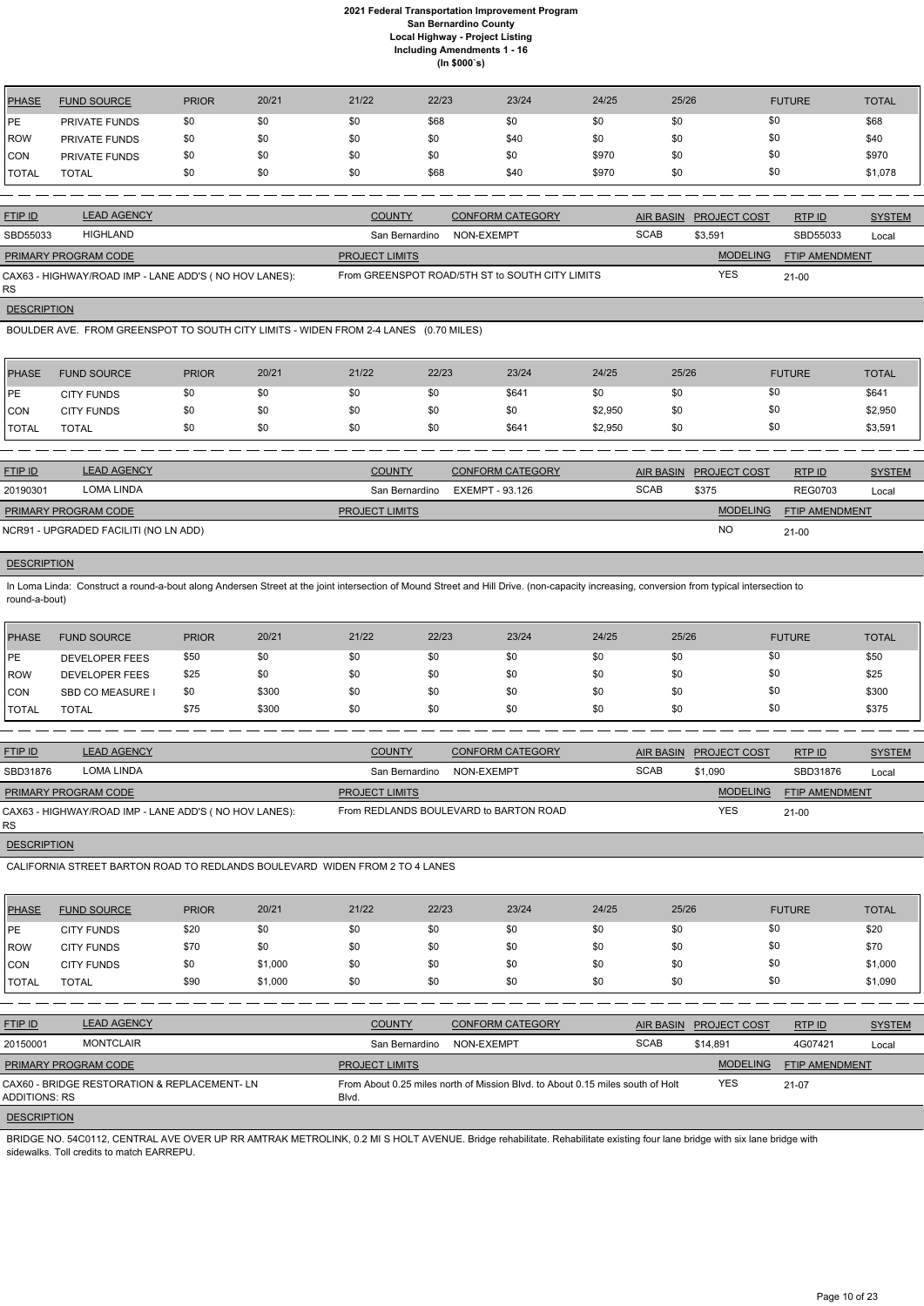| PHASE      | <b>FUND SOURCE</b>   | <b>PRIOR</b> | 20/21 | 21/22 | 22/23 | 23/24 | 24/25 | 25/26 | <b>FUTURE</b> | <b>TOTAL</b> |
|------------|----------------------|--------------|-------|-------|-------|-------|-------|-------|---------------|--------------|
| PE         | <b>PRIVATE FUNDS</b> | \$0          | \$0   | \$0   | \$68  | \$0   | \$0   | \$0   | \$0           | \$68         |
| ROW        | <b>PRIVATE FUNDS</b> | \$0          | \$0   | \$0   | \$0   | \$40  | \$0   | \$0   | \$0           | \$40         |
| <b>CON</b> | <b>PRIVATE FUNDS</b> | \$0          | \$0   | \$0   | \$0   | \$0   | \$970 | \$0   | \$0           | \$970        |
| TOTAL      | <b>TOTAL</b>         | \$0          | \$0   | \$0   | \$68  | \$40  | \$970 | \$0   | \$0           | \$1,078      |

RS **DESCRIPTION** 

| <b>FTIP ID</b>              | <b>LEAD AGENCY</b>                                    | <b>COUNTY</b>         | <b>CONFORM CATEGORY</b>                         |             | AIR BASIN PROJECT COST | RTP ID                | <b>SYSTEM</b> |
|-----------------------------|-------------------------------------------------------|-----------------------|-------------------------------------------------|-------------|------------------------|-----------------------|---------------|
| SBD55033                    | <b>HIGHLAND</b>                                       | San Bernardino        | NON-EXEMPT                                      | <b>SCAB</b> | \$3.591                | SBD55033              | Local         |
| <b>PRIMARY PROGRAM CODE</b> |                                                       | <b>PROJECT LIMITS</b> |                                                 |             | <b>MODELING</b>        | <b>FTIP AMENDMENT</b> |               |
|                             | CAX63 - HIGHWAY/ROAD IMP - LANE ADD'S (NO HOV LANES): |                       | From GREENSPOT ROAD/5TH ST to SOUTH CITY LIMITS |             | <b>YES</b>             | 21-00                 |               |

In Loma Linda: Construct a round-a-bout along Andersen Street at the joint intersection of Mound Street and Hill Drive. (non-capacity increasing, conversion from typical intersection to round-a-bout)

BOULDER AVE. FROM GREENSPOT TO SOUTH CITY LIMITS - WIDEN FROM 2-4 LANES (0.70 MILES)

| <b>PHASE</b>  | <b>FUND SOURCE</b> | <b>PRIOR</b> | 20/21 | 21/22 | 22/23 | 23/24 | 24/25   | 25/26 | <b>FUTURE</b> | <b>TOTAL</b> |
|---------------|--------------------|--------------|-------|-------|-------|-------|---------|-------|---------------|--------------|
| <b>IPE</b>    | <b>CITY FUNDS</b>  | \$0          | \$0   | \$0   |       | \$641 | \$0     | \$0   | \$0           | \$641        |
| CON           | <b>CITY FUNDS</b>  | \$0          | \$0   | \$0   |       | \$0   | \$2,950 | \$0   | \$0           | \$2,950      |
| <b>ITOTAL</b> | <b>TOTAL</b>       | \$0          | \$0   | \$0   | \$0   | \$641 | \$2,950 | \$0   | \$0           | \$3,591      |

| <b>FTIP ID</b>              | <b>LEAD AGENCY</b>                    | <b>COUNTY</b>         | <b>CONFORM CATEGORY</b> |             | <b>AIR BASIN PROJECT COST</b> | RTP ID                | <b>SYSTEM</b> |
|-----------------------------|---------------------------------------|-----------------------|-------------------------|-------------|-------------------------------|-----------------------|---------------|
| 20190301                    | LOMA LINDA                            | San Bernardino        | EXEMPT - 93.126         | <b>SCAB</b> | \$375                         | <b>REG0703</b>        | Local         |
| <b>PRIMARY PROGRAM CODE</b> |                                       | <b>PROJECT LIMITS</b> |                         |             | <b>MODELING</b>               | <b>FTIP AMENDMENT</b> |               |
|                             | NCR91 - UPGRADED FACILITI (NO LN ADD) |                       |                         |             | <b>NO</b>                     | $21 - 00$             |               |

## **DESCRIPTION**

BRIDGE NO. 54C0112, CENTRAL AVE OVER UP RR AMTRAK METROLINK, 0.2 MI S HOLT AVENUE. Bridge rehabilitate. Rehabilitate existing four lane bridge with six lane bridge with sidewalks. Toll credits to match EARREPU.

| PHASE        | <b>FUND SOURCE</b>    | <b>PRIOR</b> | 20/21 | 21/22 | 22/23 | 23/24 | 24/25 | 25/26 | <b>FUTURE</b> | <b>TOTAL</b> |
|--------------|-----------------------|--------------|-------|-------|-------|-------|-------|-------|---------------|--------------|
| l PE         | <b>DEVELOPER FEES</b> | \$50         |       | \$0   | \$0   | \$0   | \$0   | \$0   | \$0           | \$50         |
| <b>ROW</b>   | <b>DEVELOPER FEES</b> | \$25         | \$0   | \$0   | \$0   | \$0   | \$0   | \$0   | \$0           | \$25         |
| <b>ICON</b>  | <b>SBD CO MEASURE</b> | \$0          | \$300 | \$0   | \$0   | \$0   | \$0   | \$0   | \$0           | \$300        |
| <b>TOTAL</b> | <b>TOTAL</b>          | \$75         | \$300 | \$0   | \$0   | \$0   | \$0   | \$0   | \$0           | \$375        |

| <b>FTIP ID</b>              | <b>LEAD AGENCY</b>                                    | <b>COUNTY</b>         | <b>CONFORM CATEGORY</b>                |             | AIR BASIN PROJECT COST | RTP ID                | <b>SYSTEM</b> |
|-----------------------------|-------------------------------------------------------|-----------------------|----------------------------------------|-------------|------------------------|-----------------------|---------------|
| SBD31876                    | LOMA LINDA                                            | San Bernardino        | NON-EXEMPT                             | <b>SCAB</b> | \$1,090                | SBD31876              | Local         |
| <b>PRIMARY PROGRAM CODE</b> |                                                       | <b>PROJECT LIMITS</b> |                                        |             | <b>MODELING</b>        | <b>FTIP AMENDMENT</b> |               |
| RS                          | CAX63 - HIGHWAY/ROAD IMP - LANE ADD'S (NO HOV LANES): |                       | From REDLANDS BOULEVARD to BARTON ROAD |             | <b>YES</b>             | $21-00$               |               |

**DESCRIPTION** 

CALIFORNIA STREET BARTON ROAD TO REDLANDS BOULEVARD WIDEN FROM 2 TO 4 LANES

| PHASE        | <b>FUND SOURCE</b> | <b>PRIOR</b> | 20/21   | 21/22 | 22/23 | 23/24 | 24/25 | 25/26 | <b>FUTURE</b> | <b>TOTAL</b> |
|--------------|--------------------|--------------|---------|-------|-------|-------|-------|-------|---------------|--------------|
| <b>IPE</b>   | <b>CITY FUNDS</b>  | \$20         | \$0     | \$0   | \$0   | \$0   | \$0   | \$0   | \$0           | \$20         |
| ROW          | <b>CITY FUNDS</b>  | \$70         | \$0     | \$0   | \$0   | \$0   | \$0   | \$0   | \$0           | \$70         |
| <b>CON</b>   | <b>CITY FUNDS</b>  | \$0          | \$1,000 | \$0   | \$0   | \$0   | \$0   | \$0   | \$0           | \$1,000      |
| <b>TOTAL</b> | <b>TOTAL</b>       | \$90         | \$1,000 | \$0   | \$0   | \$0   | \$0   | \$0   | \$0           | \$1,090      |

| <b>FTIP ID</b>              | <b>LEAD AGENCY</b>                           | <b>COUNTY</b>         | <b>CONFORM CATEGORY</b>                                                        |             | AIR BASIN PROJECT COST | RTP ID                | <b>SYSTEM</b> |
|-----------------------------|----------------------------------------------|-----------------------|--------------------------------------------------------------------------------|-------------|------------------------|-----------------------|---------------|
| 20150001                    | <b>MONTCLAIR</b>                             | San Bernardino        | NON-EXEMPT                                                                     | <b>SCAB</b> | \$14.891               | 4G07421               | Local         |
| <b>PRIMARY PROGRAM CODE</b> |                                              | <b>PROJECT LIMITS</b> |                                                                                |             | <b>MODELING</b>        | <b>FTIP AMENDMENT</b> |               |
| ADDITIONS: RS               | CAX60 - BRIDGE RESTORATION & REPLACEMENT- LN | Blvd.                 | From About 0.25 miles north of Mission Blvd. to About 0.15 miles south of Holt |             | <b>YES</b>             | 21-07                 |               |
| <b>DESCRIPTION</b>          |                                              |                       |                                                                                |             |                        |                       |               |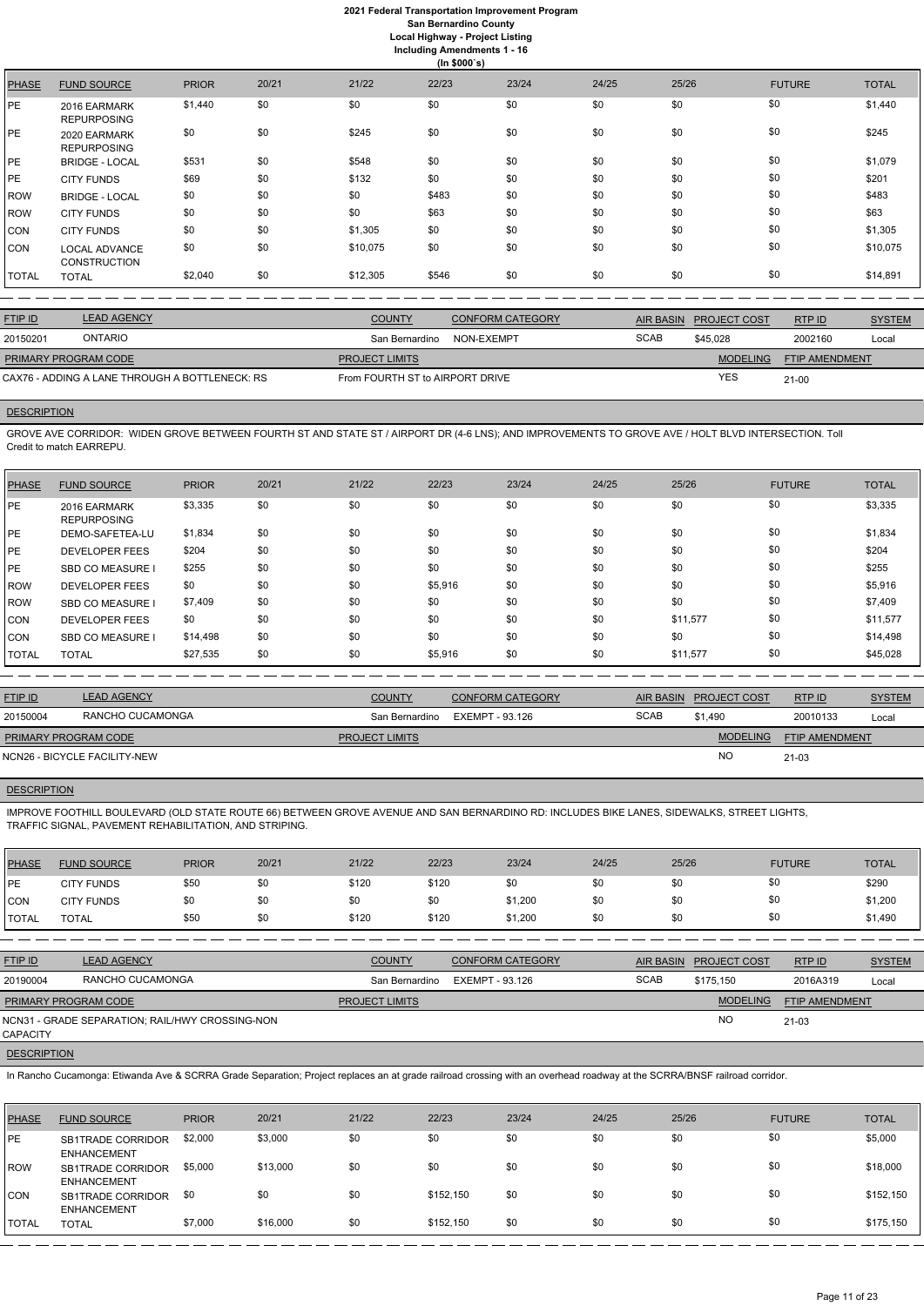## **2021 Federal Transportation Improvement Program San Bernardino County Local Highway - Project Listing**

**Including Amendments 1 - 16**

**(In \$000`s)** PHASE FUND SOURCE PRIOR 20/21 21/22 22/23 23/24 24/25 25/26 FUTURE TOTAL PE 2016 EARMARK REPURPOSING \$1,440 \$0 \$0 \$0 \$0 \$0 \$0 \$0 \$0 \$0 \$0 \$0 \$0 \$1,440 PE 2020 EARMARK REPURPOSING \$0 \$0 \$245 \$0 \$0 \$0 \$0 \$0 \$0 \$0 \$0 \$0 \$0 \$245 PE BRIDGE - LOCAL \$531 \$0 \$548 \$0 \$0 \$0 \$0 \$0 \$1,079 PE CITY FUNDS \$69 \$0 \$132 \$0 \$0 \$0 \$0 \$0 \$0 \$0 \$0 \$0 \$201 ROW BRIDGE - LOCAL \$0 \$0 \$0 \$0 \$483 \$0 \$0 \$0 \$0 \$0 \$0 \$0 \$483 ROW CITY FUNDS \$0 \$0 \$0 \$0 \$63 \$0 \$0 \$0 \$0 \$0 \$0 \$0 \$63 CON CITY FUNDS \$0 \$0 \$1,305 \$0 \$0 \$0 \$0 \$0 \$0 \$0 \$0 \$0 \$0 \$1,305 CON LOCAL ADVANCE **CONSTRUCTION** \$0 \$0 \$10,075 \$0 \$0 \$0 \$0 \$0 \$10,075 TOTAL TOTAL \$2,040 \$0 \$12,305 \$546 \$0 \$0 \$0 \$0 \$14,891

| <b>LEAD AGENCY</b><br><b>FTIP ID</b><br><b>COUNTY</b><br><b>CONFORM CATEGORY</b><br><b>RTPID</b><br>AIR BASIN PROJECT COST<br><b>ONTARIO</b><br><b>SCAB</b><br>20150201<br>2002160<br>\$45.028<br>San Bernardino<br>NON-EXEMPT<br><b>MODELING</b><br><b>FTIP AMENDMENT</b><br><b>PRIMARY PROGRAM CODE</b><br><b>PROJECT LIMITS</b><br><b>YES</b><br>CAX76 - ADDING A LANE THROUGH A BOTTLENECK: RS<br>From FOURTH ST to AIRPORT DRIVE<br>$21 - 00$ |  |  |  |               |
|----------------------------------------------------------------------------------------------------------------------------------------------------------------------------------------------------------------------------------------------------------------------------------------------------------------------------------------------------------------------------------------------------------------------------------------------------|--|--|--|---------------|
|                                                                                                                                                                                                                                                                                                                                                                                                                                                    |  |  |  | <b>SYSTEM</b> |
|                                                                                                                                                                                                                                                                                                                                                                                                                                                    |  |  |  | Local         |
|                                                                                                                                                                                                                                                                                                                                                                                                                                                    |  |  |  |               |
|                                                                                                                                                                                                                                                                                                                                                                                                                                                    |  |  |  |               |

## **DESCRIPTION**

GROVE AVE CORRIDOR: WIDEN GROVE BETWEEN FOURTH ST AND STATE ST / AIRPORT DR (4-6 LNS); AND IMPROVEMENTS TO GROVE AVE / HOLT BLVD INTERSECTION. Toll Credit to match EARREPU.

| PHASE      | <b>FUND SOURCE</b>                 | <b>PRIOR</b> | 20/21 | 21/22 | 22/23   | 23/24 | 24/25 | 25/26    | <b>FUTURE</b> | <b>TOTAL</b> |
|------------|------------------------------------|--------------|-------|-------|---------|-------|-------|----------|---------------|--------------|
| PE         | 2016 EARMARK<br><b>REPURPOSING</b> | \$3,335      | \$0   | \$0   | \$0     | \$0   | \$0   | \$0      | \$0           | \$3,335      |
| l PE       | DEMO-SAFETEA-LU                    | \$1,834      | \$0   | \$0   | \$0     | \$0   | \$0   | \$0      | \$0           | \$1,834      |
| PE         | <b>DEVELOPER FEES</b>              | \$204        | \$0   | \$0   | \$0     | \$0   | \$0   | \$0      | \$0           | \$204        |
| <b>PE</b>  | <b>SBD CO MEASURE I</b>            | \$255        | \$0   | \$0   | \$0     | \$0   | \$0   | \$0      | \$0           | \$255        |
| <b>ROW</b> | DEVELOPER FEES                     | \$0          | \$0   | \$0   | \$5,916 | \$0   | \$0   | \$0      | \$0           | \$5,916      |
| <b>ROW</b> | <b>SBD CO MEASURE I</b>            | \$7,409      | \$0   | \$0   | \$0     | \$0   | \$0   | \$0      | \$0           | \$7,409      |
| <b>CON</b> | <b>DEVELOPER FEES</b>              | \$0          | \$0   | \$0   | \$0     | \$0   | \$0   | \$11,577 | \$0           | \$11,577     |
| <b>CON</b> | <b>SBD CO MEASURE I</b>            | \$14,498     | \$0   | \$0   | \$0     | \$0   | \$0   | \$0      | \$0           | \$14,498     |
| TOTAL      | <b>TOTAL</b>                       | \$27,535     | \$0   | \$0   | \$5,916 | \$0   | \$0   | \$11,577 | \$0           | \$45,028     |

| <b>FTIP ID</b>       | <b>LEAD AGENCY</b>           | <b>COUNTY</b>         | <b>CONFORM CATEGORY</b>        |             | AIR BASIN PROJECT COST | RTP ID                | <b>SYSTEM</b> |
|----------------------|------------------------------|-----------------------|--------------------------------|-------------|------------------------|-----------------------|---------------|
| 20150004             | RANCHO CUCAMONGA             |                       | San Bernardino EXEMPT - 93.126 | <b>SCAB</b> | \$1.490                | 20010133              | Local         |
| PRIMARY PROGRAM CODE |                              | <b>PROJECT LIMITS</b> |                                |             | <b>MODELING</b>        | <b>FTIP AMENDMENT</b> |               |
|                      | NCN26 - BICYCLE FACILITY-NEW |                       |                                |             | <b>NO</b>              | $21 - 03$             |               |

## **DESCRIPTION**

IMPROVE FOOTHILL BOULEVARD (OLD STATE ROUTE 66) BETWEEN GROVE AVENUE AND SAN BERNARDINO RD: INCLUDES BIKE LANES, SIDEWALKS, STREET LIGHTS, TRAFFIC SIGNAL, PAVEMENT REHABILITATION, AND STRIPING.

| PHASE          | <b>FUND SOURCE</b> | <b>PRIOR</b> | 20/21 | 21/22 | 22/23 | 23/24   | 24/25 | 25/26 | <b>FUTURE</b> | <b>TOTAL</b> |
|----------------|--------------------|--------------|-------|-------|-------|---------|-------|-------|---------------|--------------|
| PE             | <b>CITY FUNDS</b>  | \$50         |       | \$120 | \$120 | \$0     | \$0   | \$0   | \$0           | \$290        |
| CON            | <b>CITY FUNDS</b>  | \$0          | \$0   | \$0   | \$0   | \$1,200 | \$0   | \$0   | \$0           | \$1,200      |
| <b>I</b> TOTAL | <b>TOTAL</b>       | \$50         |       | \$120 | \$120 | \$1,200 | \$0   | \$0   | \$0           | \$1,490      |

| <b>FTIP ID</b> | <b>LEAD AGENCY</b> | <b>COUNTY</b>        | <b>ORM CATEGORY</b><br><b>PONEL</b> | <b>AIR BASIN</b> | COS <sub>1</sub><br>PROJEC <sup>-</sup> | <b>RTPID</b> | SYSTEM |
|----------------|--------------------|----------------------|-------------------------------------|------------------|-----------------------------------------|--------------|--------|
| 20190004       | RANCHO CUCAMONGA   | ı Bernardino<br>.'nn | - 93.126<br>EXEMP                   | SCAB             | \$175,150                               | 2016A319     | Loca.  |

| <b>PRIMARY PROGRAM CODE</b>                                        | <b>PROJECT LIMITS</b> | <b>MODELING</b> | <b>FTIP AMENDMENT</b> |
|--------------------------------------------------------------------|-----------------------|-----------------|-----------------------|
| NCN31 - GRADE SEPARATION; RAIL/HWY CROSSING-NON<br><b>CAPACITY</b> |                       | <b>NO</b>       | $21 - 03$             |
| <b>DESCRIPTION</b>                                                 |                       |                 |                       |

In Rancho Cucamonga: Etiwanda Ave & SCRRA Grade Separation; Project replaces an at grade railroad crossing with an overhead roadway at the SCRRA/BNSF railroad corridor.

| <b>PHASE</b> | <b>FUND SOURCE</b>                             | <b>PRIOR</b> | 20/21    | 21/22 | 22/23     | 23/24 | 24/25 | 25/26 | <b>FUTURE</b> | <b>TOTAL</b> |
|--------------|------------------------------------------------|--------------|----------|-------|-----------|-------|-------|-------|---------------|--------------|
| <b>IPE</b>   | <b>SB1TRADE CORRIDOR</b><br><b>ENHANCEMENT</b> | \$2,000      | \$3,000  | \$0   | \$0       | \$0   | \$0   | \$0   | \$0           | \$5,000      |
| <b>IROW</b>  | <b>SB1TRADE CORRIDOR</b><br><b>ENHANCEMENT</b> | \$5,000      | \$13,000 | \$0   | \$0       | \$0   | \$0   | \$0   | \$0           | \$18,000     |
| ICON         | <b>SB1TRADE CORRIDOR</b><br><b>ENHANCEMENT</b> | \$0          | \$0      | \$0   | \$152,150 | \$0   | \$0   | \$0   | \$0           | \$152,150    |
| <b>TOTAL</b> | <b>TOTAL</b>                                   | \$7,000      | \$16,000 | \$0   | \$152.150 | \$0   | \$0   | \$0   | \$0           | \$175,150    |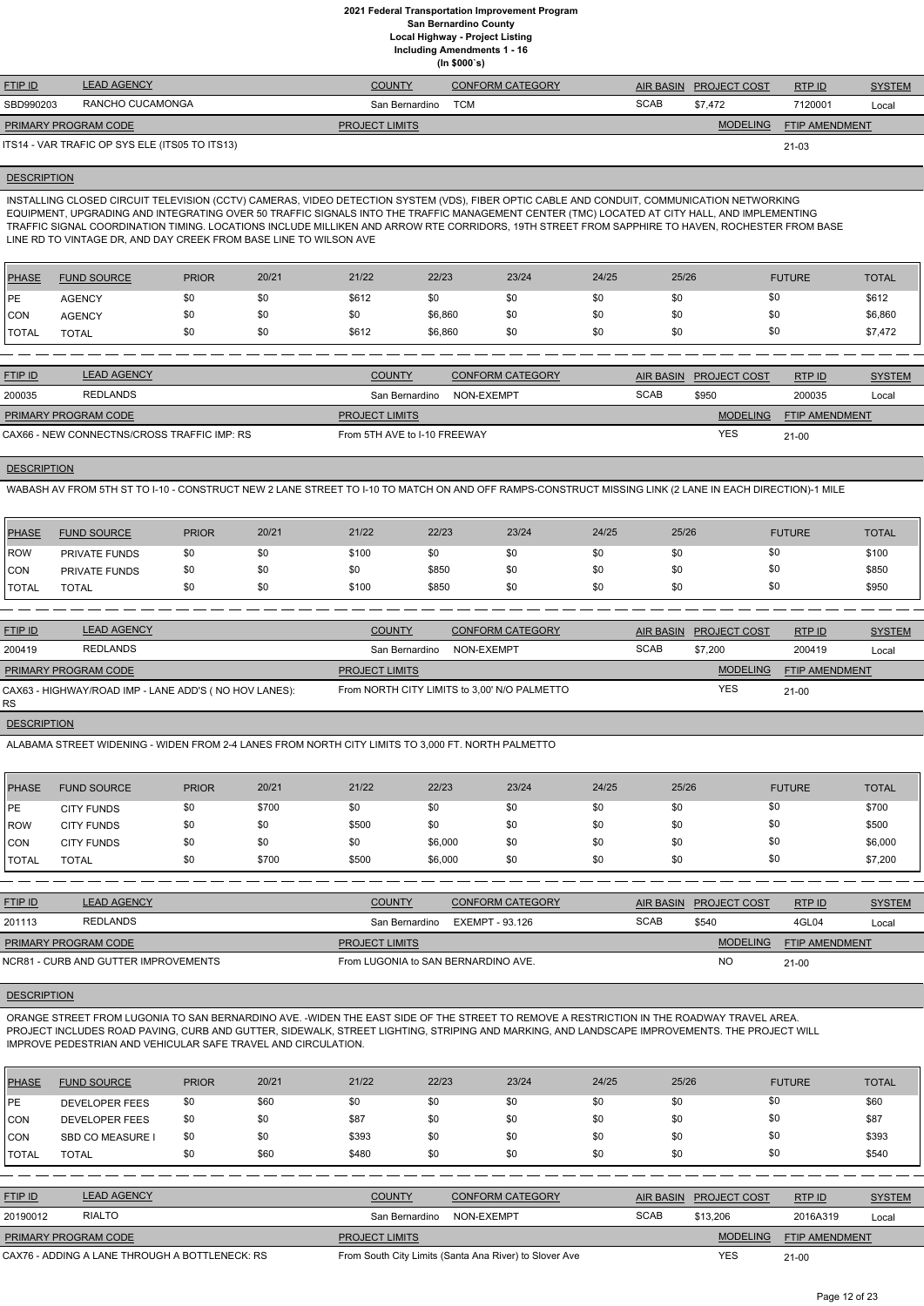**(In \$000`s)**

| <b>FTIP ID</b>              | <b>LEAD AGENCY</b>                             | <b>COUNTY</b>         | <b>CONFORM CATEGORY</b> |             | AIR BASIN PROJECT COST | RTPID                 | <b>SYSTEM</b> |
|-----------------------------|------------------------------------------------|-----------------------|-------------------------|-------------|------------------------|-----------------------|---------------|
| SBD990203                   | RANCHO CUCAMONGA                               | San Bernardino        | <b>TCM</b>              | <b>SCAB</b> | \$7.472                | 7120001               | Local         |
| <b>PRIMARY PROGRAM CODE</b> |                                                | <b>PROJECT LIMITS</b> |                         |             | <b>MODELING</b>        | <b>FTIP AMENDMENT</b> |               |
|                             | ITS14 - VAR TRAFIC OP SYS ELE (ITS05 TO ITS13) |                       |                         |             |                        | $21 - 03$             |               |

#### **DESCRIPTION**

INSTALLING CLOSED CIRCUIT TELEVISION (CCTV) CAMERAS, VIDEO DETECTION SYSTEM (VDS), FIBER OPTIC CABLE AND CONDUIT, COMMUNICATION NETWORKING EQUIPMENT, UPGRADING AND INTEGRATING OVER 50 TRAFFIC SIGNALS INTO THE TRAFFIC MANAGEMENT CENTER (TMC) LOCATED AT CITY HALL, AND IMPLEMENTING TRAFFIC SIGNAL COORDINATION TIMING. LOCATIONS INCLUDE MILLIKEN AND ARROW RTE CORRIDORS, 19TH STREET FROM SAPPHIRE TO HAVEN, ROCHESTER FROM BASE LINE RD TO VINTAGE DR, AND DAY CREEK FROM BASE LINE TO WILSON AVE

| <b>PHASE</b> | <b>FUND SOURCE</b> | <b>PRIOR</b> | 20/21 | 21/22 | 22/23   | 23/24 | 24/25 | 25/26 | <b>FUTURE</b> | <b>TOTAL</b> |
|--------------|--------------------|--------------|-------|-------|---------|-------|-------|-------|---------------|--------------|
| <b>IPE</b>   | <b>AGENCY</b>      | \$0          | \$0   | \$612 | \$0     | \$0   | \$0   | \$0   | \$0           | \$612        |
| CON          | <b>AGENCY</b>      | \$0          | \$0   | \$0   | \$6,860 | \$0   | \$0   | \$0   | \$0           | \$6,860      |
| <b>TOTAL</b> | <b>TOTAL</b>       | \$0          | \$0   | \$612 | \$6,860 | \$0   | \$0   | \$0   | \$0           | \$7,472      |

| <b>FTIP ID</b>                              | <b>LEAD AGENCY</b> | <b>COUNTY</b>                | <b>CONFORM CATEGORY</b> |             | AIR BASIN PROJECT COST | RTPID                 | <b>SYSTEM</b> |
|---------------------------------------------|--------------------|------------------------------|-------------------------|-------------|------------------------|-----------------------|---------------|
| 200035                                      | REDLANDS           | San Bernardino               | NON-EXEMPT              | <b>SCAB</b> | \$950                  | 200035                | Local         |
| <b>PRIMARY PROGRAM CODE</b>                 |                    | <b>PROJECT LIMITS</b>        |                         |             | <b>MODELING</b>        | <b>FTIP AMENDMENT</b> |               |
| CAX66 - NEW CONNECTNS/CROSS TRAFFIC IMP: RS |                    | From 5TH AVE to I-10 FREEWAY |                         |             | <b>YES</b>             | $21 - 00$             |               |

## **DESCRIPTION**

WABASH AV FROM 5TH ST TO I-10 - CONSTRUCT NEW 2 LANE STREET TO I-10 TO MATCH ON AND OFF RAMPS-CONSTRUCT MISSING LINK (2 LANE IN EACH DIRECTION)-1 MILE

| PHASE        | <b>FUND SOURCE</b> | <b>PRIOR</b> | 20/21 | 21/22 | 22/23 | 23/24 | 24/25 | 25/26 | <b>FUTURE</b> | <b>TOTAL</b> |
|--------------|--------------------|--------------|-------|-------|-------|-------|-------|-------|---------------|--------------|
| ROW          | PRIVATE FUNDS      | \$0          |       | \$100 | \$0   | \$0   | \$0   | \$0   | \$0           | \$100        |
| CON          | PRIVATE FUNDS      | \$0          |       | \$0   | \$850 | \$0   | \$0   | \$0   | \$0           | \$850        |
| <b>TOTAL</b> | <b>TOTAL</b>       | \$0          |       | \$100 | \$850 | \$0   | \$0   | \$0   | \$Ο           | \$950        |

| <b>FTIP ID</b>       | <b>LEAD AGENCY</b>                                    | <b>COUNTY</b>         | <b>CONFORM CATEGORY</b>                      |             | AIR BASIN PROJECT COST | RTPID                 | <b>SYSTEM</b> |
|----------------------|-------------------------------------------------------|-----------------------|----------------------------------------------|-------------|------------------------|-----------------------|---------------|
| 200419               | <b>REDLANDS</b>                                       | San Bernardino        | NON-EXEMPT                                   | <b>SCAB</b> | \$7.200                | 200419                | Local         |
| PRIMARY PROGRAM CODE |                                                       | <b>PROJECT LIMITS</b> |                                              |             | <b>MODELING</b>        | <b>FTIP AMENDMENT</b> |               |
| RS.                  | CAX63 - HIGHWAY/ROAD IMP - LANE ADD'S (NO HOV LANES): |                       | From NORTH CITY LIMITS to 3,00' N/O PALMETTO |             | <b>YES</b>             | $21-00$               |               |

## **DESCRIPTION**

ALABAMA STREET WIDENING - WIDEN FROM 2-4 LANES FROM NORTH CITY LIMITS TO 3,000 FT. NORTH PALMETTO

| PHASE        | <b>FUND SOURCE</b> | <b>PRIOR</b> | 20/21 | 21/22 | 22/23   | 23/24 | 24/25 | 25/26 | <b>FUTURE</b> | <b>TOTAL</b> |
|--------------|--------------------|--------------|-------|-------|---------|-------|-------|-------|---------------|--------------|
| <b>IPE</b>   | <b>CITY FUNDS</b>  | \$0          | \$700 | \$0   | \$0     | \$0   | \$0   | \$0   | \$0           | \$700        |
| ROW          | <b>CITY FUNDS</b>  | \$0          | \$0   | \$500 | \$0     | \$0   | \$0   | \$0   | \$0           | \$500        |
| CON          | <b>CITY FUNDS</b>  | \$0          | \$0   | \$0   | \$6,000 | \$0   | \$0   | \$0   | \$0           | \$6,000      |
| <b>TOTAL</b> | <b>TOTAL</b>       | \$0          | \$700 | \$500 | \$6,000 | \$0   | \$0   | \$0   | \$0           | \$7,200      |

| <b>LEAD AGENCY</b>                   | <b>COUNTY</b>         | <b>CONFORM CATEGORY</b> |                                     |                 | RTPID                  | <b>SYSTEM</b> |
|--------------------------------------|-----------------------|-------------------------|-------------------------------------|-----------------|------------------------|---------------|
| REDLANDS                             | San Bernardino        | EXEMPT - 93.126         | <b>SCAB</b>                         | \$540           | 4GL04                  | Local         |
| PRIMARY PROGRAM CODE                 | <b>PROJECT LIMITS</b> |                         |                                     | <b>MODELING</b> | <b>FTIP AMENDMENT</b>  |               |
| NCR81 - CURB AND GUTTER IMPROVEMENTS |                       |                         |                                     | <b>NC</b>       | $21-00$                |               |
|                                      |                       |                         | From LUGONIA to SAN BERNARDINO AVE. |                 | AIR BASIN PROJECT COST |               |

#### **DESCRIPTION**

ORANGE STREET FROM LUGONIA TO SAN BERNARDINO AVE. -WIDEN THE EAST SIDE OF THE STREET TO REMOVE A RESTRICTION IN THE ROADWAY TRAVEL AREA. PROJECT INCLUDES ROAD PAVING, CURB AND GUTTER, SIDEWALK, STREET LIGHTING, STRIPING AND MARKING, AND LANDSCAPE IMPROVEMENTS. THE PROJECT WILL IMPROVE PEDESTRIAN AND VEHICULAR SAFE TRAVEL AND CIRCULATION.

| <b>PHASE</b>   | <b>FUND SOURCE</b>                             | <b>PRIOR</b> | 20/21                                                  | 21/22                 | 22/23      | 23/24                   | 24/25       | 25/26            |                     | <b>FUTURE</b>         | <b>TOTAL</b>  |
|----------------|------------------------------------------------|--------------|--------------------------------------------------------|-----------------------|------------|-------------------------|-------------|------------------|---------------------|-----------------------|---------------|
| <b>IPE</b>     | <b>DEVELOPER FEES</b>                          | \$0          | \$60                                                   | \$0                   | \$0        | \$0                     | \$0         | \$0              | \$0                 |                       | \$60          |
| <b>CON</b>     | <b>DEVELOPER FEES</b>                          | \$0          | \$0                                                    | \$87                  | \$0        | \$0                     | \$0         | \$0              | \$0                 |                       | \$87          |
| <b>CON</b>     | <b>SBD CO MEASURE I</b>                        | \$0          | \$0                                                    | \$393                 | \$0        | \$0                     | \$0         | \$0              | \$0                 |                       | \$393         |
| <b>TOTAL</b>   | <b>TOTAL</b>                                   | \$0          | \$60                                                   | \$480                 | \$0        | \$0                     | \$0         | \$0              | \$0                 |                       | \$540         |
|                |                                                |              |                                                        |                       |            |                         |             |                  |                     |                       |               |
| <b>FTIP ID</b> | <b>LEAD AGENCY</b>                             |              |                                                        | <b>COUNTY</b>         |            | <b>CONFORM CATEGORY</b> |             | <b>AIR BASIN</b> | <b>PROJECT COST</b> | RTP ID                | <b>SYSTEM</b> |
| 20190012       | <b>RIALTO</b>                                  |              |                                                        | San Bernardino        | NON-EXEMPT |                         | <b>SCAB</b> |                  | \$13,206            | 2016A319              | Local         |
|                | PRIMARY PROGRAM CODE                           |              |                                                        | <b>PROJECT LIMITS</b> |            |                         |             |                  | <b>MODELING</b>     | <b>FTIP AMENDMENT</b> |               |
|                | CAX76 - ADDING A LANE THROUGH A BOTTLENECK: RS |              | From South City Limits (Santa Ana River) to Slover Ave |                       |            |                         |             | <b>YES</b>       | $21 - 00$           |                       |               |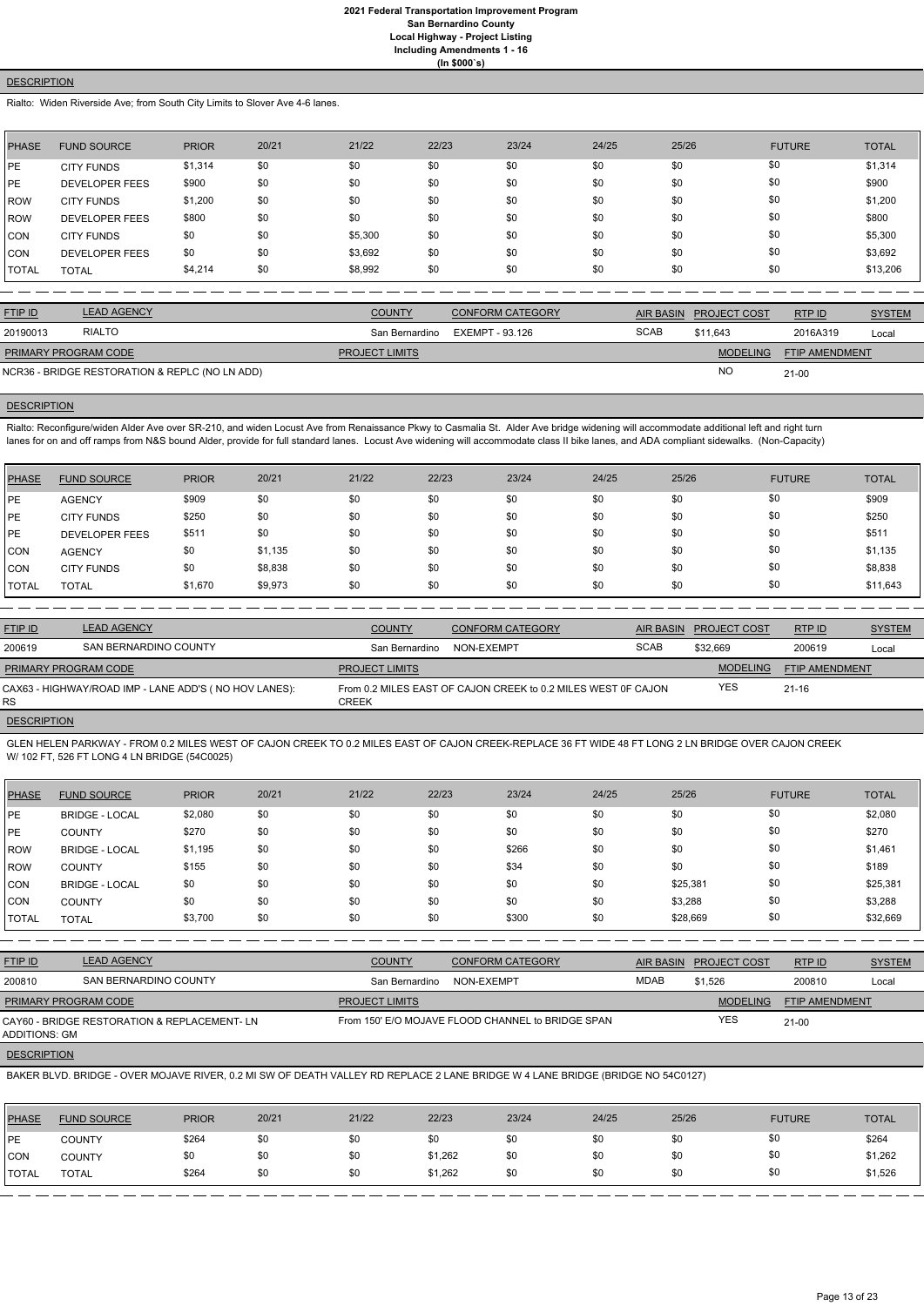## **DESCRIPTION**

Rialto: Widen Riverside Ave; from South City Limits to Slover Ave 4-6 lanes.

| PHASE        | <b>FUND SOURCE</b>    | <b>PRIOR</b> | 20/21 | 21/22   | 22/23 | 23/24 | 24/25 | 25/26 | <b>FUTURE</b> | <b>TOTAL</b> |
|--------------|-----------------------|--------------|-------|---------|-------|-------|-------|-------|---------------|--------------|
| <b>IPE</b>   | <b>CITY FUNDS</b>     | \$1,314      | \$0   | \$0     | \$0   | \$0   | \$0   | \$0   | \$0           | \$1,314      |
| <b>IPE</b>   | <b>DEVELOPER FEES</b> | \$900        | \$0   | \$0     | \$0   | \$0   | \$0   | \$0   | \$0           | \$900        |
| ROW          | <b>CITY FUNDS</b>     | \$1,200      | \$0   | \$0     | \$0   | \$0   | \$0   | \$0   | \$0           | \$1,200      |
| ROW          | <b>DEVELOPER FEES</b> | \$800        | \$0   | \$0     | \$0   | \$0   | \$0   | \$0   | \$0           | \$800        |
| CON          | <b>CITY FUNDS</b>     | \$0          | \$0   | \$5,300 | \$0   | \$0   | \$0   | \$0   | \$0           | \$5,300      |
| ICON         | <b>DEVELOPER FEES</b> | \$0          | \$0   | \$3,692 | \$0   | \$0   | \$0   | \$0   | \$0           | \$3,692      |
| <b>TOTAL</b> | <b>TOTAL</b>          | \$4,214      | \$0   | \$8,992 | \$0   | \$0   | \$0   | \$0   | \$0           | \$13,206     |

| <b>FTIP ID</b>              | <b>LEAD AGENCY</b>                             | <b>COUNTY</b>         | <b>CONFORM CATEGORY</b> |             | AIR BASIN PROJECT COST | RTP ID                | <b>SYSTEM</b> |
|-----------------------------|------------------------------------------------|-----------------------|-------------------------|-------------|------------------------|-----------------------|---------------|
| 20190013                    | <b>RIALTO</b>                                  | San Bernardino        | EXEMPT - 93.126         | <b>SCAB</b> | \$11.643               | 2016A319              | Local         |
| <b>PRIMARY PROGRAM CODE</b> |                                                | <b>PROJECT LIMITS</b> |                         |             | <b>MODELING</b>        | <b>FTIP AMENDMENT</b> |               |
|                             | NCR36 - BRIDGE RESTORATION & REPLC (NO LN ADD) |                       |                         |             | <b>NC</b>              | $21-00$               |               |

## **DESCRIPTION**

Rialto: Reconfigure/widen Alder Ave over SR-210, and widen Locust Ave from Renaissance Pkwy to Casmalia St. Alder Ave bridge widening will accommodate additional left and right turn lanes for on and off ramps from N&S bound Alder, provide for full standard lanes. Locust Ave widening will accommodate class II bike lanes, and ADA compliant sidewalks. (Non-Capacity)

| <b>PHASE</b> | <b>FUND SOURCE</b>    | <b>PRIOR</b> | 20/21   | 21/22 | 22/23 | 23/24 | 24/25 | 25/26 | <b>FUTURE</b> | <b>TOTAL</b> |
|--------------|-----------------------|--------------|---------|-------|-------|-------|-------|-------|---------------|--------------|
| <b>IPE</b>   | <b>AGENCY</b>         | \$909        | \$0     | \$0   | \$0   | \$0   | \$0   | \$0   | \$0           | \$909        |
| <b>IPE</b>   | <b>CITY FUNDS</b>     | \$250        | \$0     | \$0   | \$0   | \$0   | \$0   | \$0   | \$0           | \$250        |
| <b>IPE</b>   | <b>DEVELOPER FEES</b> | \$511        | \$0     | \$0   | \$0   | \$0   | \$0   | \$0   | \$0           | \$511        |
| <b>CON</b>   | <b>AGENCY</b>         | \$0          | \$1,135 | \$0   | \$0   | \$0   | \$0   | \$0   | \$0           | \$1,135      |
| <b>CON</b>   | <b>CITY FUNDS</b>     | \$0          | \$8,838 | \$0   | \$0   | \$0   | \$0   | \$0   | \$0           | \$8,838      |
| <b>TOTAL</b> | <b>TOTAL</b>          | \$1,670      | \$9,973 | \$0   | \$0   | \$0   | \$0   | \$0   | \$0           | \$11,643     |

| <b>FTIP ID</b>              | <b>LEAD AGENCY</b>                                    | <b>COUNTY</b>         | <b>CONFORM CATEGORY</b>                                       |             | AIR BASIN PROJECT COST | RTPID                 | <b>SYSTEM</b> |
|-----------------------------|-------------------------------------------------------|-----------------------|---------------------------------------------------------------|-------------|------------------------|-----------------------|---------------|
| 200619                      | SAN BERNARDINO COUNTY                                 | San Bernardino        | NON-EXEMPT                                                    | <b>SCAB</b> | \$32.669               | 200619                | Local         |
| <b>PRIMARY PROGRAM CODE</b> |                                                       | <b>PROJECT LIMITS</b> |                                                               |             | <b>MODELING</b>        | <b>FTIP AMENDMENT</b> |               |
| RS                          | CAX63 - HIGHWAY/ROAD IMP - LANE ADD'S (NO HOV LANES): | CREEK                 | From 0.2 MILES EAST OF CAJON CREEK to 0.2 MILES WEST OF CAJON |             | <b>YES</b>             | $21 - 16$             |               |
| <b>DEOODIDTION</b>          |                                                       |                       |                                                               |             |                        |                       |               |

#### DESCRIPTION

GLEN HELEN PARKWAY - FROM 0.2 MILES WEST OF CAJON CREEK TO 0.2 MILES EAST OF CAJON CREEK-REPLACE 36 FT WIDE 48 FT LONG 2 LN BRIDGE OVER CAJON CREEK W/ 102 FT, 526 FT LONG 4 LN BRIDGE (54C0025)

| <b>PHASE</b> | <b>FUND SOURCE</b>    | <b>PRIOR</b> | 20/21 | 21/22 | 22/23 | 23/24 | 24/25 | 25/26    | <b>FUTURE</b> | <b>TOTAL</b> |
|--------------|-----------------------|--------------|-------|-------|-------|-------|-------|----------|---------------|--------------|
| PE           | <b>BRIDGE - LOCAL</b> | \$2,080      | \$0   | \$0   | \$0   | \$0   | \$0   | \$0      | \$0           | \$2,080      |
| PE           | <b>COUNTY</b>         | \$270        | \$0   | \$0   | \$0   | \$0   | \$0   | \$0      | \$0           | \$270        |
| ROW          | <b>BRIDGE - LOCAL</b> | \$1,195      | \$0   | \$0   | \$0   | \$266 | \$0   | \$0      | \$0           | \$1,461      |
| ROW          | <b>COUNTY</b>         | \$155        | \$0   | \$0   | \$0   | \$34  | \$0   | \$0      | \$0           | \$189        |
| <b>CON</b>   | <b>BRIDGE - LOCAL</b> | \$0          | \$0   | \$0   | \$0   | \$0   | \$0   | \$25,381 | \$0           | \$25,381     |
| <b>CON</b>   | <b>COUNTY</b>         | \$0          | \$0   | \$0   | \$0   | \$0   | \$0   | \$3,288  | \$0           | \$3,288      |
| I TOTAL      | <b>TOTAL</b>          | \$3,700      | \$0   | \$0   | \$0   | \$300 | \$0   | \$28,669 | \$0           | \$32,669     |

| <b>FTIP ID</b> | LEAD AGENCY                  | <b>COUNTY</b>  | <b>CONFORM CATEGORY</b> | AIR BASIN | <b>PROJECT COST</b> | RTP ID | <b>SYSTEM</b> |
|----------------|------------------------------|----------------|-------------------------|-----------|---------------------|--------|---------------|
| 200810         | <b>SAN BERNARDINO COUNTY</b> | San Bernardino | NON-EXEMPT              | MDAB      | \$1,526             | 200810 | Loca          |

| PRIMARY PROGRAM CODE                                                | <b>PROJECT LIMITS</b>                             | <b>MODELING</b> | <b>FTIP AMENDMENT</b> |
|---------------------------------------------------------------------|---------------------------------------------------|-----------------|-----------------------|
| CAY60 - BRIDGE RESTORATION & REPLACEMENT-LN<br><b>ADDITIONS: GM</b> | From 150' E/O MOJAVE FLOOD CHANNEL to BRIDGE SPAN | YES             | $21-00$               |

## **DESCRIPTION**

BAKER BLVD. BRIDGE - OVER MOJAVE RIVER, 0.2 MI SW OF DEATH VALLEY RD REPLACE 2 LANE BRIDGE W 4 LANE BRIDGE (BRIDGE NO 54C0127)

| <b>PHASE</b> | <b>FUND SOURCE</b> | <b>PRIOR</b> | 20/21 | 21/22 | 22/23   | 23/24 | 24/25 | 25/26 | <b>FUTURE</b> | <b>TOTAL</b> |
|--------------|--------------------|--------------|-------|-------|---------|-------|-------|-------|---------------|--------------|
| <b>IPE</b>   | <b>COUNTY</b>      | \$264        | \$0   | \$0   | \$0     | \$0   | \$0   | \$0   | \$0           | \$264        |
| <b>CON</b>   | <b>COUNTY</b>      | \$0          | \$0   | \$0   | \$1,262 | \$0   | \$0   | \$0   | \$0           | \$1,262      |
| <b>TOTAL</b> | <b>TOTAL</b>       | \$264        | \$0   | \$0   | \$1,262 | \$0   | \$0   | \$0   | \$0           | \$1,526      |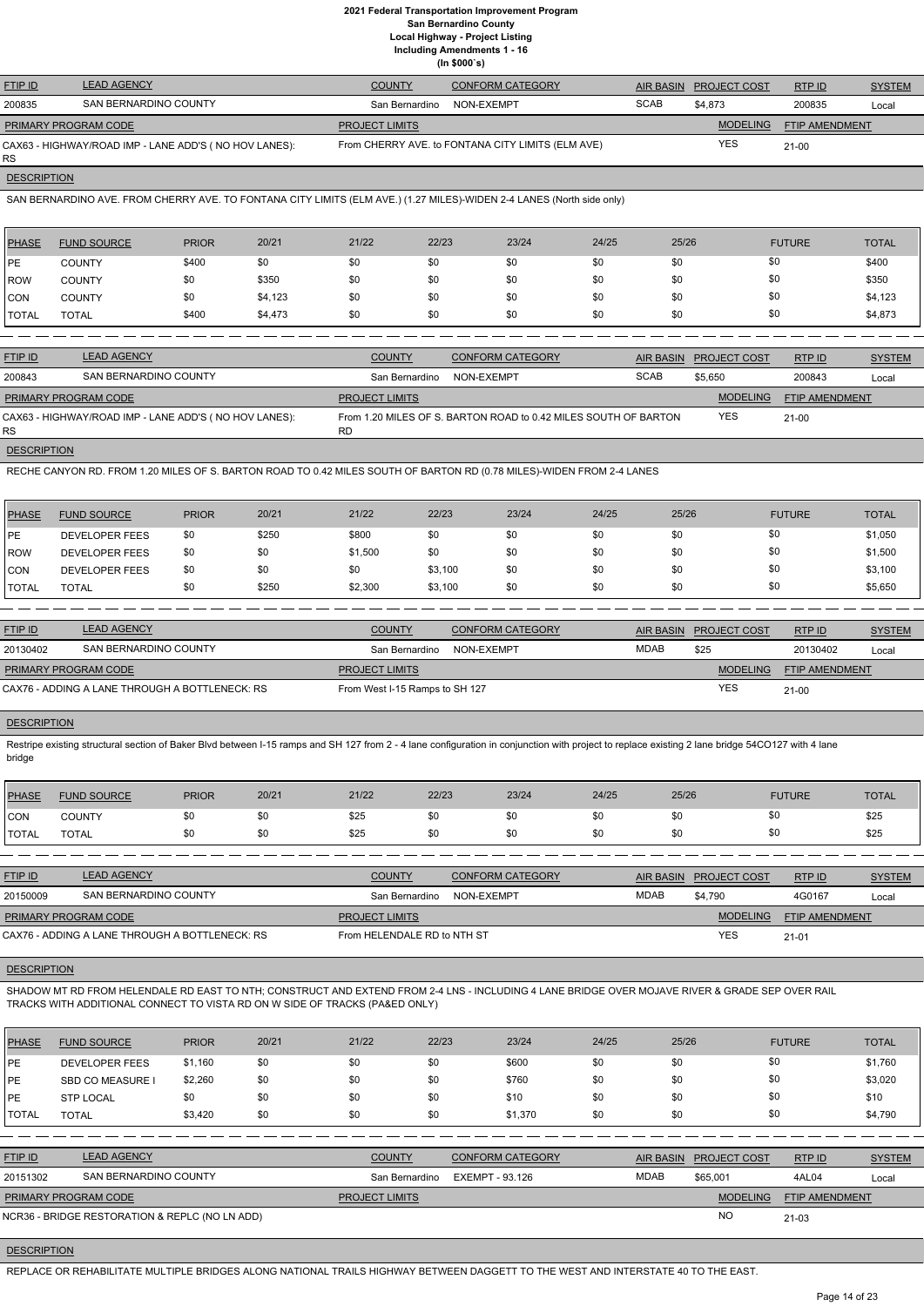## **2021 Federal Transportation Improvement Program San Bernardino County Local Highway - Project Listing**

**Including Amendments 1 - 16**

|  | (ln \$000's) |  |
|--|--------------|--|
|  |              |  |

| <b>FTIP ID</b>              | <b>LEAD AGENCY</b>                                    | <b>COUNTY</b>         | <b>CONFORM CATEGORY</b>                           |             | AIR BASIN PROJECT COST | RTP ID         | <b>SYSTEM</b> |
|-----------------------------|-------------------------------------------------------|-----------------------|---------------------------------------------------|-------------|------------------------|----------------|---------------|
| 200835                      | SAN BERNARDINO COUNTY                                 | San Bernardino        | NON-EXEMPT                                        | <b>SCAB</b> | \$4,873                | 200835         | Local         |
| <b>PRIMARY PROGRAM CODE</b> |                                                       | <b>PROJECT LIMITS</b> |                                                   |             | <b>MODELING</b>        | FTIP AMENDMENT |               |
| <b>RS</b>                   | CAX63 - HIGHWAY/ROAD IMP - LANE ADD'S (NO HOV LANES): |                       | From CHERRY AVE. to FONTANA CITY LIMITS (ELM AVE) |             | <b>YES</b>             | $21-00$        |               |

**DESCRIPTION** 

SAN BERNARDINO AVE. FROM CHERRY AVE. TO FONTANA CITY LIMITS (ELM AVE.) (1.27 MILES)-WIDEN 2-4 LANES (North side only)

| PHASE        | <b>FUND SOURCE</b> | <b>PRIOR</b> | 20/21   | 21/22 | 22/23 | 23/24 | 24/25 | 25/26 | <b>FUTURE</b> | <b>TOTAL</b> |
|--------------|--------------------|--------------|---------|-------|-------|-------|-------|-------|---------------|--------------|
| IPE.         | <b>COUNTY</b>      | \$400        | \$0     | \$0   | \$0   | \$0   | \$0   | \$0   | \$0           | \$400        |
| <b>ROW</b>   | <b>COUNTY</b>      | \$0          | \$350   | \$0   | \$0   | \$0   | \$0   | \$0   | \$0           | \$350        |
| <b>CON</b>   | <b>COUNTY</b>      | \$0          | \$4,123 | \$0   | \$0   | \$0   | \$0   | \$0   | \$0           | \$4,123      |
| <b>TOTAL</b> | <b>TOTAL</b>       | \$400        | \$4,473 | \$0   | \$0   | \$0   | \$0   | \$0   | \$0           | \$4,873      |

Restripe existing structural section of Baker Blvd between I-15 ramps and SH 127 from 2 - 4 lane configuration in conjunction with project to replace existing 2 lane bridge 54CO127 with 4 lane bridge

| <b>FTIP ID</b>              | <b>LEAD AGENCY</b>                                    | <b>COUNTY</b>         | <b>CONFORM CATEGORY</b>                                         |             | AIR BASIN PROJECT COST | RTP ID                | <b>SYSTEM</b> |
|-----------------------------|-------------------------------------------------------|-----------------------|-----------------------------------------------------------------|-------------|------------------------|-----------------------|---------------|
| 200843                      | SAN BERNARDINO COUNTY                                 | San Bernardino        | NON-EXEMPT                                                      | <b>SCAB</b> | \$5,650                | 200843                | Local         |
| <b>PRIMARY PROGRAM CODE</b> |                                                       | <b>PROJECT LIMITS</b> |                                                                 |             | <b>MODELING</b>        | <b>FTIP AMENDMENT</b> |               |
| RS.                         | CAX63 - HIGHWAY/ROAD IMP - LANE ADD'S (NO HOV LANES): | <b>RD</b>             | From 1.20 MILES OF S. BARTON ROAD to 0.42 MILES SOUTH OF BARTON |             | <b>YES</b>             | 21-00                 |               |
| <b>DESCRIPTION</b>          |                                                       |                       |                                                                 |             |                        |                       |               |

RECHE CANYON RD. FROM 1.20 MILES OF S. BARTON ROAD TO 0.42 MILES SOUTH OF BARTON RD (0.78 MILES)-WIDEN FROM 2-4 LANES

| PHASE        | <b>FUND SOURCE</b>    | <b>PRIOR</b> | 20/21 | 21/22   | 22/23   | 23/24 | 24/25 | 25/26 | <b>FUTURE</b> | <b>TOTAL</b> |
|--------------|-----------------------|--------------|-------|---------|---------|-------|-------|-------|---------------|--------------|
| <b>IPE</b>   | <b>DEVELOPER FEES</b> | \$0          | \$250 | \$800   | \$0     | \$0   | \$0   | \$0   | \$0           | \$1,050      |
| <b>ROW</b>   | <b>DEVELOPER FEES</b> | \$0          | \$0   | \$1,500 | \$0     | \$0   | \$0   | \$0   | \$0           | \$1,500      |
| CON          | <b>DEVELOPER FEES</b> | \$0          | \$0   | \$0     | \$3,100 | \$0   | \$0   | \$0   | \$0           | \$3,100      |
| <b>TOTAL</b> | <b>TOTAL</b>          | \$0          | \$250 | \$2,300 | \$3,100 | \$0   | \$0   | \$0   | \$0           | \$5,650      |

| <b>FTIP ID</b>              | <b>LEAD AGENCY</b>                             | <b>COUNTY</b>                  | <b>CONFORM CATEGORY</b> |             | AIR BASIN PROJECT COST | RTPID                 | <b>SYSTEM</b> |
|-----------------------------|------------------------------------------------|--------------------------------|-------------------------|-------------|------------------------|-----------------------|---------------|
| 20130402                    | SAN BERNARDINO COUNTY                          | San Bernardino                 | NON-EXEMPT              | <b>MDAB</b> | \$25                   | 20130402              | Local         |
| <b>PRIMARY PROGRAM CODE</b> |                                                | <b>PROJECT LIMITS</b>          |                         |             | <b>MODELING</b>        | <b>FTIP AMENDMENT</b> |               |
|                             | CAX76 - ADDING A LANE THROUGH A BOTTLENECK: RS | From West I-15 Ramps to SH 127 |                         |             | <b>YES</b>             | $21-00$               |               |

#### **DESCRIPTION**

| <b>PHASE</b> | <b>FUND SOURCE</b> | <b>PRIOR</b> | 20/21 | 21/22 | 22/23 | 23/24 | 24/25 | 25/26 | <b>FUTURE</b> | <b>TOTAL</b> |
|--------------|--------------------|--------------|-------|-------|-------|-------|-------|-------|---------------|--------------|
| <b>CON</b>   | <b>COUNTY</b>      |              |       | \$25  |       | \$0   | \$0   |       |               | \$25         |
| <b>TOTAL</b> | <b>TOTAL</b>       |              |       | \$25  | \$0   | \$0   | \$0   | ጦጣ    |               | \$25         |

| <b>FTIP ID</b>              | <b>LEAD AGENCY</b>                             | <b>COUNTY</b>               | <b>CONFORM CATEGORY</b> |      | AIR BASIN PROJECT COST | RTPID                 | <b>SYSTEM</b> |
|-----------------------------|------------------------------------------------|-----------------------------|-------------------------|------|------------------------|-----------------------|---------------|
| 20150009                    | SAN BERNARDINO COUNTY                          | San Bernardino              | NON-EXEMPT              | MDAB | \$4.790                | 4G0167                | Local         |
| <b>PRIMARY PROGRAM CODE</b> |                                                | <b>PROJECT LIMITS</b>       |                         |      | <b>MODELING</b>        | <b>FTIP AMENDMENT</b> |               |
|                             | CAX76 - ADDING A LANE THROUGH A BOTTLENECK: RS | From HELENDALE RD to NTH ST |                         |      | <b>YES</b>             | $21 - 01$             |               |

**DESCRIPTION** 

SHADOW MT RD FROM HELENDALE RD EAST TO NTH; CONSTRUCT AND EXTEND FROM 2-4 LNS - INCLUDING 4 LANE BRIDGE OVER MOJAVE RIVER & GRADE SEP OVER RAIL TRACKS WITH ADDITIONAL CONNECT TO VISTA RD ON W SIDE OF TRACKS (PA&ED ONLY)

| <b>PHASE</b>   | <b>FUND SOURCE</b>                             | <b>PRIOR</b> | 20/21 | 21/22                 | 22/23           | 23/24                   | 24/25       | 25/26            |                     | <b>FUTURE</b>         | <b>TOTAL</b>  |
|----------------|------------------------------------------------|--------------|-------|-----------------------|-----------------|-------------------------|-------------|------------------|---------------------|-----------------------|---------------|
| <b>IPE</b>     | <b>DEVELOPER FEES</b>                          | \$1,160      | \$0   | \$0                   | \$0             | \$600                   | \$0         | \$0              | \$0                 |                       | \$1,760       |
| <b>IPE</b>     | SBD CO MEASURE I                               | \$2,260      | \$0   | \$0                   | \$0             | \$760                   | \$0         | \$0              | \$0                 |                       | \$3,020       |
| <b>IPE</b>     | <b>STP LOCAL</b>                               | \$0          | \$0   | \$0                   | \$0             | \$10                    | \$0         | \$0              | \$0                 |                       | \$10          |
| <b>TOTAL</b>   | <b>TOTAL</b>                                   | \$3,420      | \$0   | \$0                   | \$0             | \$1,370                 | \$0         | \$0              | \$0                 |                       | \$4,790       |
|                |                                                |              |       |                       |                 |                         |             |                  |                     |                       |               |
| <b>FTIP ID</b> | <b>LEAD AGENCY</b>                             |              |       | <b>COUNTY</b>         |                 | <b>CONFORM CATEGORY</b> |             | <b>AIR BASIN</b> | <b>PROJECT COST</b> | RTP ID                | <b>SYSTEM</b> |
| 20151302       | SAN BERNARDINO COUNTY                          |              |       | San Bernardino        | EXEMPT - 93.126 |                         | <b>MDAB</b> |                  | \$65.001            | 4AL04                 | Local         |
|                | PRIMARY PROGRAM CODE                           |              |       | <b>PROJECT LIMITS</b> |                 |                         |             |                  | <b>MODELING</b>     | <b>FTIP AMENDMENT</b> |               |
|                | NCR36 - BRIDGE RESTORATION & REPLC (NO LN ADD) |              |       |                       |                 |                         |             |                  | <b>NO</b>           | $21 - 03$             |               |

#### **DESCRIPTION**

REPLACE OR REHABILITATE MULTIPLE BRIDGES ALONG NATIONAL TRAILS HIGHWAY BETWEEN DAGGETT TO THE WEST AND INTERSTATE 40 TO THE EAST.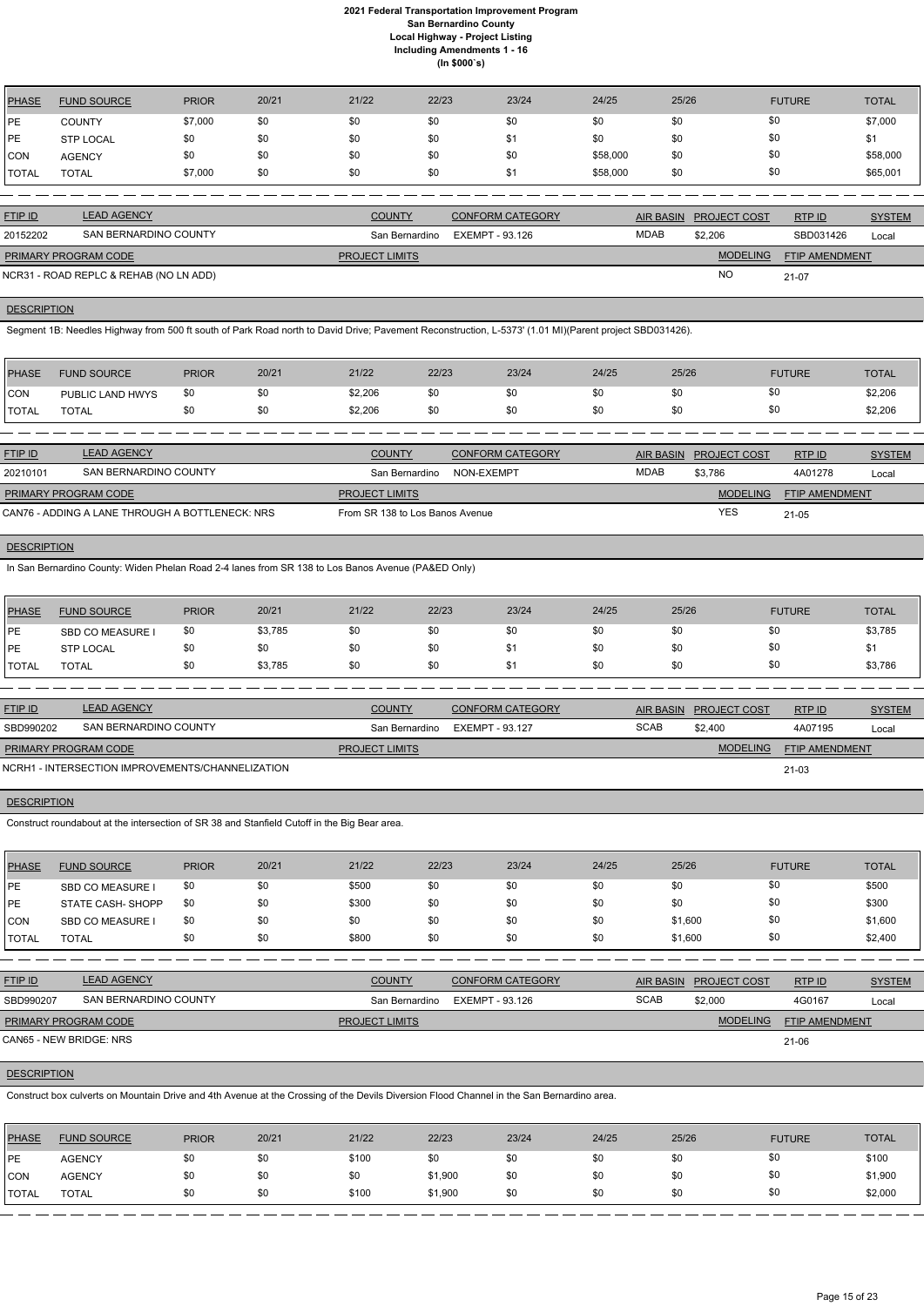| <b>PHASE</b> | <b>FUND SOURCE</b> | <b>PRIOR</b> | 20/21 | 21/22 | 22/23 | 23/24 | 24/25    | 25/26 | <b>FUTURE</b> | <b>TOTAL</b> |
|--------------|--------------------|--------------|-------|-------|-------|-------|----------|-------|---------------|--------------|
| PE           | <b>COUNTY</b>      | \$7,000      | \$0   | \$0   | \$0   | \$0   | \$0      | \$0   | \$0           | \$7,000      |
| PE           | <b>STP LOCAL</b>   | \$0          | \$0   | \$0   | \$0   | \$1   | \$0      | \$0   | \$0           |              |
| <b>CON</b>   | <b>AGENCY</b>      | \$0          | \$0   | \$0   | \$0   | \$0   | \$58,000 | \$0   | \$0           | \$58,000     |
| <b>TOTAL</b> | <b>TOTAL</b>       | \$7,000      | \$0   | \$0   | \$0   | \$1   | \$58,000 | \$0   | \$0           | \$65,001     |

| <b>FTIP ID</b>              | <b>LEAD AGENCY</b>                     | <b>COUNTY</b>         | CONFORM CATEGORY               |             | AIR BASIN PROJECT COST | RTPID                 | <b>SYSTEM</b> |
|-----------------------------|----------------------------------------|-----------------------|--------------------------------|-------------|------------------------|-----------------------|---------------|
| 20152202                    | SAN BERNARDINO COUNTY                  |                       | San Bernardino EXEMPT - 93.126 | <b>MDAB</b> | \$2,206                | SBD031426             | Local         |
| <b>PRIMARY PROGRAM CODE</b> |                                        | <b>PROJECT LIMITS</b> |                                |             | <b>MODELING</b>        | <b>FTIP AMENDMENT</b> |               |
|                             | NCR31 - ROAD REPLC & REHAB (NO LN ADD) |                       |                                |             | <b>NO</b>              | 21-07                 |               |

**DESCRIPTION** 

Segment 1B: Needles Highway from 500 ft south of Park Road north to David Drive; Pavement Reconstruction, L-5373' (1.01 MI)(Parent project SBD031426).

| PHASE          | <b>FUND SOURCE</b> | <b>PRIOR</b> | 20/21 | 21/22   | 22/23 | 23/24 | 24/25 | 25/26 | <b>FUTURE</b> | <b>TOTAL</b> |
|----------------|--------------------|--------------|-------|---------|-------|-------|-------|-------|---------------|--------------|
| <b>CON</b>     | PUBLIC LAND HWYS   | \$0          |       | \$2,206 | \$0   | \$0   | \$0   |       | \$0           | \$2,206      |
| <b>I</b> TOTAL | <b>TOTAL</b>       |              |       | \$2,206 | \$0   | \$0   | \$0   |       |               | \$2,206      |

| <b>FTIP ID</b>       | <b>LEAD AGENCY</b>                              | <b>COUNTY</b>                   | CONFORM CATEGORY | AIR BASIN   | <b>PROJECT COST</b> | RTP ID                | <b>SYSTEM</b> |
|----------------------|-------------------------------------------------|---------------------------------|------------------|-------------|---------------------|-----------------------|---------------|
| 20210101             | SAN BERNARDINO COUNTY                           | San Bernardino                  | NON-EXEMPT       | <b>MDAB</b> | \$3,786             | 4A01278               | Local         |
| PRIMARY PROGRAM CODE |                                                 | <b>PROJECT LIMITS</b>           |                  |             | <b>MODELING</b>     | <b>FTIP AMENDMENT</b> |               |
|                      | CAN76 - ADDING A LANE THROUGH A BOTTLENECK: NRS | From SR 138 to Los Banos Avenue |                  |             | YES                 | $21 - 05$             |               |

## **DESCRIPTION**

ETIP ID LEAD AGENCY DE SYSTEM COUNTY CONFORM CATEGORY AIR BASIN PROJECT COST RTP ID SYSTEM STREM AND TRUP OF SA RTP ID

In San Bernardino County: Widen Phelan Road 2-4 lanes from SR 138 to Los Banos Avenue (PA&ED Only)

| PHASE         | <b>FUND SOURCE</b>      | <b>PRIOR</b> | 20/21   | 21/22 | 22/23 | 23/24 | 24/25 | 25/26 | <b>FUTURE</b> | <b>TOTAL</b> |
|---------------|-------------------------|--------------|---------|-------|-------|-------|-------|-------|---------------|--------------|
| <b>IPE</b>    | <b>SBD CO MEASURE I</b> | \$0          | \$3,785 | \$0   | \$0   | \$0   | \$0   |       | \$0           | \$3,785      |
| <b>IPE</b>    | <b>STP LOCAL</b>        | \$0          | \$0     | \$0   | \$0   |       | \$0   |       | \$0           | J.           |
| <b>ITOTAL</b> | <b>TOTAL</b>            | \$0          | \$3,785 | \$0   | \$0   | \$1   | \$0   |       | \$0           | \$3,786      |

| <b>FTIP ID</b>              | <b>LEAD AGENCY</b>                               | <b>COUNTY</b>         | <b>CONFORM CATEGORY</b> | AIR BASIN   | <b>PROJECT COST</b> | RTPID                 | <b>SYSTEM</b> |
|-----------------------------|--------------------------------------------------|-----------------------|-------------------------|-------------|---------------------|-----------------------|---------------|
| SBD990202                   | SAN BERNARDINO COUNTY                            | San Bernardino        | EXEMPT - 93.127         | <b>SCAB</b> | \$2,400             | 4A07195               | Local         |
| <b>PRIMARY PROGRAM CODE</b> |                                                  | <b>PROJECT LIMITS</b> |                         |             | <b>MODELING</b>     | <b>FTIP AMENDMENT</b> |               |
|                             | NCRH1 - INTERSECTION IMPROVEMENTS/CHANNELIZATION |                       |                         |             |                     | $21 - 03$             |               |

## **DESCRIPTION**

Construct roundabout at the intersection of SR 38 and Stanfield Cutoff in the Big Bear area.

| <b>PHASE</b> | <b>FUND SOURCE</b>       | <b>PRIOR</b> | 20/21 | 21/22 | 22/23 | 23/24 | 24/25 | 25/26   | <b>FUTURE</b> | TOTAL   |
|--------------|--------------------------|--------------|-------|-------|-------|-------|-------|---------|---------------|---------|
| <b>IPE</b>   | <b>SBD CO MEASURE I</b>  | \$0          | \$0   | \$500 | \$0   | \$0   | \$0   | \$0     | \$0           | \$500   |
| <b>IPE</b>   | <b>STATE CASH- SHOPP</b> | \$0          | \$0   | \$300 | \$0   | \$0   | \$0   | \$0     | \$0           | \$300   |
| <b>ICON</b>  | <b>SBD CO MEASURE I</b>  | \$0          | \$0   | \$0   | \$0   | \$0   | \$0   | \$1,600 | \$0           | \$1,600 |
| TOTAL        | <b>TOTAL</b>             | \$0          | \$0   | \$800 | \$0   | \$0   | \$0   | \$1,600 | \$0           | \$2,400 |

| SBD990207                   | SAN BERNARDINO COUNTY | San Bernardino        | EXEMPT - 93.126 | <b>SCAB</b> | \$2,000         | 4G0167                | Local |
|-----------------------------|-----------------------|-----------------------|-----------------|-------------|-----------------|-----------------------|-------|
| <b>PRIMARY PROGRAM CODE</b> |                       | <b>PROJECT LIMITS</b> |                 |             | <b>MODELING</b> | <b>FTIP AMENDMENT</b> |       |
| CAN65 - NEW BRIDGE: NRS     |                       |                       |                 |             |                 | 21-06                 |       |

## **DESCRIPTION**

Construct box culverts on Mountain Drive and 4th Avenue at the Crossing of the Devils Diversion Flood Channel in the San Bernardino area.

| PHASE        | <b>FUND SOURCE</b> | <b>PRIOR</b> | 20/21 | 21/22 | 22/23   | 23/24 | 24/25 | 25/26 | <b>FUTURE</b> | <b>TOTAL</b> |
|--------------|--------------------|--------------|-------|-------|---------|-------|-------|-------|---------------|--------------|
| PE           | <b>AGENCY</b>      |              | \$0   | \$100 | \$0     | \$0   | \$0   |       | \$0           | \$100        |
| CON          | <b>AGENCY</b>      |              | \$0   | \$0   | \$1,900 | \$0   | \$0   |       | \$0           | \$1,900      |
| <b>TOTAL</b> | <b>TOTAL</b>       |              | \$0   | \$100 | \$1,900 | \$0   | \$0   |       | \$0           | \$2,000      |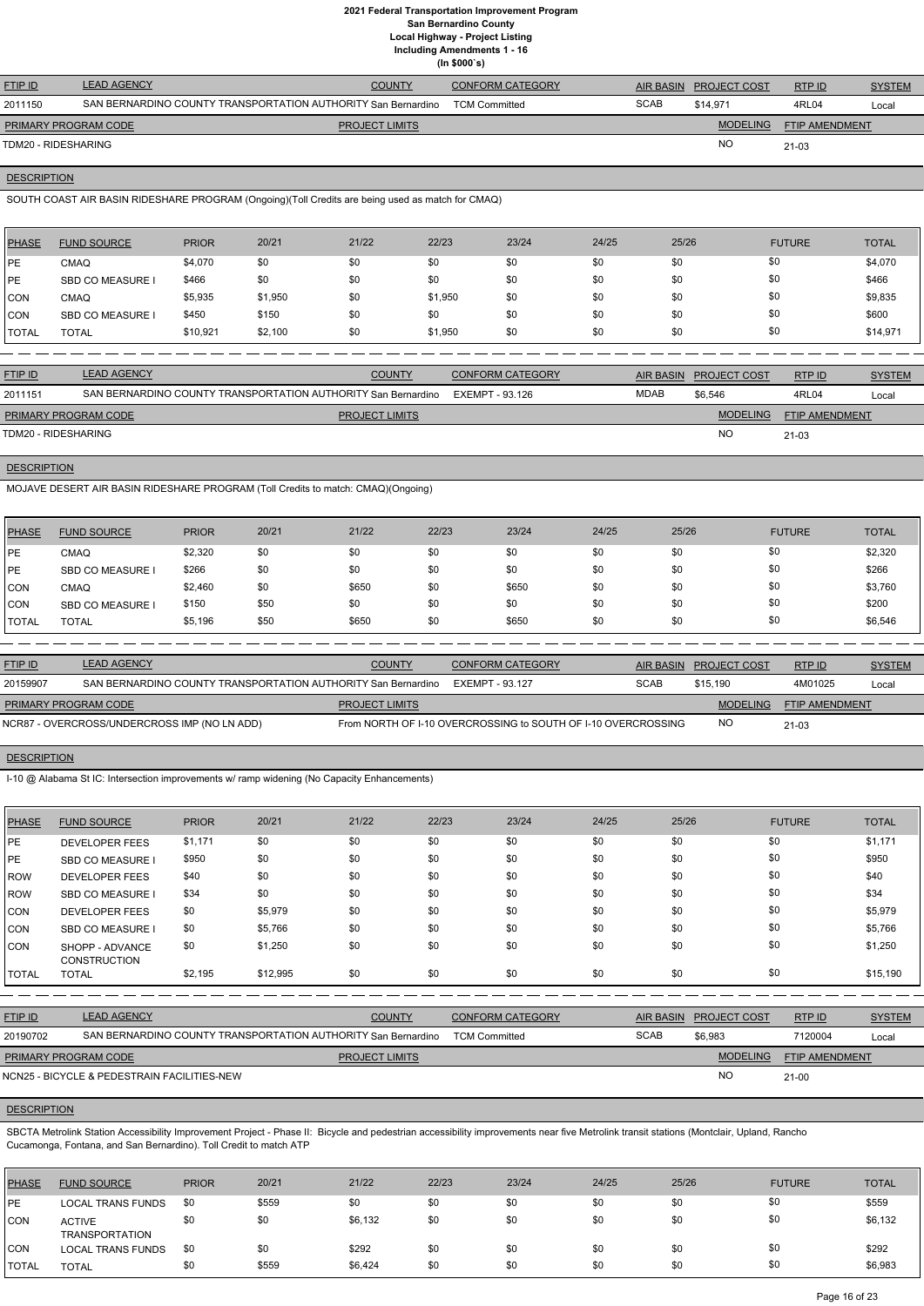## **2021 Federal Transportation Improvement Program San Bernardino County Local Highway - Project Listing**

**Including Amendments 1 - 16**

**(In \$000`s)**

| <b>FTIP ID</b>       | <b>LEAD AGENCY</b>                                            | <b>COUNTY</b>         | <b>CONFORM CATEGORY</b> | <b>AIR BASIN</b> | <b>PROJECT COST</b> | RTP ID                | <b>SYSTEM</b> |
|----------------------|---------------------------------------------------------------|-----------------------|-------------------------|------------------|---------------------|-----------------------|---------------|
| 2011150              | SAN BERNARDINO COUNTY TRANSPORTATION AUTHORITY San Bernardino |                       | <b>TCM Committed</b>    | <b>SCAB</b>      | \$14.971            | 4RL04                 | Local         |
| PRIMARY PROGRAM CODE |                                                               | <b>PROJECT LIMITS</b> |                         |                  | <b>MODELING</b>     | <b>FTIP AMENDMENT</b> |               |
| TDM20 - RIDESHARING  |                                                               |                       |                         |                  | <b>NO</b>           | 21-03                 |               |
|                      |                                                               |                       |                         |                  |                     |                       |               |

## **DESCRIPTION**

SOUTH COAST AIR BASIN RIDESHARE PROGRAM (Ongoing)(Toll Credits are being used as match for CMAQ)

| <b>PHASE</b> | <b>FUND SOURCE</b>      | <b>PRIOR</b> | 20/21   | 21/22 | 22/23   | 23/24 | 24/25 | 25/26 | <b>FUTURE</b> | <b>TOTAL</b> |
|--------------|-------------------------|--------------|---------|-------|---------|-------|-------|-------|---------------|--------------|
| <b>IPE</b>   | <b>CMAQ</b>             | \$4,070      | \$0     | \$0   | \$0     | \$0   | \$0   | \$0   | \$0           | \$4,070      |
| <b>IPE</b>   | <b>SBD CO MEASURE I</b> | \$466        | \$0     | \$0   | \$0     | \$0   | \$0   | \$0   | \$0           | \$466        |
| <b>CON</b>   | <b>CMAQ</b>             | \$5,935      | \$1,950 | \$0   | \$1,950 | \$0   | \$0   | \$0   | \$0           | \$9,835      |
| <b>CON</b>   | <b>SBD CO MEASURE I</b> | \$450        | \$150   | \$0   | \$0     | \$0   | \$0   | \$0   | \$0           | \$600        |
| <b>TOTAL</b> | <b>TOTAL</b>            | \$10,921     | \$2,100 | \$0   | \$1,950 | \$0   | \$0   | \$0   | \$0           | \$14,971     |

| <b>FTIP ID</b>              | <b>LEAD AGENCY</b>                                            | <b>COUNTY</b>         | <b>CONFORM CATEGORY</b> | AIR BASIN | <b>PROJECT COST</b> | RTP ID                | <b>SYSTEM</b> |
|-----------------------------|---------------------------------------------------------------|-----------------------|-------------------------|-----------|---------------------|-----------------------|---------------|
| 2011151                     | SAN BERNARDINO COUNTY TRANSPORTATION AUTHORITY San Bernardino |                       | EXEMPT - 93.126         | MDAB      | \$6,546             | 4RL04                 | Local         |
| <b>PRIMARY PROGRAM CODE</b> |                                                               | <b>PROJECT LIMITS</b> |                         |           | <b>MODELING</b>     | <b>FTIP AMENDMENT</b> |               |
| TDM20 - RIDESHARING         |                                                               |                       |                         |           | <b>NC</b>           | 21-03                 |               |
|                             |                                                               |                       |                         |           |                     |                       |               |

## **DESCRIPTION**

MOJAVE DESERT AIR BASIN RIDESHARE PROGRAM (Toll Credits to match: CMAQ)(Ongoing)

| PHASE        | <b>FUND SOURCE</b>      | <b>PRIOR</b> | 20/21 | 21/22 | 22/23 | 23/24 | 24/25 | 25/26 | <b>FUTURE</b> | <b>TOTAL</b> |
|--------------|-------------------------|--------------|-------|-------|-------|-------|-------|-------|---------------|--------------|
| <b>IPE</b>   | <b>CMAQ</b>             | \$2,320      | \$0   | \$0   | \$0   | \$0   | \$0   | \$0   | \$0           | \$2,320      |
| <b>IPE</b>   | <b>SBD CO MEASURE I</b> | \$266        | \$0   | \$0   | \$0   | \$0   | \$0   | \$0   | \$0           | \$266        |
| CON          | CMAQ                    | \$2,460      | \$0   | \$650 | \$0   | \$650 | \$0   | \$0   | \$0           | \$3,760      |
| <b>CON</b>   | <b>SBD CO MEASURE</b>   | \$150        | \$50  | \$0   | \$0   | \$0   | \$0   | \$0   | \$0           | \$200        |
| <b>TOTAL</b> | <b>TOTAL</b>            | \$5,196      | \$50  | \$650 | \$0   | \$650 | \$0   | \$0   | \$0           | \$6,546      |

SBCTA Metrolink Station Accessibility Improvement Project - Phase II: Bicycle and pedestrian accessibility improvements near five Metrolink transit stations (Montclair, Upland, Rancho Cucamonga, Fontana, and San Bernardino). Toll Credit to match ATP

| <b>FTIP ID</b>              | <b>LEAD AGENCY</b>                                            | <b>COUNTY</b>         | <b>CONFORM CATEGORY</b>                                       |             | AIR BASIN PROJECT COST | RTP ID                | <b>SYSTEM</b> |
|-----------------------------|---------------------------------------------------------------|-----------------------|---------------------------------------------------------------|-------------|------------------------|-----------------------|---------------|
| 20159907                    | SAN BERNARDINO COUNTY TRANSPORTATION AUTHORITY San Bernardino |                       | EXEMPT - 93.127                                               | <b>SCAB</b> | \$15.190               | 4M01025               | Local         |
| <b>PRIMARY PROGRAM CODE</b> |                                                               | <b>PROJECT LIMITS</b> |                                                               |             | MODELING               | <b>FTIP AMENDMENT</b> |               |
|                             | NCR87 - OVERCROSS/UNDERCROSS IMP (NO LN ADD)                  |                       | From NORTH OF 1-10 OVERCROSSING to SOUTH OF 1-10 OVERCROSSING |             | <b>NO</b>              | $21 - 03$             |               |

## **DESCRIPTION**

I-10 @ Alabama St IC: Intersection improvements w/ ramp widening (No Capacity Enhancements)

| <b>PHASE</b> | <b>FUND SOURCE</b>                     | <b>PRIOR</b> | 20/21    | 21/22 | 22/23 | 23/24 | 24/25 | 25/26 | <b>FUTURE</b> | <b>TOTAL</b> |
|--------------|----------------------------------------|--------------|----------|-------|-------|-------|-------|-------|---------------|--------------|
| I PE         | <b>DEVELOPER FEES</b>                  | \$1,171      | \$0      | \$0   | \$0   | \$0   | \$0   | \$0   | \$0           | \$1,171      |
| PE           | <b>SBD CO MEASURE I</b>                | \$950        | \$0      | \$0   | \$0   | \$0   | \$0   | \$0   | \$0           | \$950        |
| <b>ROW</b>   | <b>DEVELOPER FEES</b>                  | \$40         | \$0      | \$0   | \$0   | \$0   | \$0   | \$0   | \$0           | \$40         |
| <b>ROW</b>   | <b>SBD CO MEASURE I</b>                | \$34         | \$0      | \$0   | \$0   | \$0   | \$0   | \$0   | \$0           | \$34         |
| <b>CON</b>   | <b>DEVELOPER FEES</b>                  | \$0          | \$5,979  | \$0   | \$0   | \$0   | \$0   | \$0   | \$0           | \$5,979      |
| <b>CON</b>   | <b>SBD CO MEASURE I</b>                | \$0          | \$5,766  | \$0   | \$0   | \$0   | \$0   | \$0   | \$0           | \$5,766      |
| <b>CON</b>   | SHOPP - ADVANCE<br><b>CONSTRUCTION</b> | \$0          | \$1,250  | \$0   | \$0   | \$0   | \$0   | \$0   | \$0           | \$1,250      |
| <b>TOTAL</b> | <b>TOTAL</b>                           | \$2,195      | \$12,995 | \$0   | \$0   | \$0   | \$0   | \$0   | \$0           | \$15,190     |

| <b>FTIP ID</b>              | <b>LEAD AGENCY</b>                                            | <b>COUNTY</b>         | <b>CONFORM CATEGORY</b> |             | AIR BASIN PROJECT COST | RTPID          | <b>SYSTEM</b> |
|-----------------------------|---------------------------------------------------------------|-----------------------|-------------------------|-------------|------------------------|----------------|---------------|
| 20190702                    | SAN BERNARDINO COUNTY TRANSPORTATION AUTHORITY San Bernardino |                       | <b>TCM Committed</b>    | <b>SCAB</b> | \$6,983                | 7120004        | Local         |
| <b>PRIMARY PROGRAM CODE</b> |                                                               | <b>PROJECT LIMITS</b> |                         |             | <b>MODELING</b>        | FTIP AMENDMENT |               |
|                             | NCN25 - BICYCLE & PEDESTRAIN FACILITIES-NEW                   |                       |                         |             | <b>NC</b>              | $21 - 00$      |               |

## **DESCRIPTION**

| <b>IPHASE</b> | <b>FUND SOURCE</b>                     | <b>PRIOR</b> | 20/21 | 21/22   | 22/23 | 23/24 | 24/25 | 25/26 | <b>FUTURE</b> | <b>TOTAL</b> |
|---------------|----------------------------------------|--------------|-------|---------|-------|-------|-------|-------|---------------|--------------|
| IPE.          | LOCAL TRANS FUNDS                      | \$0          | \$559 | \$0     | \$0   | \$0   | \$0   | \$0   | \$0           | \$559        |
| <b>CON</b>    | <b>ACTIVE</b><br><b>TRANSPORTATION</b> | \$0          | \$0   | \$6,132 | \$0   | \$0   | \$0   | \$0   | \$0           | \$6,132      |
| ICON          | <b>LOCAL TRANS FUNDS</b>               | \$0          | \$0   | \$292   | \$0   | \$0   | \$0   | \$0   | \$0           | \$292        |
| <b>TOTAL</b>  | <b>TOTAL</b>                           | \$0          | \$559 | \$6,424 | \$0   | \$0   | \$0   | \$0   | \$0           | \$6,983      |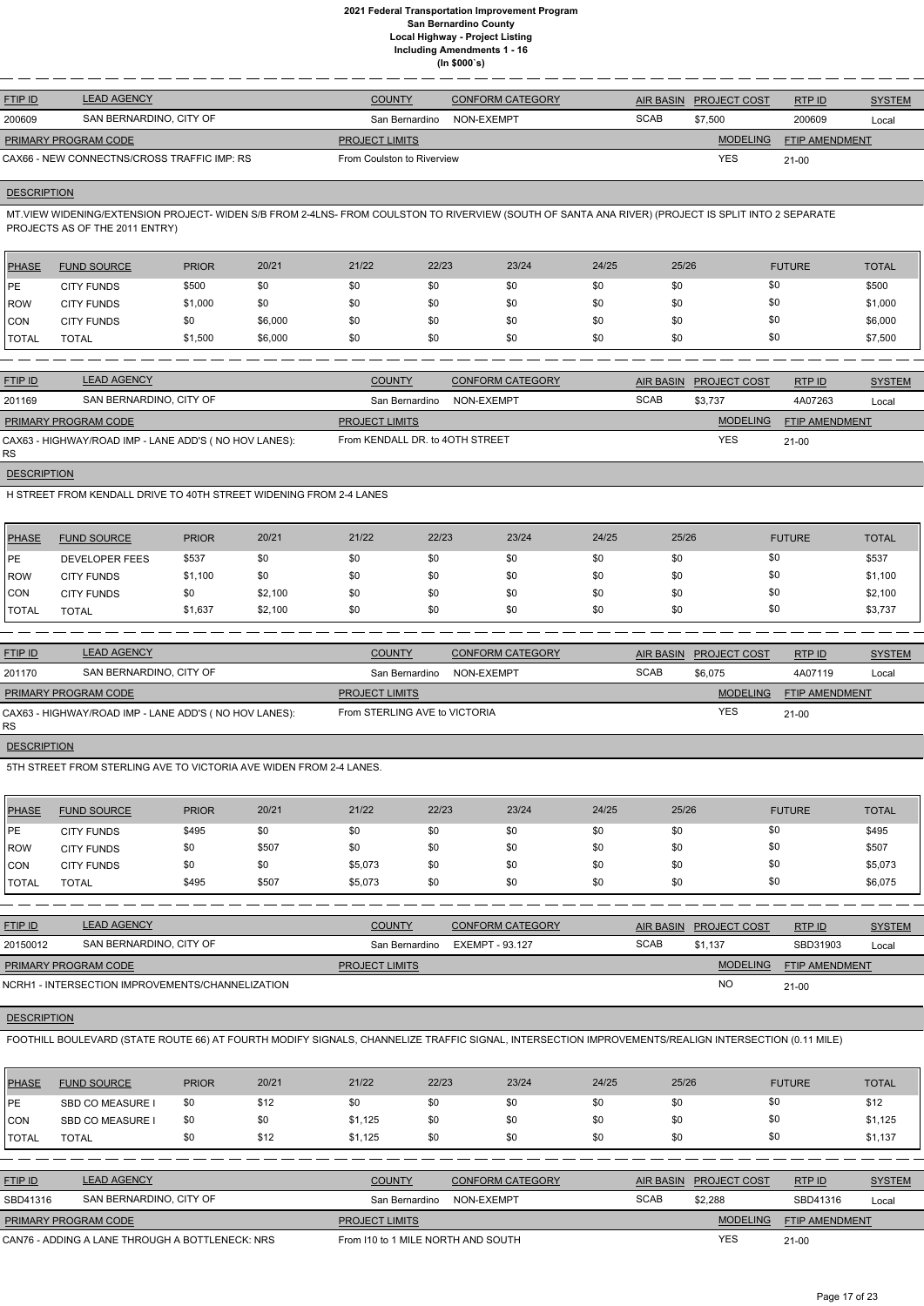| <b>FTIP ID</b>              | <b>LEAD AGENCY</b>                          | <b>COUNTY</b>              | <b>CONFORM CATEGORY</b> | AIR BASIN   | <b>PROJECT COST</b> | RTPID                 | <b>SYSTEM</b> |
|-----------------------------|---------------------------------------------|----------------------------|-------------------------|-------------|---------------------|-----------------------|---------------|
| 200609                      | SAN BERNARDINO, CITY OF                     | San Bernardino             | NON-EXEMPT              | <b>SCAB</b> | \$7,500             | 200609                | Local         |
| <b>PRIMARY PROGRAM CODE</b> |                                             | <b>PROJECT LIMITS</b>      |                         |             | <b>MODELING</b>     | <b>FTIP AMENDMENT</b> |               |
|                             | CAX66 - NEW CONNECTNS/CROSS TRAFFIC IMP: RS | From Coulston to Riverview |                         |             | <b>YES</b>          | $21 - 00$             |               |
|                             |                                             |                            |                         |             |                     |                       |               |

## **DESCRIPTION**

MT.VIEW WIDENING/EXTENSION PROJECT- WIDEN S/B FROM 2-4LNS- FROM COULSTON TO RIVERVIEW (SOUTH OF SANTA ANA RIVER) (PROJECT IS SPLIT INTO 2 SEPARATE PROJECTS AS OF THE 2011 ENTRY)

| <b>PHASE</b>  | <b>FUND SOURCE</b> | <b>PRIOR</b> | 20/21   | 21/22 | 22/23 | 23/24 | 24/25 | 25/26 | <b>FUTURE</b> | <b>TOTAL</b> |
|---------------|--------------------|--------------|---------|-------|-------|-------|-------|-------|---------------|--------------|
| <b>IPE</b>    | <b>CITY FUNDS</b>  | \$500        | \$0     | \$0   | \$0   | \$0   | \$0   | \$0   | \$0           | \$500        |
| <b>IROW</b>   | <b>CITY FUNDS</b>  | \$1,000      | \$0     | \$0   | \$0   | \$0   | \$0   | \$0   | \$0           | \$1,000      |
| CON           | <b>CITY FUNDS</b>  | \$0          | \$6,000 | \$0   | \$0   | \$0   | \$0   | \$0   | \$0           | \$6,000      |
| <b>ITOTAL</b> | <b>TOTAL</b>       | \$1,500      | \$6,000 | \$0   | \$0   | \$0   | \$0   | \$0   | \$0           | \$7,500      |

| <b>FTIP ID</b>              | <b>LEAD AGENCY</b>                                    | <b>COUNTY</b>                   | <b>CONFORM CATEGORY</b> | AIR BASIN   | <b>PROJECT COST</b> | RTPID                 | <b>SYSTEM</b> |
|-----------------------------|-------------------------------------------------------|---------------------------------|-------------------------|-------------|---------------------|-----------------------|---------------|
| 201169                      | SAN BERNARDINO, CITY OF                               | San Bernardino                  | NON-EXEMPT              | <b>SCAB</b> | \$3.737             | 4A07263               | Local         |
| <b>PRIMARY PROGRAM CODE</b> |                                                       | <b>PROJECT LIMITS</b>           |                         |             | <b>MODELING</b>     | <b>FTIP AMENDMENT</b> |               |
| <b>RS</b>                   | CAX63 - HIGHWAY/ROAD IMP - LANE ADD'S (NO HOV LANES): | From KENDALL DR. to 40TH STREET |                         |             | YES                 | $21-00$               |               |

**DESCRIPTION** 

H STREET FROM KENDALL DRIVE TO 40TH STREET WIDENING FROM 2-4 LANES

| PHASE        | <b>FUND SOURCE</b>    | <b>PRIOR</b> | 20/21   | 21/22 | 22/23 | 23/24 | 24/25 | 25/26 | <b>FUTURE</b> | <b>TOTAL</b> |
|--------------|-----------------------|--------------|---------|-------|-------|-------|-------|-------|---------------|--------------|
| PE           | <b>DEVELOPER FEES</b> | \$537        | \$0     | \$0   | \$0   | \$0   | \$0   | \$0   | \$0           | \$537        |
| <b>ROW</b>   | <b>CITY FUNDS</b>     | \$1,100      | \$0     | \$0   | \$0   | \$0   | \$0   | \$0   | \$0           | \$1,100      |
| ICON         | <b>CITY FUNDS</b>     | \$0          | \$2,100 | \$0   | \$0   | \$0   | \$0   | \$0   | \$0           | \$2,100      |
| <b>TOTAL</b> | <b>TOTAL</b>          | \$1,637      | \$2,100 | \$0   | \$0   | \$0   | \$0   | \$0   | \$0           | \$3,737      |

| <b>FTIP ID</b>       | <b>LEAD AGENCY</b>                                    | <b>COUNTY</b>                 | <b>CONFORM CATEGORY</b> |             | AIR BASIN PROJECT COST | RTPID                 | <b>SYSTEM</b> |
|----------------------|-------------------------------------------------------|-------------------------------|-------------------------|-------------|------------------------|-----------------------|---------------|
| 201170               | SAN BERNARDINO, CITY OF                               | San Bernardino                | NON-EXEMPT              | <b>SCAB</b> | \$6.075                | 4A07119               | Local         |
| PRIMARY PROGRAM CODE |                                                       | <b>PROJECT LIMITS</b>         |                         |             | <b>MODELING</b>        | <b>FTIP AMENDMENT</b> |               |
| RS.                  | CAX63 - HIGHWAY/ROAD IMP - LANE ADD'S (NO HOV LANES): | From STERLING AVE to VICTORIA |                         |             | YES                    | $21-00$               |               |

**DESCRIPTION** 

5TH STREET FROM STERLING AVE TO VICTORIA AVE WIDEN FROM 2-4 LANES.

| PHASE        | <b>FUND SOURCE</b> | <b>PRIOR</b> | 20/21 | 21/22   | 22/23 | 23/24 | 24/25 | 25/26 | <b>FUTURE</b> | <b>TOTAL</b> |
|--------------|--------------------|--------------|-------|---------|-------|-------|-------|-------|---------------|--------------|
| PE           | <b>CITY FUNDS</b>  | \$495        | \$0   | \$0     | \$0   | \$0   | \$0   | \$0   | \$0           | \$495        |
| <b>IROW</b>  | <b>CITY FUNDS</b>  | \$0          | \$507 | \$0     | \$0   | \$0   | \$0   | \$0   | \$0           | \$507        |
| CON          | <b>CITY FUNDS</b>  | \$0          | \$0   | \$5,073 | \$0   | \$0   | \$0   | \$0   | \$0           | \$5,073      |
| <b>TOTAL</b> | <b>TOTAL</b>       | \$495        | \$507 | \$5,073 | \$0   | \$0   | \$0   | \$0   | \$0           | \$6,075      |

| <b>FTIP ID</b>                                   | <b>LEAD AGENCY</b>      | <b>COUNTY</b>         | <b>CONFORM CATEGORY</b> | <b>AIR BASIN</b> | <b>PROJECT COST</b> | RTPID                 | <b>SYSTEM</b> |
|--------------------------------------------------|-------------------------|-----------------------|-------------------------|------------------|---------------------|-----------------------|---------------|
| 20150012                                         | SAN BERNARDINO, CITY OF | San Bernardino        | EXEMPT - 93.127         | <b>SCAB</b>      | \$1.137             | SBD31903              | Local         |
| <b>PRIMARY PROGRAM CODE</b>                      |                         | <b>PROJECT LIMITS</b> |                         |                  | <b>MODELING</b>     | <b>FTIP AMENDMENT</b> |               |
| NCRH1 - INTERSECTION IMPROVEMENTS/CHANNELIZATION |                         |                       |                         |                  | <b>NO</b>           | $21 - 00$             |               |

## **DESCRIPTION**

FOOTHILL BOULEVARD (STATE ROUTE 66) AT FOURTH MODIFY SIGNALS, CHANNELIZE TRAFFIC SIGNAL, INTERSECTION IMPROVEMENTS/REALIGN INTERSECTION (0.11 MILE)

| PHASE        | <b>FUND SOURCE</b>                              | <b>PRIOR</b> | 20/21 | 21/22                              | 22/23          | 23/24                   | 24/25 | 25/26            |                     | <b>FUTURE</b>         | <b>TOTAL</b>  |
|--------------|-------------------------------------------------|--------------|-------|------------------------------------|----------------|-------------------------|-------|------------------|---------------------|-----------------------|---------------|
| <b>IPE</b>   | <b>SBD CO MEASURE I</b>                         | \$0          | \$12  | \$0                                | \$0            | \$0                     | \$0   | \$0              | \$0                 |                       | \$12          |
| ICON         | <b>SBD CO MEASURE I</b>                         | \$0          | \$0   | \$1,125                            | \$0            | \$0                     | \$0   | \$0              | \$0                 |                       | \$1,125       |
| <b>TOTAL</b> | <b>TOTAL</b>                                    | \$0          | \$12  | \$1,125                            | \$0            | \$0                     | \$0   | \$0              | \$0                 |                       | \$1,137       |
|              |                                                 |              |       |                                    |                |                         |       |                  |                     |                       |               |
| FTIP ID      | <b>LEAD AGENCY</b>                              |              |       | <b>COUNTY</b>                      |                | <b>CONFORM CATEGORY</b> |       | <b>AIR BASIN</b> | <b>PROJECT COST</b> | RTPID                 | <b>SYSTEM</b> |
| SBD41316     | SAN BERNARDINO, CITY OF                         |              |       |                                    | San Bernardino | NON-EXEMPT              |       | <b>SCAB</b>      | \$2,288             | SBD41316              | Local         |
|              | PRIMARY PROGRAM CODE                            |              |       | <b>PROJECT LIMITS</b>              |                |                         |       |                  | <b>MODELING</b>     | <b>FTIP AMENDMENT</b> |               |
|              | CAN76 - ADDING A LANE THROUGH A BOTTLENECK: NRS |              |       | From 110 to 1 MILE NORTH AND SOUTH |                |                         |       |                  | <b>YES</b>          | $21 - 00$             |               |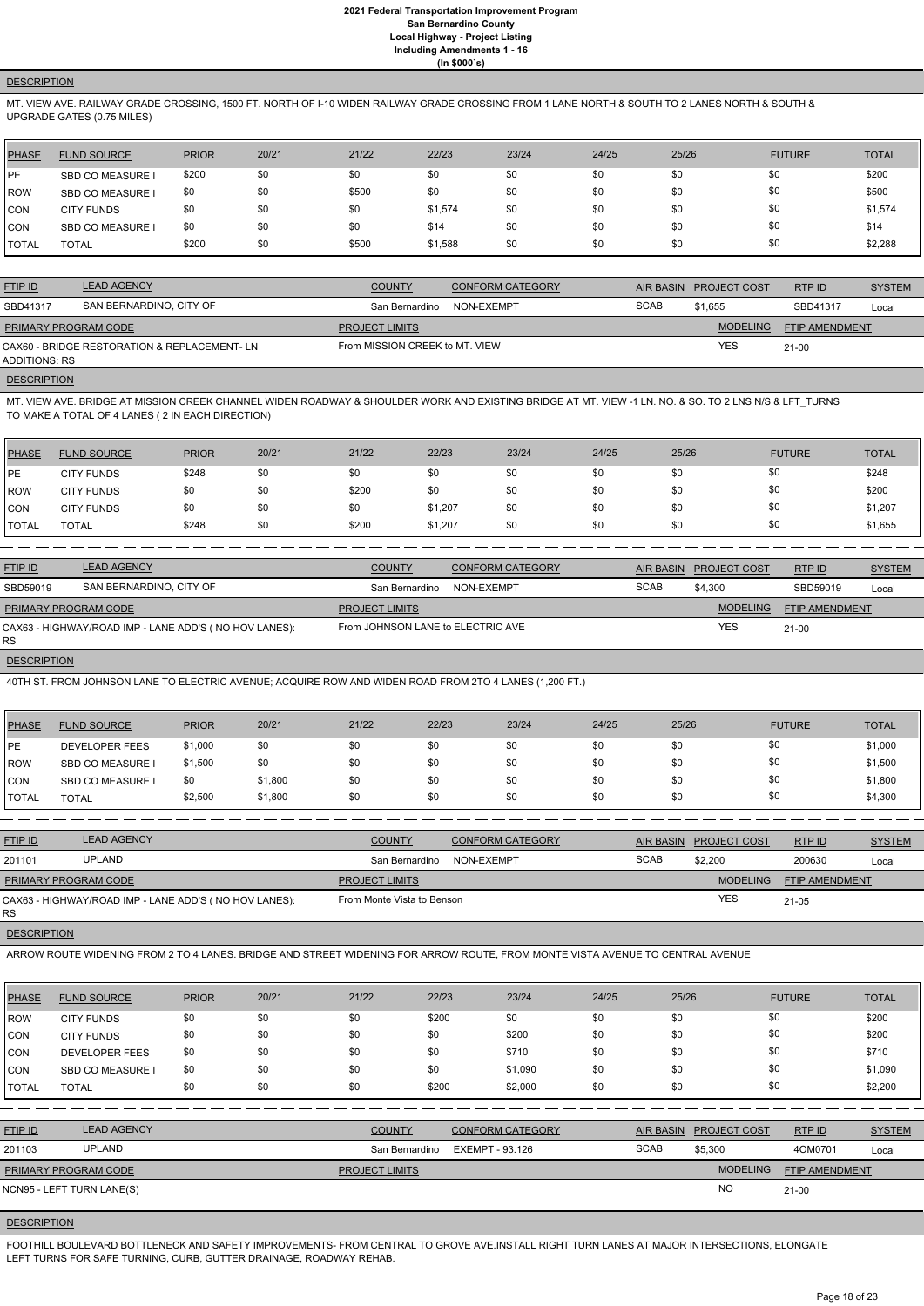## **DESCRIPTION**

MT. VIEW AVE. RAILWAY GRADE CROSSING, 1500 FT. NORTH OF I-10 WIDEN RAILWAY GRADE CROSSING FROM 1 LANE NORTH & SOUTH TO 2 LANES NORTH & SOUTH & UPGRADE GATES (0.75 MILES)

| PHASE      | <b>FUND SOURCE</b>      | <b>PRIOR</b> | 20/21 | 21/22 | 22/23   | 23/24 | 24/25 | 25/26 | <b>FUTURE</b> | <b>TOTAL</b> |
|------------|-------------------------|--------------|-------|-------|---------|-------|-------|-------|---------------|--------------|
| PE         | <b>SBD CO MEASURE I</b> | \$200        | \$0   | \$0   | \$0     | \$0   | \$0   | \$0   | \$0           | \$200        |
| ROW        | <b>SBD CO MEASURE I</b> | \$0          | \$0   | \$500 | \$0     | \$0   | \$0   | \$0   | \$0           | \$500        |
| <b>CON</b> | <b>CITY FUNDS</b>       | \$0          | \$0   | \$0   | \$1,574 | \$0   | \$0   | \$0   | \$0           | \$1,574      |
| <b>CON</b> | <b>SBD CO MEASURE I</b> | \$0          | \$0   | \$0   | \$14    | \$0   | \$0   | \$0   | \$0           | \$14         |
| I TOTAL    | <b>TOTAL</b>            | \$200        | \$0   | \$500 | \$1,588 | \$0   | \$0   | \$0   | \$0           | \$2,288      |

| <b>FTIP ID</b>       | <b>LEAD AGENCY</b>                           | <b>COUNTY</b>                  | <b>CONFORM CATEGORY</b> |             | AIR BASIN PROJECT COST | RTP ID         | <b>SYSTEM</b> |
|----------------------|----------------------------------------------|--------------------------------|-------------------------|-------------|------------------------|----------------|---------------|
| SBD41317             | SAN BERNARDINO, CITY OF                      | San Bernardino                 | NON-EXEMPT              | <b>SCAB</b> | \$1,655                | SBD41317       | Local         |
| PRIMARY PROGRAM CODE |                                              | <b>PROJECT LIMITS</b>          |                         |             | <b>MODELING</b>        | FTIP AMENDMENT |               |
| ADDITIONS: RS        | CAX60 - BRIDGE RESTORATION & REPLACEMENT- LN | From MISSION CREEK to MT. VIEW |                         |             | <b>YES</b>             | $21 - 00$      |               |

## **DESCRIPTION**

MT. VIEW AVE. BRIDGE AT MISSION CREEK CHANNEL WIDEN ROADWAY & SHOULDER WORK AND EXISTING BRIDGE AT MT. VIEW -1 LN. NO. & SO. TO 2 LNS N/S & LFT\_TURNS TO MAKE A TOTAL OF 4 LANES ( 2 IN EACH DIRECTION)

| <b>PHASE</b> | <b>FUND SOURCE</b> | <b>PRIOR</b> | 20/21 | 21/22 | 22/23   | 23/24 | 24/25 | 25/26 | <b>FUTURE</b> | TOTAL   |
|--------------|--------------------|--------------|-------|-------|---------|-------|-------|-------|---------------|---------|
| <b>IPE</b>   | <b>CITY FUNDS</b>  | \$248        | \$0   | \$0   | \$0     | \$0   | \$0   | \$0   | \$0           | \$248   |
| <b>IROW</b>  | <b>CITY FUNDS</b>  | \$0          | \$0   | \$200 | \$0     | \$0   | \$0   | \$0   | \$0           | \$200   |
| CON          | <b>CITY FUNDS</b>  | \$0          | \$0   | \$0   | \$1,207 | \$0   | \$0   | \$0   | \$0           | \$1,207 |
| <b>TOTAL</b> | TOTAL              | \$248        | \$0   | \$200 | \$1,207 | \$0   | \$0   | \$0   | \$0           | \$1,655 |

| <b>FTIP ID</b>              | <b>LEAD AGENCY</b>                                    | <b>COUNTY</b>                     | <b>CONFORM CATEGORY</b> | AIR BASIN   | <b>PROJECT COST</b> | RTP ID                | <b>SYSTEM</b> |
|-----------------------------|-------------------------------------------------------|-----------------------------------|-------------------------|-------------|---------------------|-----------------------|---------------|
| SBD59019                    | SAN BERNARDINO, CITY OF                               | San Bernardino                    | NON-EXEMPT              | <b>SCAB</b> | \$4.300             | SBD59019              | Local         |
| <b>PRIMARY PROGRAM CODE</b> |                                                       | <b>PROJECT LIMITS</b>             |                         |             | <b>MODELING</b>     | <b>FTIP AMENDMENT</b> |               |
| RS.                         | CAX63 - HIGHWAY/ROAD IMP - LANE ADD'S (NO HOV LANES): | From JOHNSON LANE to ELECTRIC AVE |                         | <b>YES</b>  | $21-00$             |                       |               |

**DESCRIPTION** 

40TH ST. FROM JOHNSON LANE TO ELECTRIC AVENUE; ACQUIRE ROW AND WIDEN ROAD FROM 2TO 4 LANES (1,200 FT.)

| PHASE        | <b>FUND SOURCE</b>      | <b>PRIOR</b> | 20/21   | 21/22 | 22/23 | 23/24 | 24/25 | 25/26 | <b>FUTURE</b> | <b>TOTAL</b> |
|--------------|-------------------------|--------------|---------|-------|-------|-------|-------|-------|---------------|--------------|
| PE           | <b>DEVELOPER FEES</b>   | \$1,000      | \$0     | \$0   | \$0   | \$0   | \$0   | \$0   | \$0           | \$1,000      |
| l ROW        | <b>SBD CO MEASURE I</b> | \$1,500      | \$0     | \$0   | \$0   | \$0   | \$0   | \$0   | \$0           | \$1,500      |
| <b>ICON</b>  | <b>SBD CO MEASURE I</b> | \$0          | \$1,800 | \$0   | \$0   | \$0   | \$0   | \$0   | \$0           | \$1,800      |
| <b>TOTAL</b> | <b>TOTAL</b>            | \$2,500      | \$1,800 | \$0   | \$0   | \$0   | \$0   | \$0   | \$0           | \$4,300      |

| <b>FTIP ID</b>       | <b>LEAD AGENCY</b>                                    | <b>COUNTY</b>              | <b>CONFORM CATEGORY</b> |             | AIR BASIN PROJECT COST | RTP ID         | <b>SYSTEM</b> |
|----------------------|-------------------------------------------------------|----------------------------|-------------------------|-------------|------------------------|----------------|---------------|
| 201101               | <b>UPLAND</b>                                         | San Bernardino             | NON-EXEMPT              | <b>SCAB</b> | \$2,200                | 200630         | Local         |
| PRIMARY PROGRAM CODE |                                                       | <b>PROJECT LIMITS</b>      |                         |             | <b>MODELING</b>        | FTIP AMENDMENT |               |
| RS.                  | CAX63 - HIGHWAY/ROAD IMP - LANE ADD'S (NO HOV LANES): | From Monte Vista to Benson |                         |             | <b>YES</b>             | $21 - 05$      |               |

**DESCRIPTION** 

ARROW ROUTE WIDENING FROM 2 TO 4 LANES. BRIDGE AND STREET WIDENING FOR ARROW ROUTE, FROM MONTE VISTA AVENUE TO CENTRAL AVENUE

| <b>PHASE</b> | <b>FUND SOURCE</b>        | <b>PRIOR</b> | 20/21 | 21/22                 | 22/23          | 23/24                   | 24/25 | 25/26            |                     | <b>FUTURE</b>         | <b>TOTAL</b>  |
|--------------|---------------------------|--------------|-------|-----------------------|----------------|-------------------------|-------|------------------|---------------------|-----------------------|---------------|
| <b>IROW</b>  | <b>CITY FUNDS</b>         | \$0          | \$0   | \$0                   | \$200          | \$0                     | \$0   | \$0              | \$0                 |                       | \$200         |
| ICON         | <b>CITY FUNDS</b>         | \$0          | \$0   | \$0                   | \$0            | \$200                   | \$0   | \$0              | \$0                 |                       | \$200         |
| CON          | <b>DEVELOPER FEES</b>     | \$0          | \$0   | \$0                   | \$0            | \$710                   | \$0   | \$0              | \$0                 |                       | \$710         |
| CON          | <b>SBD CO MEASURE I</b>   | \$0          | \$0   | \$0                   | \$0            | \$1,090                 | \$0   | \$0              | \$0                 |                       | \$1,090       |
| <b>TOTAL</b> | <b>TOTAL</b>              | \$0          | \$0   | \$0                   | \$200          | \$2,000                 | \$0   | \$0              | \$0                 |                       | \$2,200       |
|              |                           |              |       |                       |                |                         |       |                  |                     |                       |               |
| FTIP ID      | <b>LEAD AGENCY</b>        |              |       | <b>COUNTY</b>         |                | <b>CONFORM CATEGORY</b> |       | <b>AIR BASIN</b> | <b>PROJECT COST</b> | RTP ID                | <b>SYSTEM</b> |
| 201103       | <b>UPLAND</b>             |              |       |                       | San Bernardino | EXEMPT - 93.126         |       | <b>SCAB</b>      | \$5,300             | 4OM0701               | Local         |
|              | PRIMARY PROGRAM CODE      |              |       | <b>PROJECT LIMITS</b> |                |                         |       |                  | <b>MODELING</b>     | <b>FTIP AMENDMENT</b> |               |
|              | NCN95 - LEFT TURN LANE(S) |              |       |                       |                |                         |       |                  | <b>NO</b>           | $21-00$               |               |
|              |                           |              |       |                       |                |                         |       |                  |                     |                       |               |

#### **DESCRIPTION**

FOOTHILL BOULEVARD BOTTLENECK AND SAFETY IMPROVEMENTS- FROM CENTRAL TO GROVE AVE.INSTALL RIGHT TURN LANES AT MAJOR INTERSECTIONS, ELONGATE LEFT TURNS FOR SAFE TURNING, CURB, GUTTER DRAINAGE, ROADWAY REHAB.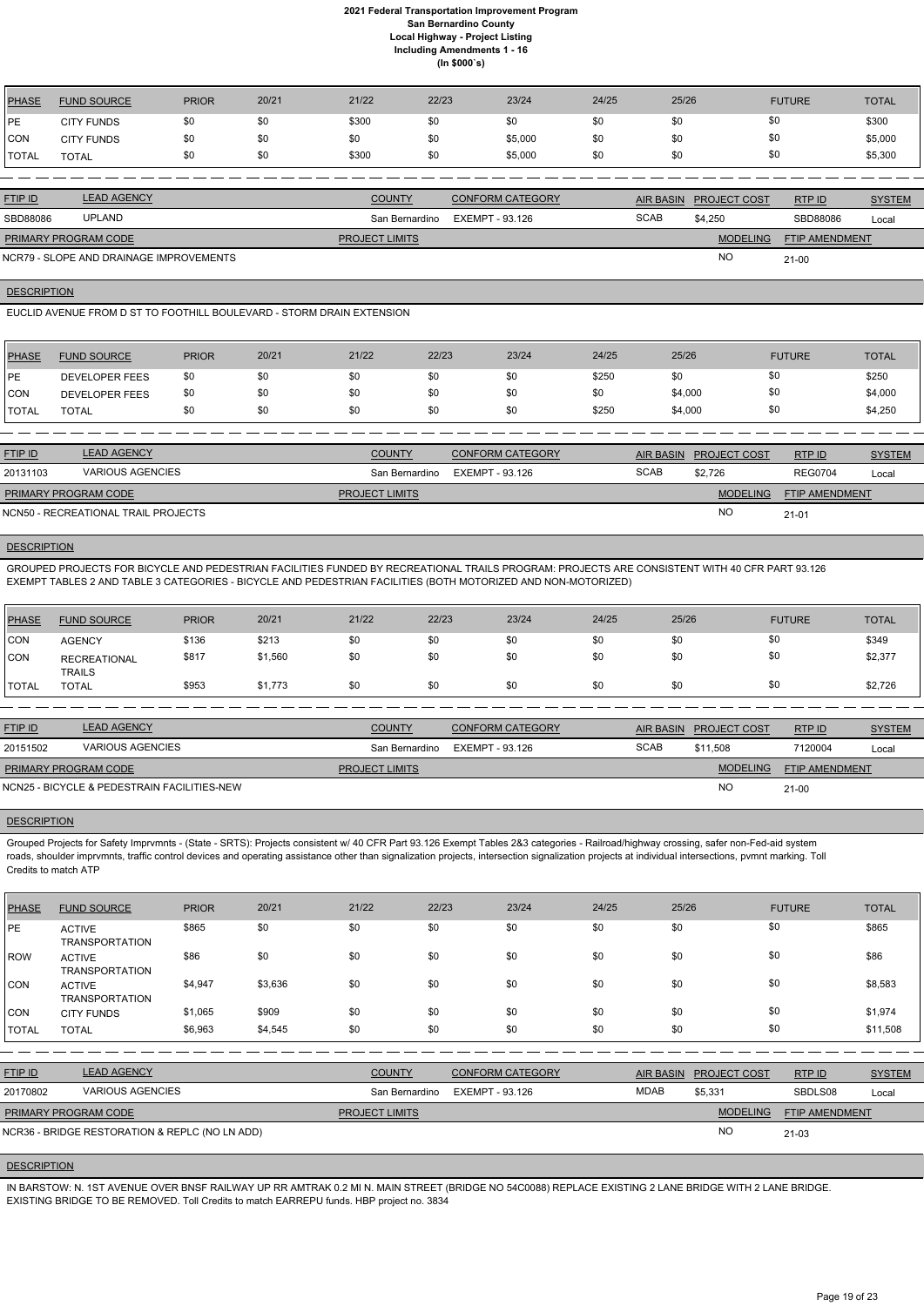| <b>PHASE</b> | <b>FUND SOURCE</b> | <b>PRIOR</b> | 20/21 | 21/22 | 22/23 | 23/24   | 24/25 | 25/26 | <b>FUTURE</b> | <b>TOTAL</b> |
|--------------|--------------------|--------------|-------|-------|-------|---------|-------|-------|---------------|--------------|
| PE           | <b>CITY FUNDS</b>  | \$0          | \$0   | \$300 | \$0   | \$0     | \$0   | \$0   | \$0           | \$300        |
| <b>CON</b>   | <b>CITY FUNDS</b>  | \$0          | \$0   | \$0   | \$0   | \$5,000 | \$0   | \$0   | \$0           | \$5,000      |
| <b>TOTAL</b> | <b>TOTAL</b>       | \$0          | \$0   | \$300 | \$0   | \$5,000 | \$0   | \$0   | \$0           | \$5,300      |
|              |                    |              |       |       |       |         |       |       |               |              |

| <b>FTIP ID</b>              | <b>LEAD AGENCY</b>                      | <b>COUNTY</b>         | <b>CONFORM CATEGORY</b> |             | AIR BASIN PROJECT COST | RTPID                 | <b>SYSTEM</b> |
|-----------------------------|-----------------------------------------|-----------------------|-------------------------|-------------|------------------------|-----------------------|---------------|
| SBD88086                    | <b>UPLAND</b>                           | San Bernardino        | EXEMPT - 93.126         | <b>SCAB</b> | \$4.250                | SBD88086              | Local         |
| <b>PRIMARY PROGRAM CODE</b> |                                         | <b>PROJECT LIMITS</b> |                         |             | <b>MODELING</b>        | <b>FTIP AMENDMENT</b> |               |
|                             | NCR79 - SLOPE AND DRAINAGE IMPROVEMENTS |                       |                         |             | <b>NO</b>              | $21 - 00$             |               |

**DESCRIPTION** 

EUCLID AVENUE FROM D ST TO FOOTHILL BOULEVARD - STORM DRAIN EXTENSION

| <b>PHASE</b>  | <b>FUND SOURCE</b>    | <b>PRIOR</b> | 20/21 | 21/22 | 22/23 | 23/24 | 24/25 | 25/26   | <b>FUTURE</b> | <b>TOTAL</b> |
|---------------|-----------------------|--------------|-------|-------|-------|-------|-------|---------|---------------|--------------|
| <b>IPE</b>    | <b>DEVELOPER FEES</b> | \$0          | \$0   | \$0   |       | \$0   | \$250 | \$0     |               | \$250        |
| <b>CON</b>    | <b>DEVELOPER FEES</b> | \$0          | \$0   | \$0   | \$0   | \$0   | \$0   | \$4,000 | \$0           | \$4,000      |
| <b>ITOTAL</b> | <b>TOTAL</b>          | \$0          | \$0   | \$0   |       | \$0   | \$250 | \$4,000 |               | \$4,250      |

| <b>FTIP ID</b>              | <b>LEAD AGENCY</b>                  | <b>COUNTY</b>         | <b>CONFORM CATEGORY</b> |             | AIR BASIN PROJECT COST | RTPID                 | <b>SYSTEM</b> |
|-----------------------------|-------------------------------------|-----------------------|-------------------------|-------------|------------------------|-----------------------|---------------|
| 20131103                    | VARIOUS AGENCIES                    | San Bernardino        | EXEMPT - 93.126         | <b>SCAB</b> | \$2.726                | <b>REG0704</b>        | Local         |
| <b>PRIMARY PROGRAM CODE</b> |                                     | <b>PROJECT LIMITS</b> |                         |             | <b>MODELING</b>        | <b>FTIP AMENDMENT</b> |               |
|                             | NCN50 - RECREATIONAL TRAIL PROJECTS |                       |                         |             | NO                     | $21 - 01$             |               |

### **DESCRIPTION**

GROUPED PROJECTS FOR BICYCLE AND PEDESTRIAN FACILITIES FUNDED BY RECREATIONAL TRAILS PROGRAM: PROJECTS ARE CONSISTENT WITH 40 CFR PART 93.126 EXEMPT TABLES 2 AND TABLE 3 CATEGORIES - BICYCLE AND PEDESTRIAN FACILITIES (BOTH MOTORIZED AND NON-MOTORIZED)

| <b>PHASE</b>   | <b>FUND SOURCE</b>                   | <b>PRIOR</b> | 20/21   | 21/22 | 22/23 | 23/24 | 24/25 | 25/26 | <b>FUTURE</b> | <b>TOTAL</b> |
|----------------|--------------------------------------|--------------|---------|-------|-------|-------|-------|-------|---------------|--------------|
| CON            | <b>AGENCY</b>                        | \$136        | \$213   | \$0   | \$0   | \$0   | \$0   | \$0   | \$0           | \$349        |
| CON            | <b>RECREATIONAL</b><br><b>TRAILS</b> | \$817        | \$1,560 | \$0   | \$0   | \$0   | \$0   | \$0   | \$0           | \$2,377      |
| <b>I</b> TOTAL | <b>TOTAL</b>                         | \$953        | \$1,773 | \$0   | \$0   | \$0   | \$0   | \$0   | \$0           | \$2,726      |

| <b>FTIP ID</b>              | <b>LEAD AGENCY</b>                          | <b>COUNTY</b>         | <b>CONFORM CATEGORY</b> |             | AIR BASIN PROJECT COST | RTPID                 | <b>SYSTEM</b> |
|-----------------------------|---------------------------------------------|-----------------------|-------------------------|-------------|------------------------|-----------------------|---------------|
| 20151502                    | <b>VARIOUS AGENCIES</b>                     | San Bernardino        | EXEMPT - 93.126         | <b>SCAB</b> | \$11.508               | 7120004               | Local         |
| <b>PRIMARY PROGRAM CODE</b> |                                             | <b>PROJECT LIMITS</b> |                         |             | <b>MODELING</b>        | <b>FTIP AMENDMENT</b> |               |
|                             | NCN25 - BICYCLE & PEDESTRAIN FACILITIES-NEW |                       |                         |             | <b>NO</b>              | $21 - 00$             |               |

#### **DESCRIPTION**

Grouped Projects for Safety Imprvmnts - (State - SRTS): Projects consistent w/ 40 CFR Part 93.126 Exempt Tables 2&3 categories - Railroad/highway crossing, safer non-Fed-aid system roads, shoulder imprvmnts, traffic control devices and operating assistance other than signalization projects, intersection signalization projects at individual intersections, pvmnt marking. Toll Credits to match ATP

| <b>PHASE</b>   | <b>FUND SOURCE</b>                             | <b>PRIOR</b> | 20/21   | 21/22                 | 22/23                  | 23/24                   | 24/25            | 25/26 |                 | <b>FUTURE</b>         | <b>TOTAL</b>  |
|----------------|------------------------------------------------|--------------|---------|-----------------------|------------------------|-------------------------|------------------|-------|-----------------|-----------------------|---------------|
| PE             | <b>ACTIVE</b><br><b>TRANSPORTATION</b>         | \$865        | \$0     | \$0                   | \$0                    | \$0                     | \$0              | \$0   | \$0             |                       | \$865         |
| ROW            | <b>ACTIVE</b><br><b>TRANSPORTATION</b>         | \$86         | \$0     | \$0                   | \$0                    | \$0                     | \$0              | \$0   | \$0             |                       | \$86          |
| CON            | <b>ACTIVE</b><br><b>TRANSPORTATION</b>         | \$4,947      | \$3,636 | \$0                   | \$0                    | \$0                     | \$0              | \$0   | \$0             |                       | \$8,583       |
| CON            | <b>CITY FUNDS</b>                              | \$1,065      | \$909   | \$0                   | \$0                    | \$0                     | \$0              | \$0   | \$0             |                       | \$1,974       |
| <b>TOTAL</b>   | <b>TOTAL</b>                                   | \$6,963      | \$4,545 | \$0                   | \$0                    | \$0                     | \$0              | \$0   | \$0             |                       | \$11,508      |
|                |                                                |              |         |                       |                        |                         |                  |       |                 |                       |               |
| <b>FTIP ID</b> | <b>LEAD AGENCY</b>                             |              |         | <b>COUNTY</b>         |                        | <b>CONFORM CATEGORY</b> | <b>AIR BASIN</b> |       | PROJECT COST    | RTP ID                | <b>SYSTEM</b> |
| 20170802       | <b>VARIOUS AGENCIES</b>                        |              |         | San Bernardino        | <b>EXEMPT - 93.126</b> |                         | <b>MDAB</b>      |       | \$5,331         | SBDLS08               | Local         |
|                | PRIMARY PROGRAM CODE                           |              |         | <b>PROJECT LIMITS</b> |                        |                         |                  |       | <b>MODELING</b> | <b>FTIP AMENDMENT</b> |               |
|                | NCR36 - BRIDGE RESTORATION & REPLC (NO LN ADD) |              |         |                       |                        |                         |                  |       | <b>NO</b>       | $21 - 03$             |               |

#### **DESCRIPTION**

IN BARSTOW: N. 1ST AVENUE OVER BNSF RAILWAY UP RR AMTRAK 0.2 MI N. MAIN STREET (BRIDGE NO 54C0088) REPLACE EXISTING 2 LANE BRIDGE WITH 2 LANE BRIDGE. EXISTING BRIDGE TO BE REMOVED. Toll Credits to match EARREPU funds. HBP project no. 3834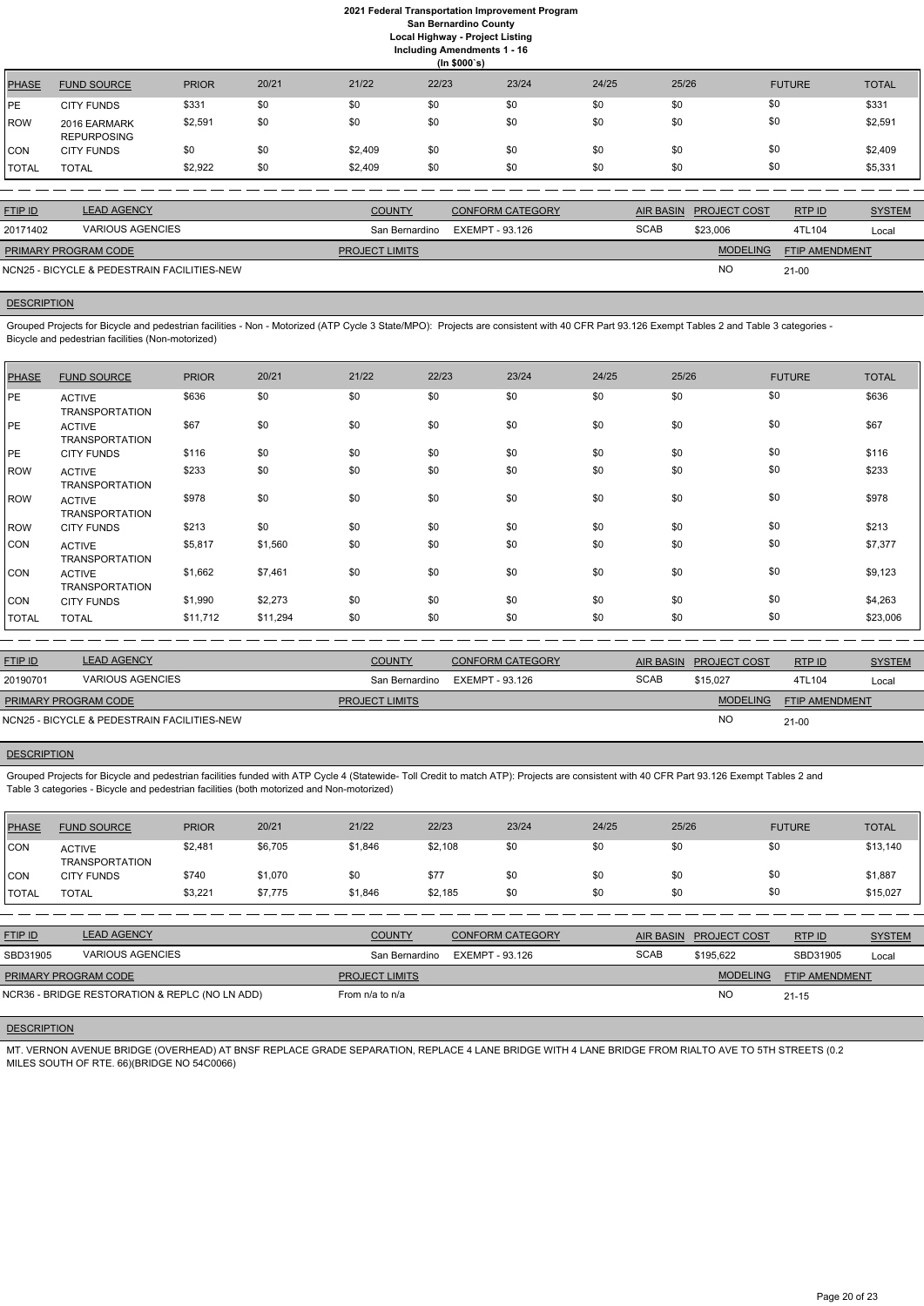## **2021 Federal Transportation Improvement Program San Bernardino County Local Highway - Project Listing**

**Including Amendments 1 - 16**

**(In \$000`s)** PHASE FUND SOURCE PRIOR 20/21 21/22 22/23 23/24 24/25 25/26 FUTURE TOTAL PE CITY FUNDS \$331 \$0 \$0 \$0 \$0 \$0 \$0 \$0 \$0 \$0 \$0 \$0 \$0 \$331 ROW 2016 EARMARK REPURPOSING \$2,591 \$0 \$0 \$0 \$0 \$0 \$0 \$0 \$2,591 CON CITY FUNDS \$0 \$0 \$0 \$2,409 \$0 \$0 \$0 \$0 \$0 \$0 \$0 \$0 \$2,409 TOTAL TOTAL \$2,922 \$0 \$2,409 \$0 \$0 \$0 \$0 \$0 \$5,331

| <b>FTIP ID</b>       | <b>LEAD AGENCY</b>                          | <b>COUNTY</b>         | CONFORM CATEGORY               |             | AIR BASIN PROJECT COST | <b>RTPID</b>          | <b>SYSTEM</b> |
|----------------------|---------------------------------------------|-----------------------|--------------------------------|-------------|------------------------|-----------------------|---------------|
| 20171402             | <b>VARIOUS AGENCIES</b>                     |                       | San Bernardino EXEMPT - 93.126 | <b>SCAB</b> | \$23,006               | 4TL104                | Local         |
| PRIMARY PROGRAM CODE |                                             | <b>PROJECT LIMITS</b> |                                |             | <b>MODELING</b>        | <b>FTIP AMENDMENT</b> |               |
|                      | NCN25 - BICYCLE & PEDESTRAIN FACILITIES-NEW |                       |                                |             | <b>NC</b>              | $21 - 00$             |               |

## **DESCRIPTION**

Grouped Projects for Bicycle and pedestrian facilities - Non - Motorized (ATP Cycle 3 State/MPO): Projects are consistent with 40 CFR Part 93.126 Exempt Tables 2 and Table 3 categories - Bicycle and pedestrian facilities (Non-motorized)

| <b>PHASE</b> | <b>FUND SOURCE</b>                     | <b>PRIOR</b> | 20/21    | 21/22 | 22/23 | 23/24 | 24/25 | 25/26 | <b>FUTURE</b> | <b>TOTAL</b> |
|--------------|----------------------------------------|--------------|----------|-------|-------|-------|-------|-------|---------------|--------------|
| PE           | <b>ACTIVE</b><br><b>TRANSPORTATION</b> | \$636        | \$0      | \$0   | \$0   | \$0   | \$0   | \$0   | \$0           | \$636        |
| PE           | <b>ACTIVE</b><br><b>TRANSPORTATION</b> | \$67         | \$0      | \$0   | \$0   | \$0   | \$0   | \$0   | \$0           | \$67         |
| PE           | <b>CITY FUNDS</b>                      | \$116        | \$0      | \$0   | \$0   | \$0   | \$0   | \$0   | \$0           | \$116        |
| <b>ROW</b>   | <b>ACTIVE</b><br><b>TRANSPORTATION</b> | \$233        | \$0      | \$0   | \$0   | \$0   | \$0   | \$0   | \$0           | \$233        |
| <b>ROW</b>   | <b>ACTIVE</b><br><b>TRANSPORTATION</b> | \$978        | \$0      | \$0   | \$0   | \$0   | \$0   | \$0   | \$0           | \$978        |
| <b>ROW</b>   | <b>CITY FUNDS</b>                      | \$213        | \$0      | \$0   | \$0   | \$0   | \$0   | \$0   | \$0           | \$213        |
| <b>CON</b>   | <b>ACTIVE</b><br><b>TRANSPORTATION</b> | \$5,817      | \$1,560  | \$0   | \$0   | \$0   | \$0   | \$0   | \$0           | \$7,377      |
| <b>CON</b>   | <b>ACTIVE</b><br><b>TRANSPORTATION</b> | \$1,662      | \$7,461  | \$0   | \$0   | \$0   | \$0   | \$0   | \$0           | \$9,123      |
| <b>CON</b>   | <b>CITY FUNDS</b>                      | \$1,990      | \$2,273  | \$0   | \$0   | \$0   | \$0   | \$0   | \$0           | \$4,263      |
| <b>TOTAL</b> | <b>TOTAL</b>                           | \$11,712     | \$11,294 | \$0   | \$0   | \$0   | \$0   | \$0   | \$0           | \$23,006     |

| <b>FTIP ID</b>                              | <b>LEAD AGENCY</b>      | <b>COUNTY</b>         | <b>CONFORM CATEGORY</b> |             | AIR BASIN PROJECT COST | RTP ID                | <b>SYSTEM</b> |
|---------------------------------------------|-------------------------|-----------------------|-------------------------|-------------|------------------------|-----------------------|---------------|
| 20190701                                    | <b>VARIOUS AGENCIES</b> | San Bernardino        | EXEMPT - 93.126         | <b>SCAB</b> | \$15.027               | 4TL104                | Local         |
| <b>PRIMARY PROGRAM CODE</b>                 |                         | <b>PROJECT LIMITS</b> |                         |             | <b>MODELING</b>        | <b>FTIP AMENDMENT</b> |               |
| NCN25 - BICYCLE & PEDESTRAIN FACILITIES-NEW |                         |                       |                         |             | <b>NO</b>              | $21 - 00$             |               |

## **DESCRIPTION**

Grouped Projects for Bicycle and pedestrian facilities funded with ATP Cycle 4 (Statewide- Toll Credit to match ATP): Projects are consistent with 40 CFR Part 93.126 Exempt Tables 2 and Table 3 categories - Bicycle and pedestrian facilities (both motorized and Non-motorized)

| PHASE        | <b>FUND SOURCE</b>                     | <b>PRIOR</b> | 20/21   | 21/22   | 22/23   | 23/24 | 24/25 | 25/26 | <b>FUTURE</b> | TOTAL    |
|--------------|----------------------------------------|--------------|---------|---------|---------|-------|-------|-------|---------------|----------|
| <b>CON</b>   | <b>ACTIVE</b><br><b>TRANSPORTATION</b> | \$2,481      | \$6,705 | \$1,846 | \$2,108 | \$0   | \$0   | \$0   | \$0           | \$13,140 |
| <b>CON</b>   | <b>CITY FUNDS</b>                      | \$740        | \$1,070 | \$0     | \$77    | \$0   | \$0   | \$0   | \$0           | \$1,887  |
| <b>TOTAL</b> | <b>TOTAL</b>                           | \$3,221      | \$7,775 | \$1,846 | \$2,185 | \$0   | \$0   | \$0   | \$0           | \$15,027 |

| <u>FTIP ID</u>              | <b>LEAD AGENCY</b> | <b>COUNTY</b>         | <b>CONFORM CATEGORY</b>        |             | AIR BASIN PROJECT COST | <b>RTP ID</b>         | <b>SYSTEM</b> |
|-----------------------------|--------------------|-----------------------|--------------------------------|-------------|------------------------|-----------------------|---------------|
| SBD31905                    | VARIOUS AGENCIES   |                       | San Bernardino EXEMPT - 93.126 | <b>SCAB</b> | \$195.622              | SBD31905              | Local         |
| <b>PRIMARY PROGRAM CODE</b> |                    | <b>PROJECT LIMITS</b> |                                |             | MODELING               | <b>FTIP AMENDMENT</b> |               |

NO

## **DESCRIPTION**

MT. VERNON AVENUE BRIDGE (OVERHEAD) AT BNSF REPLACE GRADE SEPARATION, REPLACE 4 LANE BRIDGE WITH 4 LANE BRIDGE FROM RIALTO AVE TO 5TH STREETS (0.2 MILES SOUTH OF RTE. 66)(BRIDGE NO 54C0066)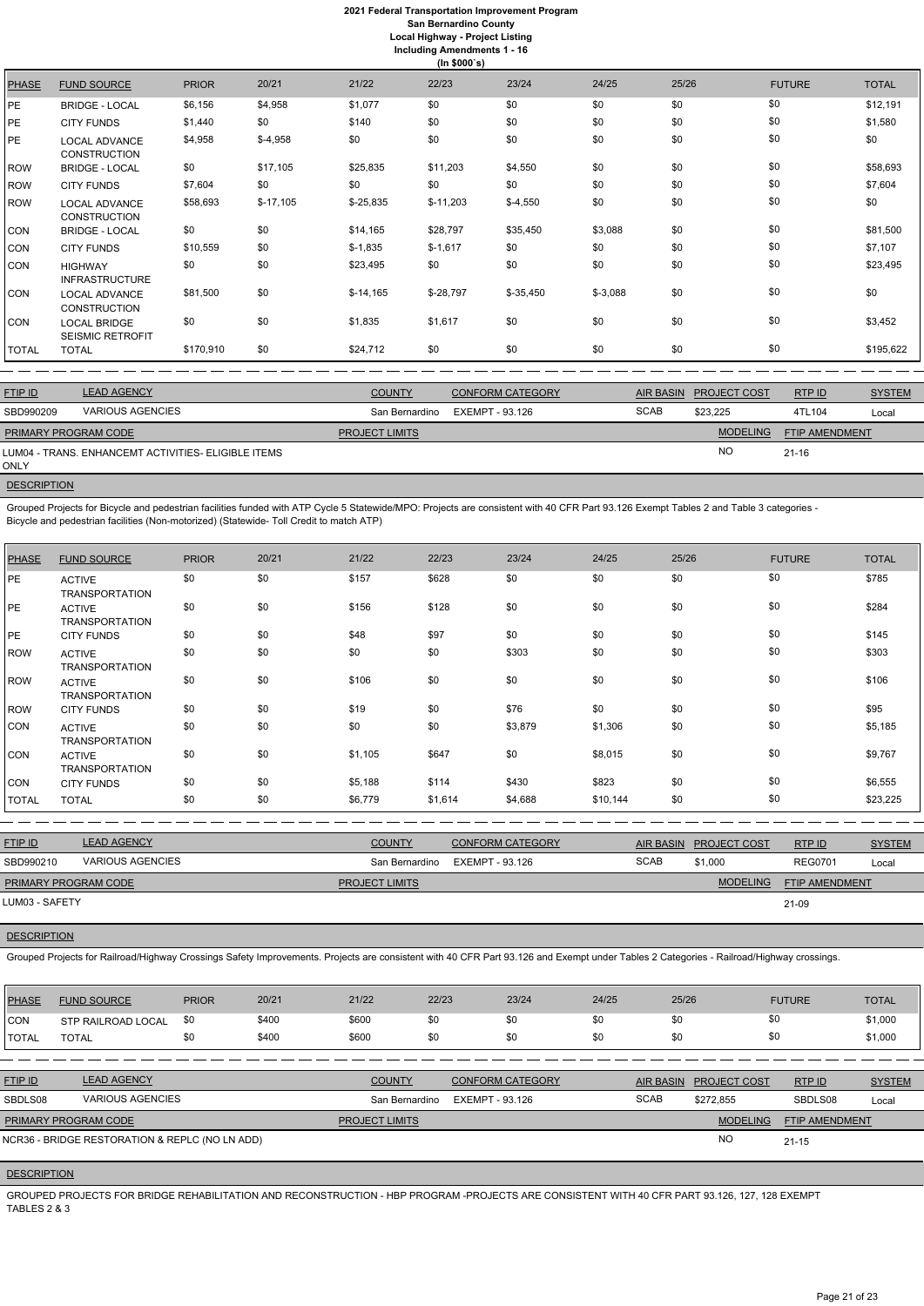|              | (ln \$000's)                                   |              |            |            |            |            |           |       |               |              |  |
|--------------|------------------------------------------------|--------------|------------|------------|------------|------------|-----------|-------|---------------|--------------|--|
| <b>PHASE</b> | <b>FUND SOURCE</b>                             | <b>PRIOR</b> | 20/21      | 21/22      | 22/23      | 23/24      | 24/25     | 25/26 | <b>FUTURE</b> | <b>TOTAL</b> |  |
| PE           | <b>BRIDGE - LOCAL</b>                          | \$6,156      | \$4,958    | \$1,077    | \$0        | \$0        | \$0       | \$0   | \$0           | \$12,191     |  |
| PE.          | <b>CITY FUNDS</b>                              | \$1,440      | \$0        | \$140      | \$0        | \$0        | \$0       | \$0   | \$0           | \$1,580      |  |
| PE.          | LOCAL ADVANCE<br><b>CONSTRUCTION</b>           | \$4,958      | $$-4,958$  | \$0        | \$0        | \$0        | \$0       | \$0   | \$0           | \$0          |  |
| <b>ROW</b>   | <b>BRIDGE - LOCAL</b>                          | \$0          | \$17,105   | \$25,835   | \$11,203   | \$4,550    | \$0       | \$0   | \$0           | \$58,693     |  |
| ROW          | <b>CITY FUNDS</b>                              | \$7,604      | \$0        | \$0        | \$0        | \$0        | \$0       | \$0   | \$0           | \$7,604      |  |
| ROW          | <b>LOCAL ADVANCE</b><br><b>CONSTRUCTION</b>    | \$58,693     | $$-17,105$ | $$-25,835$ | $$-11,203$ | $$-4,550$  | \$0       | \$0   | \$0           | \$0          |  |
| CON          | <b>BRIDGE - LOCAL</b>                          | \$0          | \$0        | \$14,165   | \$28,797   | \$35,450   | \$3,088   | \$0   | \$0           | \$81,500     |  |
| CON          | <b>CITY FUNDS</b>                              | \$10,559     | \$0        | $$-1,835$  | $$-1,617$  | \$0        | \$0       | \$0   | \$0           | \$7,107      |  |
| CON          | <b>HIGHWAY</b><br><b>INFRASTRUCTURE</b>        | \$0          | \$0        | \$23,495   | \$0        | \$0        | \$0       | \$0   | \$0           | \$23,495     |  |
| CON          | <b>LOCAL ADVANCE</b><br><b>CONSTRUCTION</b>    | \$81,500     | \$0        | $$-14,165$ | $$-28,797$ | $$-35,450$ | $$-3,088$ | \$0   | \$0           | \$0          |  |
| CON          | <b>LOCAL BRIDGE</b><br><b>SEISMIC RETROFIT</b> | \$0          | \$0        | \$1,835    | \$1,617    | \$0        | \$0       | \$0   | \$0           | \$3,452      |  |
| TOTAL        | <b>TOTAL</b>                                   | \$170,910    | \$0        | \$24,712   | \$0        | \$0        | \$0       | \$0   | \$0           | \$195,622    |  |

| <b>FTIP ID</b>              | <b>LEAD AGENCY</b>                                  | <b>COUNTY</b>         | <b>CONFORM CATEGORY</b> | <b>AIR BASIN</b> | <b>PROJECT COST</b> | RTPID                 | <b>SYSTEM</b> |
|-----------------------------|-----------------------------------------------------|-----------------------|-------------------------|------------------|---------------------|-----------------------|---------------|
| SBD990209                   | VARIOUS AGENCIES                                    | San Bernardino        | EXEMPT - 93.126         | <b>SCAB</b>      | \$23.225            | 4TL104                | Local         |
| <b>PRIMARY PROGRAM CODE</b> |                                                     | <b>PROJECT LIMITS</b> |                         |                  | <b>MODELING</b>     | <b>FTIP AMENDMENT</b> |               |
| ONLY                        | LUM04 - TRANS. ENHANCEMT ACTIVITIES- ELIGIBLE ITEMS |                       |                         |                  | <b>NO</b>           | $21 - 16$             |               |

**DESCRIPTION** 

Grouped Projects for Bicycle and pedestrian facilities funded with ATP Cycle 5 Statewide/MPO: Projects are consistent with 40 CFR Part 93.126 Exempt Tables 2 and Table 3 categories - Bicycle and pedestrian facilities (Non-motorized) (Statewide- Toll Credit to match ATP)

| <b>PHASE</b> | <b>FUND SOURCE</b>                     | <b>PRIOR</b> | 20/21 | 21/22   | 22/23   | 23/24   | 24/25    | 25/26 | <b>FUTURE</b> | <b>TOTAL</b> |
|--------------|----------------------------------------|--------------|-------|---------|---------|---------|----------|-------|---------------|--------------|
| PE           | <b>ACTIVE</b><br><b>TRANSPORTATION</b> | \$0          | \$0   | \$157   | \$628   | \$0     | \$0      | \$0   | \$0           | \$785        |
| PE           | <b>ACTIVE</b><br><b>TRANSPORTATION</b> | \$0          | \$0   | \$156   | \$128   | \$0     | \$0      | \$0   | \$0           | \$284        |
| PE           | <b>CITY FUNDS</b>                      | \$0          | \$0   | \$48    | \$97    | \$0     | \$0      | \$0   | \$0           | \$145        |
| <b>ROW</b>   | <b>ACTIVE</b><br><b>TRANSPORTATION</b> | \$0          | \$0   | \$0     | \$0     | \$303   | \$0      | \$0   | \$0           | \$303        |
| <b>ROW</b>   | <b>ACTIVE</b><br><b>TRANSPORTATION</b> | \$0          | \$0   | \$106   | \$0     | \$0     | \$0      | \$0   | \$0           | \$106        |
| <b>ROW</b>   | <b>CITY FUNDS</b>                      | \$0          | \$0   | \$19    | \$0     | \$76    | \$0      | \$0   | \$0           | \$95         |
| <b>CON</b>   | <b>ACTIVE</b><br><b>TRANSPORTATION</b> | \$0          | \$0   | \$0     | \$0     | \$3,879 | \$1,306  | \$0   | \$0           | \$5,185      |
| <b>CON</b>   | <b>ACTIVE</b><br><b>TRANSPORTATION</b> | \$0          | \$0   | \$1,105 | \$647   | \$0     | \$8,015  | \$0   | \$0           | \$9,767      |
| <b>CON</b>   | <b>CITY FUNDS</b>                      | \$0          | \$0   | \$5,188 | \$114   | \$430   | \$823    | \$0   | \$0           | \$6,555      |
| TOTAL        | <b>TOTAL</b>                           | \$0          | \$0   | \$6,779 | \$1,614 | \$4,688 | \$10,144 | \$0   | \$0           | \$23,225     |

| <b>FTIP ID</b>       | <b>LEAD AGENCY</b>      | <b>COUNTY</b>         | <b>CONFORM CATEGORY</b> |             | AIR BASIN PROJECT COST | RTPID                 | <b>SYSTEM</b> |
|----------------------|-------------------------|-----------------------|-------------------------|-------------|------------------------|-----------------------|---------------|
| SBD990210            | <b>VARIOUS AGENCIES</b> | San Bernardino        | EXEMPT - 93.126         | <b>SCAB</b> | \$1,000                | <b>REG0701</b>        | Local         |
| PRIMARY PROGRAM CODE |                         | <b>PROJECT LIMITS</b> |                         |             | <b>MODELING</b>        | <b>FTIP AMENDMENT</b> |               |
| LUM03 - SAFETY       |                         |                       |                         |             |                        | 21-09                 |               |

## **DESCRIPTION**

Grouped Projects for Railroad/Highway Crossings Safety Improvements. Projects are consistent with 40 CFR Part 93.126 and Exempt under Tables 2 Categories - Railroad/Highway crossings.

| PHASE          | <b>FUND SOURCE</b>                             | <b>PRIOR</b> | 20/21 | 21/22                 | 22/23           | 23/24                   | 24/25       | 25/26 |                        | <b>FUTURE</b>         | <b>TOTAL</b>  |
|----------------|------------------------------------------------|--------------|-------|-----------------------|-----------------|-------------------------|-------------|-------|------------------------|-----------------------|---------------|
| <b>ICON</b>    | STP RAILROAD LOCAL                             | \$0          | \$400 | \$600                 | \$0             | \$0                     | \$0         | \$0   | \$0                    |                       | \$1,000       |
| <b>TOTAL</b>   | <b>TOTAL</b>                                   | \$0          | \$400 | \$600                 | \$0             | \$0                     | \$0         | \$0   | \$0                    |                       | \$1,000       |
|                |                                                |              |       |                       |                 |                         |             |       |                        |                       |               |
| <b>FTIP ID</b> | <b>LEAD AGENCY</b>                             |              |       | <b>COUNTY</b>         |                 | <b>CONFORM CATEGORY</b> |             |       | AIR BASIN PROJECT COST | RTPID                 | <b>SYSTEM</b> |
| SBDLS08        | <b>VARIOUS AGENCIES</b>                        |              |       | San Bernardino        | EXEMPT - 93.126 |                         | <b>SCAB</b> |       | \$272.855              | SBDLS08               | Local         |
|                | PRIMARY PROGRAM CODE                           |              |       | <b>PROJECT LIMITS</b> |                 |                         |             |       | <b>MODELING</b>        | <b>FTIP AMENDMENT</b> |               |
|                | NCR36 - BRIDGE RESTORATION & REPLC (NO LN ADD) |              |       |                       |                 |                         |             |       | <b>NO</b>              | $21 - 15$             |               |
|                |                                                |              |       |                       |                 |                         |             |       |                        |                       |               |

#### **DESCRIPTION**

GROUPED PROJECTS FOR BRIDGE REHABILITATION AND RECONSTRUCTION - HBP PROGRAM -PROJECTS ARE CONSISTENT WITH 40 CFR PART 93.126, 127, 128 EXEMPT TABLES 2 & 3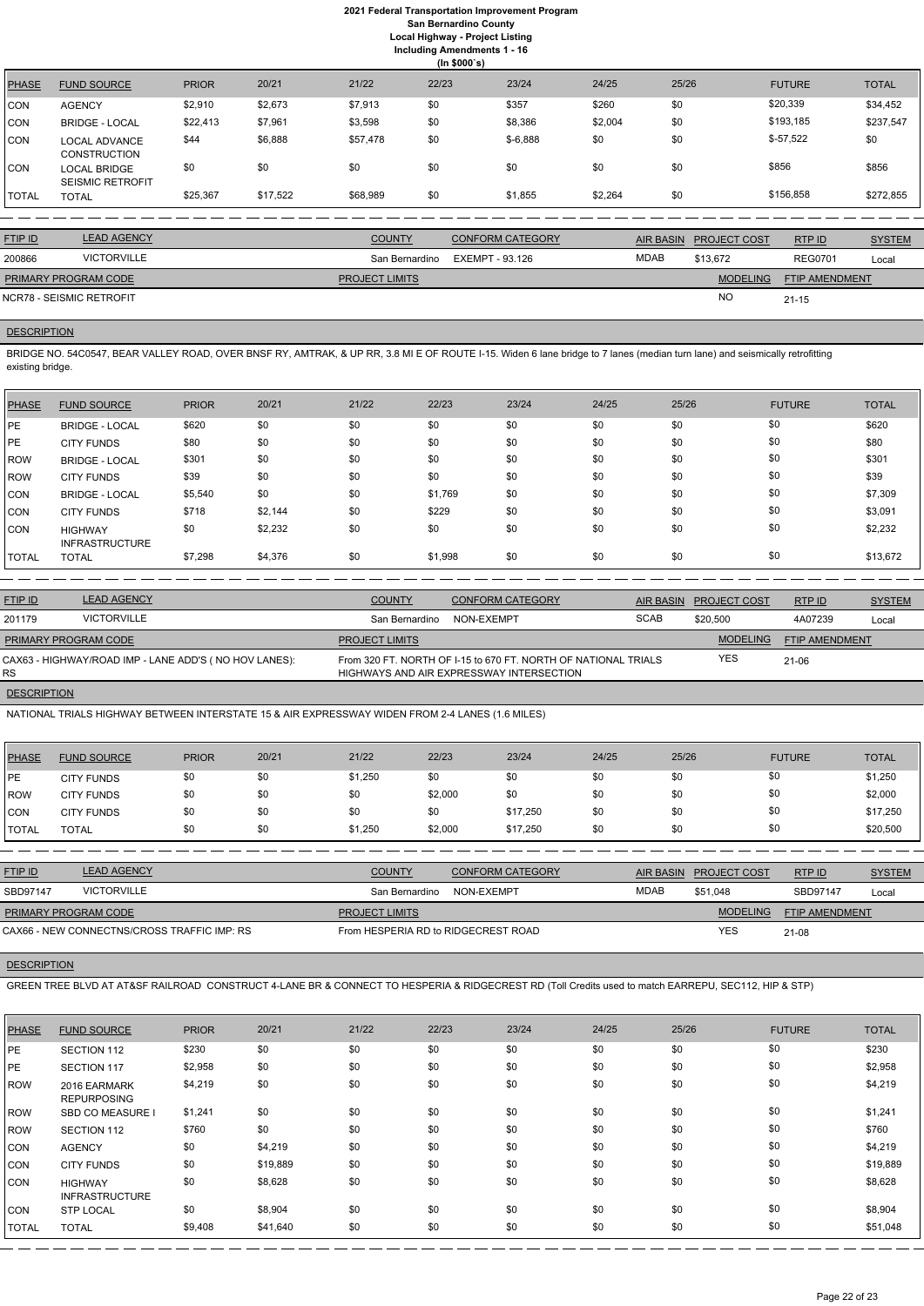| 22/23<br>21/22<br>25/26<br>20/21<br>23/24<br>24/25<br><b>PHASE</b><br><b>FUND SOURCE</b><br><b>PRIOR</b><br><b>FUTURE</b><br><b>TOTAL</b><br>\$20,339 | (ln \$000's) |  |  |  |  |  |  |  |  |  |  |
|-------------------------------------------------------------------------------------------------------------------------------------------------------|--------------|--|--|--|--|--|--|--|--|--|--|
|                                                                                                                                                       |              |  |  |  |  |  |  |  |  |  |  |
| \$0<br>\$0<br>\$357<br>\$260<br>\$2,910<br>\$2,673<br>\$7,913<br><b>CON</b><br><b>AGENCY</b>                                                          | \$34,452     |  |  |  |  |  |  |  |  |  |  |
| \$193,185<br>\$8,386<br>\$7,961<br>\$0<br>\$2,004<br>\$0<br>\$3,598<br>\$22,413<br><b>CON</b><br><b>BRIDGE - LOCAL</b>                                | \$237,547    |  |  |  |  |  |  |  |  |  |  |
| $$-57,522$<br>\$0<br>\$0<br>\$0<br>\$6,888<br>\$0<br>\$44<br>\$57,478<br>$$-6,888$<br><b>CON</b><br>LOCAL ADVANCE<br><b>CONSTRUCTION</b>              |              |  |  |  |  |  |  |  |  |  |  |
| \$856<br>\$0<br>\$0<br>\$0<br>\$0<br>\$856<br>\$0<br>\$0<br>\$0<br><b>CON</b><br><b>LOCAL BRIDGE</b><br><b>SEISMIC RETROFIT</b>                       |              |  |  |  |  |  |  |  |  |  |  |
| \$156,858<br>\$0<br>\$17,522<br>\$0<br>\$25,367<br>\$68,989<br>\$2,264<br>\$1,855<br><b>TOTAL</b><br><b>TOTAL</b>                                     | \$272,855    |  |  |  |  |  |  |  |  |  |  |

| <b>FTIP ID</b>              | <b>LEAD AGENCY</b> | <b>COUNTY</b>         | <b>CONFORM CATEGORY</b> |      | AIR BASIN PROJECT COST | RTPID                 | <b>SYSTEM</b> |
|-----------------------------|--------------------|-----------------------|-------------------------|------|------------------------|-----------------------|---------------|
| 200866                      | <b>VICTORVILLE</b> | San Bernardino        | EXEMPT - 93.126         | MDAB | \$13.672               | <b>REG0701</b>        | Local         |
| <b>PRIMARY PROGRAM CODE</b> |                    | <b>PROJECT LIMITS</b> |                         |      | <b>MODELING</b>        | <b>FTIP AMENDMENT</b> |               |
| NCR78 - SEISMIC RETROFIT    |                    |                       |                         |      | <b>NO</b>              | 21-15                 |               |

## **DESCRIPTION**

BRIDGE NO. 54C0547, BEAR VALLEY ROAD, OVER BNSF RY, AMTRAK, & UP RR, 3.8 MI E OF ROUTE I-15. Widen 6 lane bridge to 7 lanes (median turn lane) and seismically retrofitting existing bridge.

| <b>PHASE</b> | <b>FUND SOURCE</b>                      | <b>PRIOR</b> | 20/21   | 21/22 | 22/23   | 23/24 | 24/25 | 25/26 | <b>FUTURE</b> | <b>TOTAL</b> |
|--------------|-----------------------------------------|--------------|---------|-------|---------|-------|-------|-------|---------------|--------------|
| <b>IPE</b>   | <b>BRIDGE - LOCAL</b>                   | \$620        | \$0     | \$0   | \$0     | \$0   | \$0   | \$0   | \$0           | \$620        |
| <b>IPE</b>   | <b>CITY FUNDS</b>                       | \$80         | \$0     | \$0   | \$0     | \$0   | \$0   | \$0   | \$0           | \$80         |
| <b>IROW</b>  | <b>BRIDGE - LOCAL</b>                   | \$301        | \$0     | \$0   | \$0     | \$0   | \$0   | \$0   | \$0           | \$301        |
| <b>IROW</b>  | <b>CITY FUNDS</b>                       | \$39         | \$0     | \$0   | \$0     | \$0   | \$0   | \$0   | \$0           | \$39         |
| CON          | <b>BRIDGE - LOCAL</b>                   | \$5,540      | \$0     | \$0   | \$1,769 | \$0   | \$0   | \$0   | \$0           | \$7,309      |
| CON          | <b>CITY FUNDS</b>                       | \$718        | \$2,144 | \$0   | \$229   | \$0   | \$0   | \$0   | \$0           | \$3,091      |
| <b>CON</b>   | <b>HIGHWAY</b><br><b>INFRASTRUCTURE</b> | \$0          | \$2,232 | \$0   | \$0     | \$0   | \$0   | \$0   | \$0           | \$2,232      |
| <b>TOTAL</b> | <b>TOTAL</b>                            | \$7,298      | \$4,376 | \$0   | \$1,998 | \$0   | \$0   | \$0   | \$0           | \$13,672     |

| <b>FTIP ID</b>              | <b>LEAD AGENCY</b>                                    | <b>COUNTY</b>         | <b>CONFORM CATEGORY</b>                                                                                    | AIR BASIN   | <b>PROJECT COST</b> | RTP ID                | <b>SYSTEM</b> |
|-----------------------------|-------------------------------------------------------|-----------------------|------------------------------------------------------------------------------------------------------------|-------------|---------------------|-----------------------|---------------|
| 201179                      | <b>VICTORVILLE</b>                                    | San Bernardino        | NON-EXEMPT                                                                                                 | <b>SCAB</b> | \$20,500            | 4A07239               | Local         |
| <b>PRIMARY PROGRAM CODE</b> |                                                       | <b>PROJECT LIMITS</b> |                                                                                                            |             | <b>MODELING</b>     | <b>FTIP AMENDMENT</b> |               |
| RS.                         | CAX63 - HIGHWAY/ROAD IMP - LANE ADD'S (NO HOV LANES): |                       | From 320 FT. NORTH OF I-15 to 670 FT. NORTH OF NATIONAL TRIALS<br>HIGHWAYS AND AIR EXPRESSWAY INTERSECTION |             | <b>YES</b>          | 21-06                 |               |
| <b>DESCRIPTION</b>          |                                                       |                       |                                                                                                            |             |                     |                       |               |

NATIONAL TRIALS HIGHWAY BETWEEN INTERSTATE 15 & AIR EXPRESSWAY WIDEN FROM 2-4 LANES (1.6 MILES)

| PHASE         | <b>FUND SOURCE</b> | <b>PRIOR</b> | 20/21 | 21/22   | 22/23   | 23/24    | 24/25 | 25/26 | <b>FUTURE</b> | <b>TOTAL</b> |
|---------------|--------------------|--------------|-------|---------|---------|----------|-------|-------|---------------|--------------|
| <b>IPE</b>    | <b>CITY FUNDS</b>  | \$0          | \$0   | \$1,250 | \$0     | \$0      | \$0   | \$0   | \$0           | \$1,250      |
| <b>ROW</b>    | <b>CITY FUNDS</b>  | \$0          | \$0   | \$0     | \$2,000 | \$0      | \$0   | \$0   | \$0           | \$2,000      |
| <b>CON</b>    | <b>CITY FUNDS</b>  | \$0          | \$0   | \$0     | \$0     | \$17,250 | \$0   | \$0   | \$0           | \$17,250     |
| <b>ITOTAL</b> | TOTAL              | \$0          | \$0   | \$1,250 | \$2,000 | \$17,250 | \$0   | \$0   | \$0           | \$20,500     |

| <b>FTIP ID</b>              | <b>LEAD AGENCY</b>                          | <b>COUNTY</b>                       | <b>CONFORM CATEGORY</b> |      | AIR BASIN PROJECT COST | RTP ID                | <b>SYSTEM</b> |
|-----------------------------|---------------------------------------------|-------------------------------------|-------------------------|------|------------------------|-----------------------|---------------|
| SBD97147                    | VICTORVILLE                                 | San Bernardino                      | NON-EXEMPT              | MDAB | \$51.048               | SBD97147              | Local         |
| <b>PRIMARY PROGRAM CODE</b> |                                             | <b>PROJECT LIMITS</b>               |                         |      | <b>MODELING</b>        | <b>FTIP AMENDMENT</b> |               |
|                             | CAX66 - NEW CONNECTNS/CROSS TRAFFIC IMP: RS | From HESPERIA RD to RIDGECREST ROAD |                         |      | YES                    | $21 - 08$             |               |

**DESCRIPTION** 

GREEN TREE BLVD AT AT&SF RAILROAD CONSTRUCT 4-LANE BR & CONNECT TO HESPERIA & RIDGECREST RD (Toll Credits used to match EARREPU, SEC112, HIP & STP)

| <b>PHASE</b> | <b>FUND SOURCE</b>                      | <b>PRIOR</b> | 20/21    | 21/22 | 22/23 | 23/24 | 24/25 | 25/26 | <b>FUTURE</b> | <b>TOTAL</b> |
|--------------|-----------------------------------------|--------------|----------|-------|-------|-------|-------|-------|---------------|--------------|
| <b>PE</b>    | SECTION 112                             | \$230        | \$0      | \$0   | \$0   | \$0   | \$0   | \$0   | \$0           | \$230        |
| PE           | <b>SECTION 117</b>                      | \$2,958      | \$0      | \$0   | \$0   | \$0   | \$0   | \$0   | \$0           | \$2,958      |
| ROW          | 2016 EARMARK<br><b>REPURPOSING</b>      | \$4,219      | \$0      | \$0   | \$0   | \$0   | \$0   | \$0   | \$0           | \$4,219      |
| ROW          | <b>SBD CO MEASURE I</b>                 | \$1,241      | \$0      | \$0   | \$0   | \$0   | \$0   | \$0   | \$0           | \$1,241      |
| ROW          | SECTION 112                             | \$760        | \$0      | \$0   | \$0   | \$0   | \$0   | \$0   | \$0           | \$760        |
| CON          | <b>AGENCY</b>                           | \$0          | \$4,219  | \$0   | \$0   | \$0   | \$0   | \$0   | \$0           | \$4,219      |
| CON          | <b>CITY FUNDS</b>                       | \$0          | \$19,889 | \$0   | \$0   | \$0   | \$0   | \$0   | \$0           | \$19,889     |
| CON          | <b>HIGHWAY</b><br><b>INFRASTRUCTURE</b> | \$0          | \$8,628  | \$0   | \$0   | \$0   | \$0   | \$0   | \$0           | \$8,628      |
| CON          | <b>STP LOCAL</b>                        | \$0          | \$8,904  | \$0   | \$0   | \$0   | \$0   | \$0   | \$0           | \$8,904      |
| <b>TOTAL</b> | <b>TOTAL</b>                            | \$9,408      | \$41,640 | \$0   | \$0   | \$0   | \$0   | \$0   | \$0           | \$51,048     |